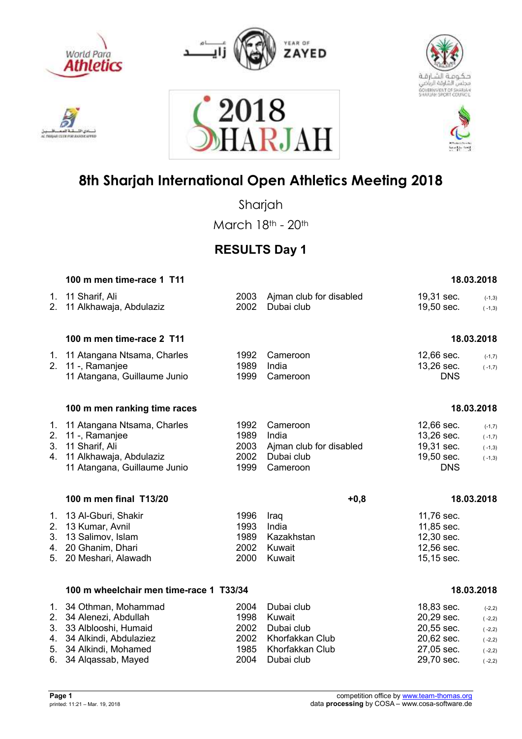











Sharjah

March 18th - 20th

### **RESULTS Day 1**

| 100 m men time-race 1 T11                                                                                                  |                                                                                                                                                                         |                                                                          |                                                                    | 18.03.2018                                                           |
|----------------------------------------------------------------------------------------------------------------------------|-------------------------------------------------------------------------------------------------------------------------------------------------------------------------|--------------------------------------------------------------------------|--------------------------------------------------------------------|----------------------------------------------------------------------|
| 11 Sharif, Ali<br>11 Alkhawaja, Abdulaziz                                                                                  | 2003<br>2002                                                                                                                                                            | Ajman club for disabled<br>Dubai club                                    | 19,31 sec.<br>19,50 sec.                                           | $(-1,3)$<br>$(-1,3)$                                                 |
| 100 m men time-race 2 T11                                                                                                  |                                                                                                                                                                         |                                                                          |                                                                    | 18.03.2018                                                           |
| 11 Atangana, Guillaume Junio                                                                                               | 1992<br>1989<br>1999                                                                                                                                                    | Cameroon<br>India<br>Cameroon                                            | 12,66 sec.<br>13,26 sec.<br><b>DNS</b>                             | $(-1,7)$<br>$(-1,7)$                                                 |
| 100 m men ranking time races                                                                                               |                                                                                                                                                                         |                                                                          |                                                                    | 18.03.2018                                                           |
| 11 Atangana Ntsama, Charles<br>11 -, Ramanjee<br>11 Sharif, Ali<br>11 Alkhawaja, Abdulaziz<br>11 Atangana, Guillaume Junio | 1992<br>1989<br>2003<br>2002<br>1999                                                                                                                                    | Cameroon<br>India<br>Ajman club for disabled<br>Dubai club<br>Cameroon   | 12,66 sec.<br>13,26 sec.<br>19,31 sec.<br>19,50 sec.<br><b>DNS</b> | $(-1,7)$<br>$(-1,7)$<br>$(-1,3)$<br>$(-1,3)$                         |
| 100 m men final T13/20                                                                                                     |                                                                                                                                                                         | $+0,8$                                                                   |                                                                    | 18.03.2018                                                           |
| 13 Kumar, Avnil<br>13 Salimov, Islam<br>20 Ghanim, Dhari<br>20 Meshari, Alawadh                                            | 1996<br>1993<br>1989<br>2002<br>2000                                                                                                                                    | Iraq<br>India<br>Kazakhstan<br>Kuwait<br>Kuwait                          | 11,76 sec.<br>11,85 sec.<br>12,30 sec.<br>12,56 sec.<br>15,15 sec. |                                                                      |
|                                                                                                                            |                                                                                                                                                                         |                                                                          |                                                                    | 18.03.2018                                                           |
| 33 Alblooshi, Humaid<br>34 Alkindi, Abdulaziez<br>34 Alkindi, Mohamed                                                      | 2004<br>1998<br>2002<br>2002<br>1985                                                                                                                                    | Dubai club<br>Kuwait<br>Dubai club<br>Khorfakkan Club<br>Khorfakkan Club | 18,83 sec.<br>20,29 sec.<br>20,55 sec.<br>20,62 sec.<br>27,05 sec. | $(-2,2)$<br>$(-2,2)$<br>$(-2,2)$<br>$(-2,2)$<br>$(-2,2)$<br>$(-2,2)$ |
| 3.                                                                                                                         | 1.<br>2.<br>1. 11 Atangana Ntsama, Charles<br>2. 11 -, Ramanjee<br>13 Al-Gburi, Shakir<br>5.<br>1. 34 Othman, Mohammad<br>2. 34 Alenezi, Abdullah<br>34 Algassab, Mayed | 100 m wheelchair men time-race 1 T33/34<br>2004                          | Dubai club                                                         | 29,70 sec.                                                           |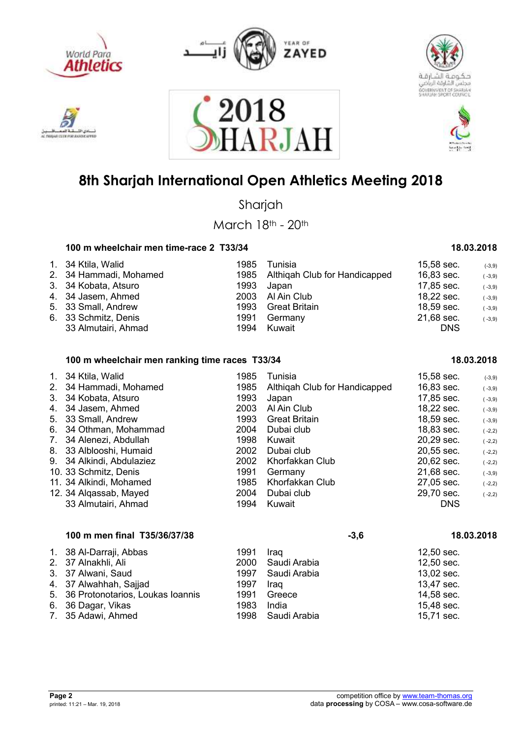











Sharjah

March 18th - 20th

### **100 m wheelchair men time-race 2 T33/34 18.03.2018**

| 1. 34 Ktila, Walid     | 1985 | Tunisia                            | 15,58 sec. | $(-3,9)$ |
|------------------------|------|------------------------------------|------------|----------|
| 2. 34 Hammadi, Mohamed |      | 1985 Althigah Club for Handicapped | 16,83 sec. | $(-3,9)$ |
| 3. 34 Kobata, Atsuro   | 1993 | Japan                              | 17,85 sec. | $(-3,9)$ |
| 4. 34 Jasem, Ahmed     | 2003 | Al Ain Club                        | 18,22 sec. | $(-3,9)$ |
| 5. 33 Small, Andrew    | 1993 | Great Britain                      | 18,59 sec. | $(-3,9)$ |
| 6. 33 Schmitz, Denis   | 1991 | Germany                            | 21,68 sec. | $(-3,9)$ |
| 33 Almutairi, Ahmad    | 1994 | Kuwait                             | <b>DNS</b> |          |

### **100 m wheelchair men ranking time races T33/34 18.03.2018**

| $1_{\cdot}$<br>3.<br>$7_{\ldots}$ | 34 Ktila, Walid<br>2. 34 Hammadi, Mohamed<br>34 Kobata, Atsuro<br>4. 34 Jasem, Ahmed<br>5. 33 Small, Andrew<br>6. 34 Othman, Mohammad<br>34 Alenezi, Abdullah<br>8. 33 Alblooshi, Humaid | 1985<br>1985<br>1993<br>2003<br>1993<br>2004<br>1998<br>2002 | Tunisia<br>Althigah Club for Handicapped<br>Japan<br>Al Ain Club<br><b>Great Britain</b><br>Dubai club<br>Kuwait<br>Dubai club | 15,58 sec.<br>16,83 sec.<br>17,85 sec.<br>18,22 sec.<br>18,59 sec.<br>18,83 sec.<br>20,29 sec.<br>20,55 sec. | $(-3,9)$<br>$(-3,9)$<br>$(-3,9)$<br>$(-3,9)$<br>$(-3,9)$<br>$(-2,2)$<br>$(-2,2)$<br>$(-2,2)$ |
|-----------------------------------|------------------------------------------------------------------------------------------------------------------------------------------------------------------------------------------|--------------------------------------------------------------|--------------------------------------------------------------------------------------------------------------------------------|--------------------------------------------------------------------------------------------------------------|----------------------------------------------------------------------------------------------|
|                                   |                                                                                                                                                                                          |                                                              |                                                                                                                                |                                                                                                              |                                                                                              |
|                                   | 9. 34 Alkindi, Abdulaziez<br>10. 33 Schmitz, Denis                                                                                                                                       | 2002<br>1991                                                 | Khorfakkan Club<br>Germany                                                                                                     | 20,62 sec.<br>21,68 sec.                                                                                     | $(-2,2)$<br>$(-3,9)$                                                                         |
|                                   | 11. 34 Alkindi, Mohamed<br>12. 34 Algassab, Mayed<br>33 Almutairi, Ahmad                                                                                                                 | 1985<br>2004<br>1994                                         | Khorfakkan Club<br>Dubai club<br>Kuwait                                                                                        | 27,05 sec.<br>29,70 sec.<br><b>DNS</b>                                                                       | $(-2,2)$<br>$(-2,2)$                                                                         |

| 100 m men final T35/36/37/38        |      |              | $-3,6$     | 18.03.2018 |
|-------------------------------------|------|--------------|------------|------------|
| 1. 38 Al-Darraji, Abbas             | 1991 | Iraq         | 12,50 sec. |            |
| 2. 37 Alnakhli, Ali                 | 2000 | Saudi Arabia | 12,50 sec. |            |
| 3. 37 Alwani, Saud                  | 1997 | Saudi Arabia | 13,02 sec. |            |
| 4. 37 Alwahhah, Sajjad              | 1997 | Iraq         | 13,47 sec. |            |
| 5. 36 Protonotarios, Loukas Ioannis | 1991 | Greece       | 14,58 sec. |            |
| 6. 36 Dagar, Vikas                  | 1983 | India        | 15,48 sec. |            |
| 7. 35 Adawi, Ahmed                  | 1998 | Saudi Arabia | 15,71 sec. |            |
|                                     |      |              |            |            |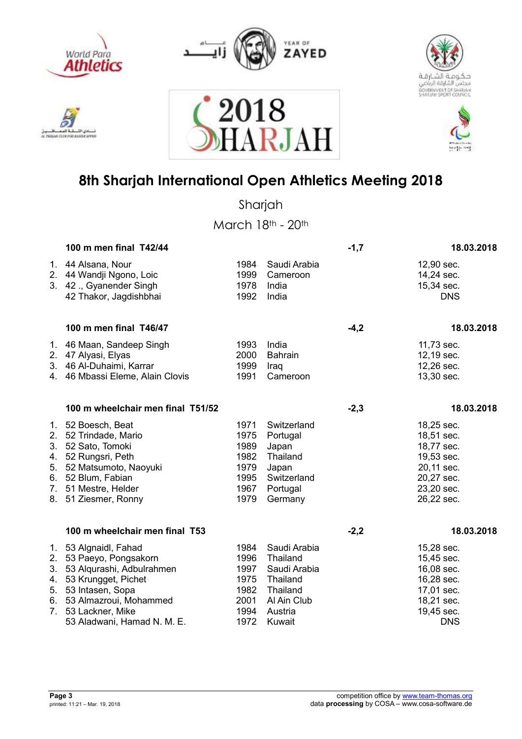

استقالهم ادی اللہ AC THIGHT CELE FOR AUNTACHTER



2018





## **8th Sharjah International Open Athletics Meeting 2018**

RJAI

Sharjah

|                      | 100 m men final T42/44                                                                                                                                                                                   |                                                              |                                                                                                      | $-1,7$ | 18.03.2018                                                                                                   |
|----------------------|----------------------------------------------------------------------------------------------------------------------------------------------------------------------------------------------------------|--------------------------------------------------------------|------------------------------------------------------------------------------------------------------|--------|--------------------------------------------------------------------------------------------------------------|
|                      | 1. 44 Alsana, Nour<br>2. 44 Wandji Ngono, Loic<br>3. 42 ., Gyanender Singh<br>42 Thakor, Jagdishbhai                                                                                                     | 1984<br>1999<br>1978<br>1992                                 | Saudi Arabia<br>Cameroon<br>India<br>India                                                           |        | 12,90 sec.<br>14,24 sec.<br>15,34 sec.<br><b>DNS</b>                                                         |
|                      | 100 m men final T46/47                                                                                                                                                                                   |                                                              |                                                                                                      | $-4,2$ | 18.03.2018                                                                                                   |
|                      | 1. 46 Maan, Sandeep Singh<br>2. 47 Alyasi, Elyas<br>3. 46 Al-Duhaimi, Karrar<br>4. 46 Mbassi Eleme, Alain Clovis                                                                                         | 1993<br>2000<br>1999<br>1991                                 | India<br><b>Bahrain</b><br>Iraq<br>Cameroon                                                          |        | 11,73 sec.<br>12,19 sec.<br>12,26 sec.<br>13,30 sec.                                                         |
|                      | 100 m wheelchair men final T51/52                                                                                                                                                                        |                                                              |                                                                                                      | $-2,3$ | 18.03.2018                                                                                                   |
| 2.<br>3.<br>4.       | 1. 52 Boesch, Beat<br>52 Trindade, Mario<br>52 Sato, Tomoki<br>52 Rungsri, Peth<br>5. 52 Matsumoto, Naoyuki<br>6. 52 Blum, Fabian<br>7. 51 Mestre, Helder<br>8. 51 Ziesmer, Ronny                        | 1971<br>1975<br>1989<br>1982<br>1979<br>1995<br>1967<br>1979 | Switzerland<br>Portugal<br>Japan<br>Thailand<br>Japan<br>Switzerland<br>Portugal<br>Germany          |        | 18,25 sec.<br>18,51 sec.<br>18,77 sec.<br>19,53 sec.<br>20,11 sec.<br>20,27 sec.<br>23,20 sec.<br>26,22 sec. |
|                      | 100 m wheelchair men final T53                                                                                                                                                                           |                                                              |                                                                                                      | $-2,2$ | 18.03.2018                                                                                                   |
| 2.<br>3.<br>4.<br>5. | 1. 53 Algnaidl, Fahad<br>53 Paeyo, Pongsakorn<br>53 Alqurashi, Adbulrahmen<br>53 Krungget, Pichet<br>53 Intasen, Sopa<br>6. 53 Almazroui, Mohammed<br>7. 53 Lackner, Mike<br>53 Aladwani, Hamad N. M. E. | 1984<br>1996<br>1997<br>1975<br>1982<br>2001<br>1994<br>1972 | Saudi Arabia<br>Thailand<br>Saudi Arabia<br>Thailand<br>Thailand<br>Al Ain Club<br>Austria<br>Kuwait |        | 15,28 sec.<br>15,45 sec.<br>16,08 sec.<br>16,28 sec.<br>17,01 sec.<br>18,21 sec.<br>19,45 sec.<br><b>DNS</b> |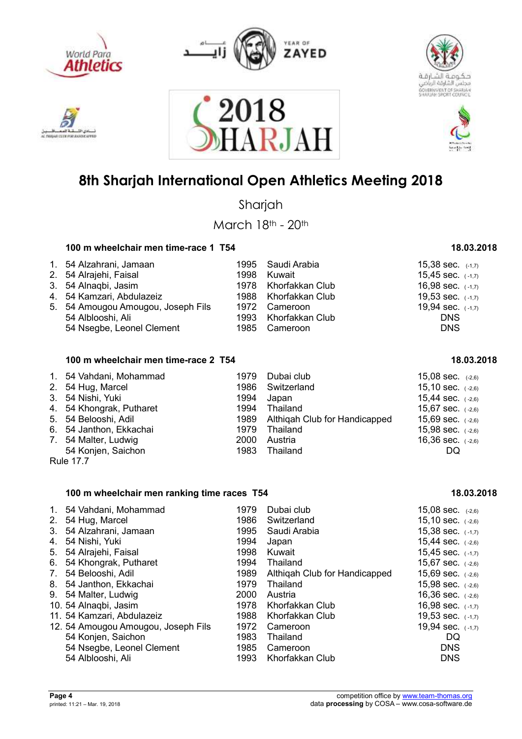

**GAIN CELSE POR JEANSE** 







## **8th Sharjah International Open Athletics Meeting 2018**

2018<br>HARJAI

Sharjah

March 18th - 20th

#### 100 m wheelchair men time-race 1 T54 **18.03.2018**

| 1. 54 Alzahrani, Jamaan<br>2. 54 Alrajehi, Faisal<br>3. 54 Alnagbi, Jasim<br>4. 54 Kamzari, Abdulazeiz<br>5. 54 Amougou Amougou, Joseph Fils | 1995 Saudi Arabia<br>1998 Kuwait<br>1978 Khorfakkan Club<br>1988 Khorfakkan Club<br>1972 Cameroon | 15,38 sec. $(-1,7)$<br>15,45 sec. $(-1,7)$<br>16,98 sec. $(-1,7)$<br>19,53 sec. $(-1,7)$<br>19,94 sec. $(-1,7)$ |
|----------------------------------------------------------------------------------------------------------------------------------------------|---------------------------------------------------------------------------------------------------|-----------------------------------------------------------------------------------------------------------------|
| 54 Alblooshi, Ali<br>54 Nsegbe, Leonel Clement                                                                                               | 1993 Khorfakkan Club<br>1985 Cameroon                                                             | <b>DNS</b><br><b>DNS</b>                                                                                        |

| 100 m wheelchair men time-race 2 T54 | 18.03.2018 |
|--------------------------------------|------------|
|--------------------------------------|------------|

| 1. 54 Vahdani, Mohammad  | 1979 | Dubai club                         | 15,08 sec. $(-2,6)$ |
|--------------------------|------|------------------------------------|---------------------|
| 2. 54 Hug, Marcel        |      | 1986 Switzerland                   | 15,10 sec. $(-2,6)$ |
| 3. 54 Nishi, Yuki        |      | 1994 Japan                         | 15,44 sec. $(-2,6)$ |
| 4. 54 Khongrak, Putharet |      | 1994 Thailand                      | 15,67 sec. $(-2,6)$ |
| 5. 54 Belooshi, Adil     |      | 1989 Althigah Club for Handicapped | 15,69 sec. $(-2,6)$ |
| 6. 54 Janthon, Ekkachai  |      | 1979 Thailand                      | 15,98 sec. $(-2,6)$ |
| 7. 54 Malter, Ludwig     |      | 2000 Austria                       | 16,36 sec. $(-2,6)$ |
| 54 Konjen, Saichon       | 1983 | Thailand                           | DQ.                 |
| <b>Rule 17.7</b>         |      |                                    |                     |

#### 100 m wheelchair men ranking time races T54 18.03.2018

| 2.<br>4.<br>5. | 1. 54 Vahdani, Mohammad<br>54 Hug, Marcel<br>3. 54 Alzahrani, Jamaan<br>54 Nishi, Yuki<br>54 Alrajehi, Faisal<br>6. 54 Khongrak, Putharet | 1979<br>1986<br>1995<br>1994<br>1998<br>1994 | Dubai club<br>Switzerland<br>Saudi Arabia<br>Japan<br>Kuwait<br>Thailand | 15,08 sec. $(-2,6)$<br>15,10 sec. $(-2,6)$<br>15,38 sec. $(-1,7)$<br>15,45 sec. $(-1,7)$<br>15,67 sec. $(-2, 6)$ |
|----------------|-------------------------------------------------------------------------------------------------------------------------------------------|----------------------------------------------|--------------------------------------------------------------------------|------------------------------------------------------------------------------------------------------------------|
|                |                                                                                                                                           |                                              |                                                                          | 15,44 sec. $(-2, 6)$                                                                                             |
|                |                                                                                                                                           |                                              |                                                                          |                                                                                                                  |
| 7.             | 54 Belooshi, Adil                                                                                                                         | 1989                                         | Althigah Club for Handicapped                                            | 15,69 sec. $(-2, 6)$                                                                                             |
|                | 8. 54 Janthon, Ekkachai                                                                                                                   | 1979                                         | Thailand                                                                 | 15,98 sec. $(-2, 6)$                                                                                             |
|                | 9. 54 Malter, Ludwig                                                                                                                      | 2000                                         | Austria                                                                  | 16,36 sec. $(-2, 6)$                                                                                             |
|                | 10. 54 Alnagbi, Jasim                                                                                                                     | 1978                                         | Khorfakkan Club                                                          | 16,98 sec. $(-1,7)$                                                                                              |
|                | 11. 54 Kamzari, Abdulazeiz                                                                                                                | 1988                                         | Khorfakkan Club                                                          | 19,53 sec. $(-1,7)$                                                                                              |
|                | 12. 54 Amougou Amougou, Joseph Fils                                                                                                       | 1972                                         | Cameroon                                                                 | 19,94 sec. (-1,7)                                                                                                |
|                | 54 Konjen, Saichon                                                                                                                        | 1983                                         | Thailand                                                                 | DQ                                                                                                               |
|                | 54 Nsegbe, Leonel Clement                                                                                                                 | 1985                                         | Cameroon                                                                 | <b>DNS</b>                                                                                                       |
|                | 54 Alblooshi, Ali                                                                                                                         | 1993                                         | Khorfakkan Club                                                          | <b>DNS</b>                                                                                                       |

| $(-2, 6)$ |
|-----------|
| $(-2, 6)$ |
| $(-2, 6)$ |
| $(-2, 6)$ |
| $(-2, 6)$ |
| $(-2, 6)$ |
| $(-2, 6)$ |
|           |
|           |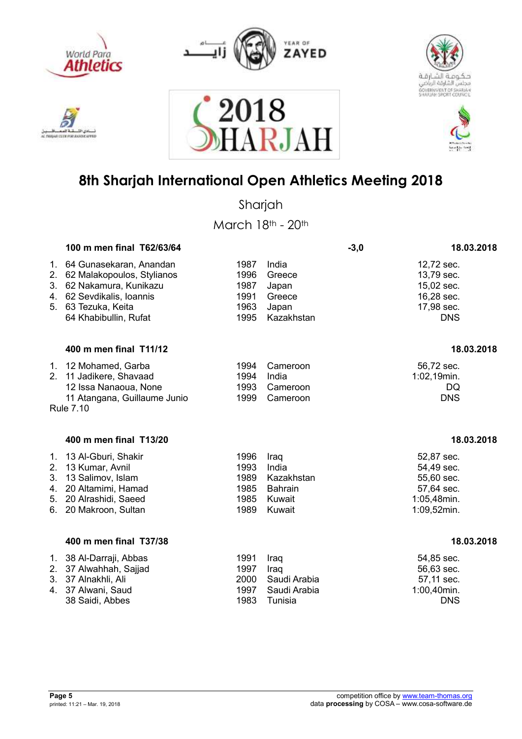











Sharjah

March 18th - 20th

|                                  | 100 m men final T62/63/64                                                                                                                                   |                                              |                                                                   | $-3,0$ | 18.03.2018                                                                         |
|----------------------------------|-------------------------------------------------------------------------------------------------------------------------------------------------------------|----------------------------------------------|-------------------------------------------------------------------|--------|------------------------------------------------------------------------------------|
| 1.<br>2.<br>3.                   | 64 Gunasekaran, Anandan<br>62 Malakopoulos, Stylianos<br>62 Nakamura, Kunikazu<br>4. 62 Sevdikalis, Ioannis<br>5. 63 Tezuka, Keita<br>64 Khabibullin, Rufat | 1987<br>1996<br>1987<br>1991<br>1963<br>1995 | India<br>Greece<br>Japan<br>Greece<br>Japan<br>Kazakhstan         |        | 12,72 sec.<br>13,79 sec.<br>15,02 sec.<br>16,28 sec.<br>17,98 sec.<br><b>DNS</b>   |
|                                  | 400 m men final T11/12                                                                                                                                      |                                              |                                                                   |        | 18.03.2018                                                                         |
|                                  | 1. 12 Mohamed, Garba<br>2. 11 Jadikere, Shavaad<br>12 Issa Nanaoua, None<br>11 Atangana, Guillaume Junio<br><b>Rule 7.10</b>                                | 1994<br>1994<br>1993<br>1999                 | Cameroon<br>India<br>Cameroon<br>Cameroon                         |        | 56,72 sec.<br>1:02,19min.<br>DQ<br><b>DNS</b>                                      |
|                                  | 400 m men final T13/20                                                                                                                                      |                                              |                                                                   |        | 18.03.2018                                                                         |
| 1.<br>2.<br>3.<br>4.<br>5.<br>6. | 13 Al-Gburi, Shakir<br>13 Kumar, Avnil<br>13 Salimov, Islam<br>20 Altamimi, Hamad<br>20 Alrashidi, Saeed<br>20 Makroon, Sultan                              | 1996<br>1993<br>1989<br>1985<br>1985<br>1989 | Iraq<br>India<br>Kazakhstan<br><b>Bahrain</b><br>Kuwait<br>Kuwait |        | 52,87 sec.<br>54,49 sec.<br>55,60 sec.<br>57,64 sec.<br>1:05,48min.<br>1:09,52min. |
|                                  | 400 m men final T37/38                                                                                                                                      |                                              |                                                                   |        | 18.03.2018                                                                         |
| 2.<br>3.<br>4.                   | 1. 38 Al-Darraji, Abbas<br>37 Alwahhah, Sajjad<br>37 Alnakhli, Ali<br>37 Alwani, Saud                                                                       | 1991<br>1997<br>2000<br>1997                 | Iraq<br>Iraq<br>Saudi Arabia<br>Saudi Arabia                      |        | 54,85 sec.<br>56,63 sec.<br>57,11 sec.<br>1:00,40min.                              |

38 Saidi, Abbes 1983 Tunisia DNS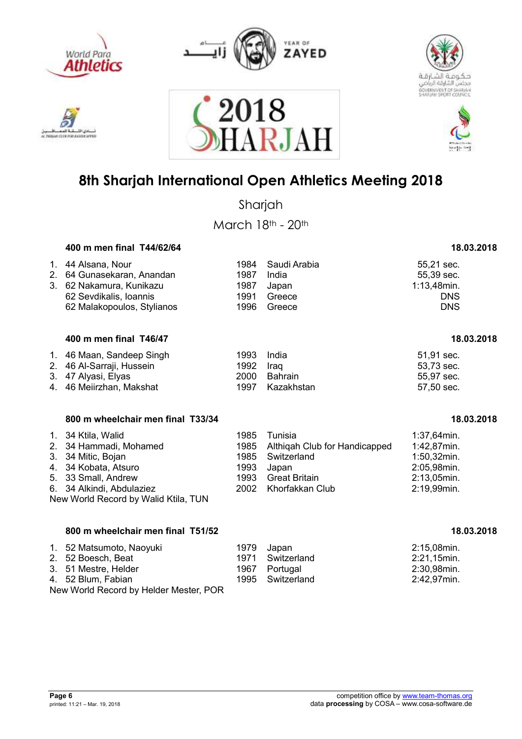

**MAY EX ENE PORT ANA** 



2018





### **8th Sharjah International Open Athletics Meeting 2018**

**RJA** 

Sharjah

March 18th - 20th

#### **400 m men final T44/62/64 18.03.2018**

| 1. 44 Alsana, Nour<br>2. 64 Gunasekaran, Anandan<br>3. 62 Nakamura, Kunikazu | 1987 | 1984 Saudi Arabia<br>India<br>1987 Japan | 55,21 sec.<br>55,39 sec.<br>$1:13,48$ min. |
|------------------------------------------------------------------------------|------|------------------------------------------|--------------------------------------------|
| 62 Sevdikalis, Ioannis                                                       | 1991 | Greece                                   | <b>DNS</b>                                 |
| 62 Malakopoulos, Stylianos                                                   | 1996 | Greece                                   | <b>DNS</b>                                 |

#### **400 m men final T46/47 18.03.2018**

| 1. 46 Maan, Sandeep Singh | 1993 India |                 | 51,91 sec. |
|---------------------------|------------|-----------------|------------|
| 2. 46 Al-Sarraji, Hussein | 1992 Iraq  |                 | 53.73 sec. |
| 3. 47 Alyasi, Elyas       |            | 2000 Bahrain    | 55.97 sec. |
| 4. 46 Meiirzhan, Makshat  |            | 1997 Kazakhstan | 57,50 sec. |

### **800 m wheelchair men final T33/34 18.03.2018**

| 1. 34 Ktila, Walid<br>2. 34 Hammadi, Mohamed<br>3. 34 Mitic, Bojan<br>4. 34 Kobata, Atsuro<br>5. 33 Small, Andrew<br>6. 34 Alkindi, Abdulaziez | 1993 Japan | 1985 Tunisia<br>1985 Althigah Club for Handicapped<br>1985 Switzerland<br>1993 Great Britain<br>2002 Khorfakkan Club | $1:37,64$ min.<br>1:42,87min.<br>$1:50,32$ min.<br>2:05,98min.<br>$2:13,05$ min.<br>2:19,99min. |  |  |  |
|------------------------------------------------------------------------------------------------------------------------------------------------|------------|----------------------------------------------------------------------------------------------------------------------|-------------------------------------------------------------------------------------------------|--|--|--|
| New World Record by Walid Ktila, TUN                                                                                                           |            |                                                                                                                      |                                                                                                 |  |  |  |

#### **800 m wheelchair men final T51/52** 18.03.2018

| 1. 52 Matsumoto, Naoyuki               |  | 1979 Japan       | 2:15,08min. |  |  |
|----------------------------------------|--|------------------|-------------|--|--|
| 2. 52 Boesch, Beat                     |  | 1971 Switzerland | 2:21,15min. |  |  |
| 3. 51 Mestre, Helder                   |  | 1967 Portugal    | 2:30,98min. |  |  |
| 4. 52 Blum, Fabian                     |  | 1995 Switzerland | 2:42,97min. |  |  |
| New World Record by Helder Mester, POR |  |                  |             |  |  |

| 51,91 sec. |  |
|------------|--|
| 53,73 sec. |  |
| 55.97 sec. |  |
| 57,50 sec. |  |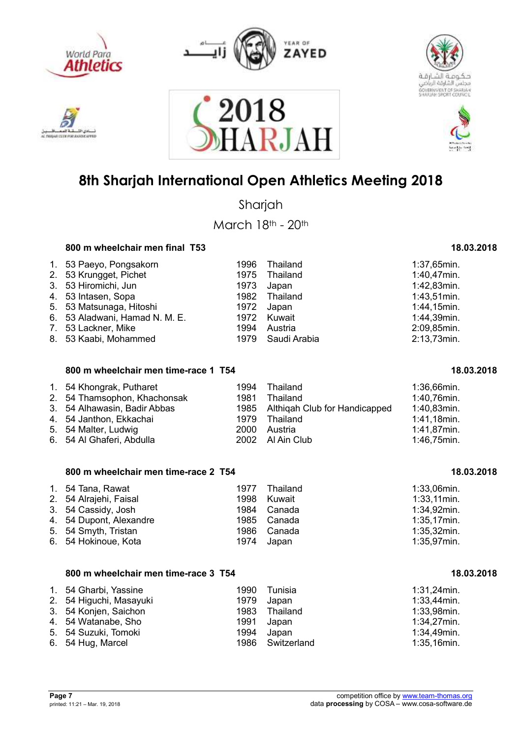



2018





## **8th Sharjah International Open Athletics Meeting 2018**

ARJAH

Sharjah

March 18th - 20th

### **800 m wheelchair men final T53** 18.03.2018

| 1. 53 Paeyo, Pongsakorn        | 1996 | Thailand          | $1:37,65$ min. |
|--------------------------------|------|-------------------|----------------|
| 2. 53 Krungget, Pichet         |      | 1975 Thailand     | 1:40,47min.    |
| 3. 53 Hiromichi, Jun           | 1973 | Japan             | 1:42,83min.    |
| 4. 53 Intasen, Sopa            |      | 1982 Thailand     | $1:43,51$ min. |
| 5. 53 Matsunaga, Hitoshi       | 1972 | Japan             | 1:44,15min.    |
| 6. 53 Aladwani, Hamad N. M. E. |      | 1972 Kuwait       | 1:44,39min.    |
| 7. 53 Lackner, Mike            | 1994 | Austria           | 2:09,85min.    |
| 8. 53 Kaabi, Mohammed          |      | 1979 Saudi Arabia | 2:13,73min.    |

#### 800 m wheelchair men time-race 1 T54 18.03.2018

| 1. 54 Khongrak, Putharet<br>2. 54 Thamsophon, Khachonsak<br>3. 54 Alhawasin, Badir Abbas<br>4. 54 Janthon, Ekkachai | 1981 | 1994 Thailand<br>Thailand<br>1985 Althigah Club for Handicapped<br>1979 Thailand<br>2000 Austria | 1:36,66min.<br>1:40,76min.<br>1:40,83min.<br>1:41,18min.<br>1:41,87min. |
|---------------------------------------------------------------------------------------------------------------------|------|--------------------------------------------------------------------------------------------------|-------------------------------------------------------------------------|
| 5. 54 Malter, Ludwig                                                                                                |      |                                                                                                  |                                                                         |
| 6. 54 Al Ghaferi, Abdulla                                                                                           |      | 2002 Al Ain Club                                                                                 | 1:46,75min.                                                             |

#### 800 m wheelchair men time-race 2 T54 18.03.2018

| 1. 54 Tana, Rawat       | 1977 | Thailand    | $1:33,06$ min. |
|-------------------------|------|-------------|----------------|
| 2. 54 Alrajehi, Faisal  | 1998 | Kuwait      | $1:33,11$ min. |
| 3. 54 Cassidy, Josh     |      | 1984 Canada | 1:34,92min.    |
| 4. 54 Dupont, Alexandre |      | 1985 Canada | $1:35,17$ min. |
| 5. 54 Smyth, Tristan    |      | 1986 Canada | $1:35,32$ min. |
| 6. 54 Hokinoue, Kota    |      | 1974 Japan  | $1:35,97$ min. |

#### 800 m wheelchair men time-race 3 T54 18.03.2018

| 1. 54 Gharbi, Yassine   |            | 1990 Tunisia     | 1:31,24min.    |
|-------------------------|------------|------------------|----------------|
| 2. 54 Higuchi, Masayuki | 1979       | Japan            | $1:33,44$ min. |
| 3. 54 Konjen, Saichon   |            | 1983 Thailand    | 1:33,98min.    |
| 4. 54 Watanabe, Sho     | 1991 Japan |                  | 1:34,27min.    |
| 5. 54 Suzuki, Tomoki    | 1994       | Japan            | 1:34,49min.    |
| 6. 54 Hug, Marcel       |            | 1986 Switzerland | 1:35,16min.    |

# **AN INTERFROM ANA**

- 
-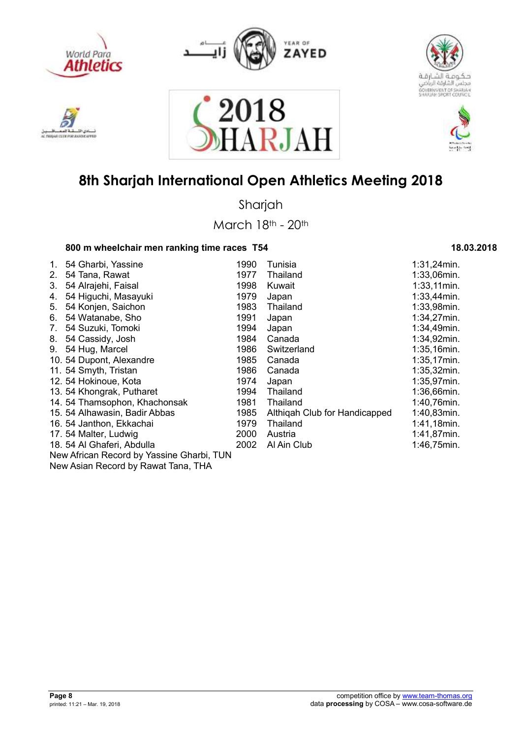

دی اڈ

**STREET** 

**ENGINE CLEVE FOR JUNIOR** 











## **8th Sharjah International Open Athletics Meeting 2018**

Sharjah

March 18th - 20th

### 800 m wheelchair men ranking time races T54 18.03.2018

| 1.          | 54 Gharbi, Yassine                        | 1990 | Tunisia                       | $1:31,24$ min. |
|-------------|-------------------------------------------|------|-------------------------------|----------------|
| $2_{\cdot}$ | 54 Tana, Rawat                            | 1977 | Thailand                      | 1:33,06min.    |
| 3.          | 54 Alrajehi, Faisal                       | 1998 | Kuwait                        | $1:33,11$ min. |
| 4.          | 54 Higuchi, Masayuki                      | 1979 | Japan                         | $1:33,44$ min. |
| 5.          | 54 Konjen, Saichon                        | 1983 | Thailand                      | 1:33,98min.    |
| 6.          | 54 Watanabe, Sho                          | 1991 | Japan                         | 1:34,27min.    |
| 7.          | 54 Suzuki, Tomoki                         | 1994 | Japan                         | 1:34,49min.    |
| 8.          | 54 Cassidy, Josh                          | 1984 | Canada                        | $1:34,92$ min. |
| 9.          | 54 Hug, Marcel                            | 1986 | Switzerland                   | 1:35,16min.    |
|             | 10. 54 Dupont, Alexandre                  | 1985 | Canada                        | $1:35,17$ min. |
|             | 11. 54 Smyth, Tristan                     | 1986 | Canada                        | $1:35,32$ min. |
|             | 12. 54 Hokinoue, Kota                     | 1974 | Japan                         | $1:35,97$ min. |
|             | 13. 54 Khongrak, Putharet                 | 1994 | Thailand                      | 1:36,66min.    |
|             | 14. 54 Thamsophon, Khachonsak             | 1981 | Thailand                      | 1:40,76min.    |
|             | 15. 54 Alhawasin, Badir Abbas             | 1985 | Althigah Club for Handicapped | 1:40,83min.    |
|             | 16. 54 Janthon, Ekkachai                  | 1979 | Thailand                      | 1:41,18min.    |
|             | 17. 54 Malter, Ludwig                     | 2000 | Austria                       | 1:41,87min.    |
|             | 18. 54 Al Ghaferi, Abdulla                | 2002 | Al Ain Club                   | 1:46,75min.    |
|             | New African Record by Yassine Gharbi, TUN |      |                               |                |
|             | Now Asian Besard by Bough Tang, TUA       |      |                               |                |

New Asian Record by Rawat Tana, THA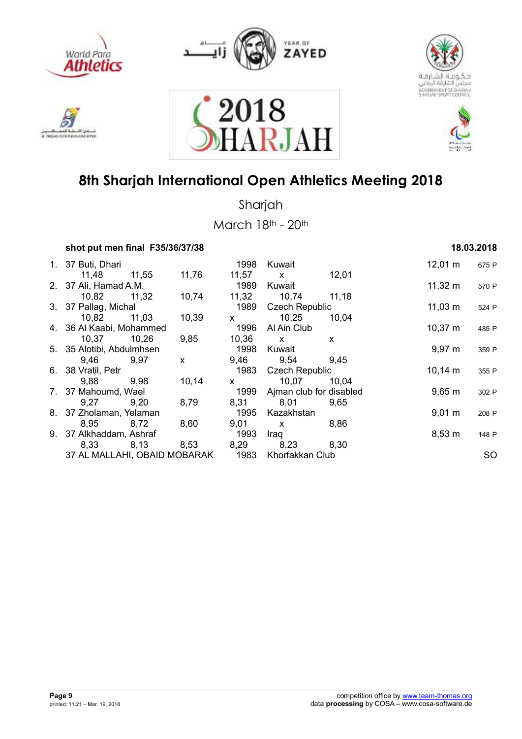











Sharjah

| shot put men final F35/36/37/38 |       |       |                |                         |       |              | 18.03.2018 |           |
|---------------------------------|-------|-------|----------------|-------------------------|-------|--------------|------------|-----------|
| 1. 37 Buti, Dhari               |       |       | 1998           | Kuwait                  |       | $12,01 \; m$ |            | 675 P     |
| 11,48                           | 11,55 | 11,76 | 11,57          | $\mathsf{X}$            | 12,01 |              |            |           |
| 2. 37 Ali, Hamad A.M.           |       |       | 1989           | Kuwait                  |       | $11,32 \; m$ |            | 570 P     |
| 10,82                           | 11,32 | 10,74 | 11,32          | 10,74                   | 11,18 |              |            |           |
| 3. 37 Pallag, Michal            |       |       | 1989           | <b>Czech Republic</b>   |       | $11,03 \; m$ |            | 524 P     |
| 10,82                           | 11,03 | 10,39 | $\mathsf{X}^-$ | 10,25                   | 10,04 |              |            |           |
| 4. 36 Al Kaabi, Mohammed        |       |       | 1996           | Al Ain Club             |       | $10,37 \; m$ |            | 485 P     |
| 10,37                           | 10,26 | 9,85  | 10,36          | $\mathsf{x}$            | X     |              |            |           |
| 5. 35 Alotibi, Abdulmhsen       |       |       | 1998           | Kuwait                  |       | $9,97 \; m$  |            | 359 P     |
| 9,46                            | 9,97  | X     | 9,46           | 9,54                    | 9,45  |              |            |           |
| 6. 38 Vratil, Petr              |       |       | 1983           | <b>Czech Republic</b>   |       | $10,14 \; m$ |            | 355 P     |
| 9,88                            | 9,98  | 10,14 | $\mathsf{X}$   | 10,07                   | 10,04 |              |            |           |
| 7. 37 Mahoumd, Wael             |       |       | 1999           | Ajman club for disabled |       | $9,65 \; m$  |            | 302 P     |
| 9,27                            | 9,20  | 8,79  | 8,31           | 8,01                    | 9.65  |              |            |           |
| 8. 37 Zholaman, Yelaman         |       |       | 1995           | Kazakhstan              |       | $9,01 \; m$  |            | 208 P     |
| 8,95                            | 8,72  | 8,60  | 9,01           | $\mathbf{x}$            | 8,86  |              |            |           |
| 9. 37 Alkhaddam, Ashraf         |       |       | 1993           | Iraq                    |       | $8,53 \; m$  |            | 148 P     |
| 8,33                            | 8,13  | 8,53  | 8,29           | 8,23                    | 8,30  |              |            |           |
| 37 AL MALLAHI, OBAID MOBARAK    |       |       | 1983           | Khorfakkan Club         |       |              |            | <b>SO</b> |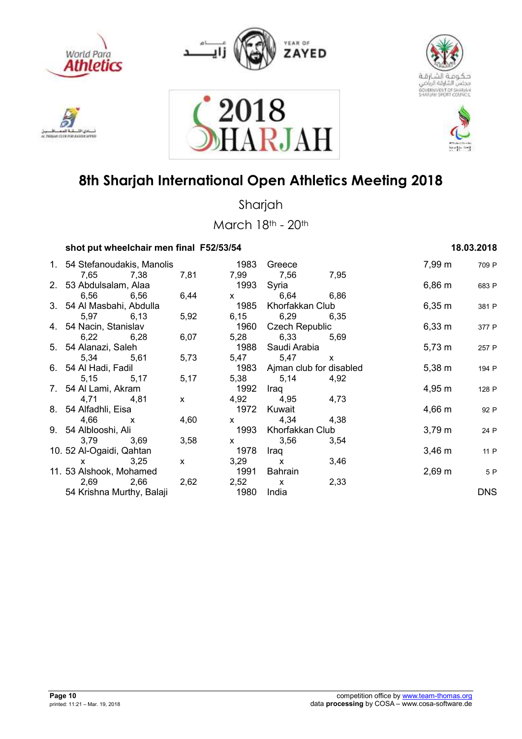











Sharjah

| shot put wheelchair men final F52/53/54 |      |      |              |                         |              | 18.03.2018       |            |
|-----------------------------------------|------|------|--------------|-------------------------|--------------|------------------|------------|
| 1. 54 Stefanoudakis, Manolis            |      |      | 1983         | Greece                  |              | 7,99 m           | 709 P      |
| 7,65                                    | 7,38 | 7,81 | 7,99         | 7,56                    | 7,95         |                  |            |
| 2. 53 Abdulsalam, Alaa                  |      |      | 1993         | Syria                   |              | $6,86 \; m$      | 683 P      |
| 6,56                                    | 6,56 | 6,44 | $\mathsf{X}$ | 6,64                    | 6,86         |                  |            |
| 3. 54 Al Masbahi, Abdulla               |      |      | 1985         | Khorfakkan Club         |              | $6,35 \; m$      | 381 P      |
| 5,97                                    | 6,13 | 5,92 | 6,15         | 6,29                    | 6,35         |                  |            |
| 4. 54 Nacin, Stanislav                  |      |      | 1960         | <b>Czech Republic</b>   |              | 6,33 m           | 377 P      |
| 6,22                                    | 6,28 | 6,07 | 5,28         | 6,33                    | 5,69         |                  |            |
| 5. 54 Alanazi, Saleh                    |      |      | 1988         | Saudi Arabia            |              | $5,73 \; m$      | 257 P      |
| 5,34                                    | 5,61 | 5,73 | 5,47         | 5,47                    | $\mathsf{x}$ |                  |            |
| 6. 54 Al Hadi, Fadil                    |      |      | 1983         | Ajman club for disabled |              | $5,38 \; m$      | 194 P      |
| 5,15                                    | 5,17 | 5,17 | 5,38         | 5,14                    | 4,92         |                  |            |
| 7. 54 Al Lami, Akram                    |      |      | 1992         | Iraq                    |              | 4,95 m           | 128 P      |
| 4,71                                    | 4,81 | X    | 4,92         | 4,95                    | 4,73         |                  |            |
| 8. 54 Alfadhli, Eisa                    |      |      | 1972         | Kuwait                  |              | $4,66 \, m$      | 92 P       |
| 4,66<br>$\mathsf{X}$                    |      | 4,60 | $\mathsf{X}$ | 4,34                    | 4,38         |                  |            |
| 9. 54 Alblooshi, Ali                    |      |      | 1993         | Khorfakkan Club         |              | $3,79 \; m$      | 24 P       |
| 3,79                                    | 3,69 | 3,58 | $\mathsf{x}$ | 3,56                    | 3,54         |                  |            |
| 10. 52 Al-Ogaidi, Qahtan                |      |      | 1978         | Iraq                    |              | $3,46 \; m$      | 11 P       |
| $\mathsf{x}$                            | 3,25 | X    | 3,29         | X                       | 3,46         |                  |            |
| 11. 53 Alshook, Mohamed                 |      |      | 1991         | Bahrain                 |              | $2,69 \text{ m}$ | 5 P        |
| 2,69                                    | 2,66 | 2,62 | 2,52         | $\mathbf{x}$            | 2,33         |                  |            |
| 54 Krishna Murthy, Balaji               |      |      | 1980         | India                   |              |                  | <b>DNS</b> |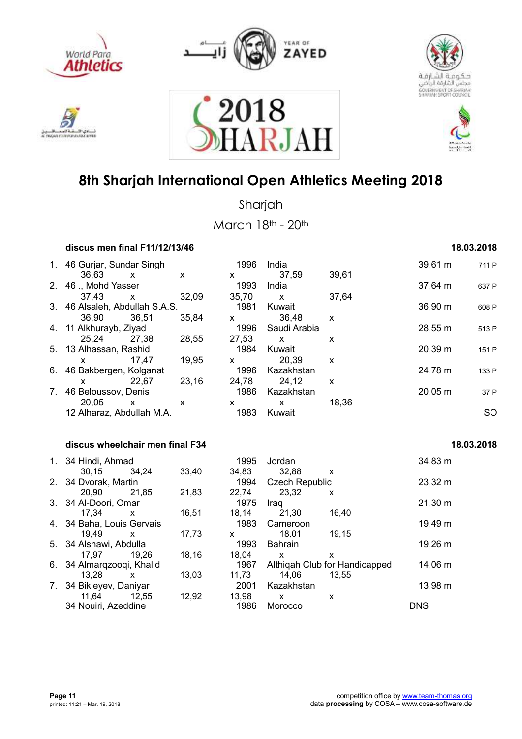











Sharjah

|                                | discus men final F11/12/13/46       |              |              |                      |                                |                                    |              | 18.03.2018 |
|--------------------------------|-------------------------------------|--------------|--------------|----------------------|--------------------------------|------------------------------------|--------------|------------|
|                                | 1. 46 Gurjar, Sundar Singh<br>36,63 | $\mathsf{x}$ | X            | 1996<br>$\mathsf{X}$ | India<br>37,59                 | 39,61                              | 39,61 m      | 711 P      |
|                                | 2. 46 ., Mohd Yasser<br>37,43       |              |              | 1993<br>35,70        | India<br>$\mathsf{x}$          |                                    | 37,64 m      | 637 P      |
|                                | 3. 46 Alsaleh, Abdullah S.A.S.      | X            | 32,09        | 1981                 | Kuwait                         | 37,64                              | 36,90 m      | 608 P      |
| 4.                             | 36,90<br>11 Alkhurayb, Ziyad        | 36,51        | 35,84        | X.<br>1996           | 36,48<br>Saudi Arabia          | X                                  | 28,55 m      | 513 P      |
| 5.                             | 25,24<br>13 Alhassan, Rashid        | 27,38        | 28,55        | 27,53<br>1984        | $\mathsf{x}$<br>Kuwait         | X                                  | 20,39 m      | 151 P      |
| 6.                             | X<br>46 Bakbergen, Kolganat         | 17,47        | 19,95        | X<br>1996            | 20,39<br>Kazakhstan            | X                                  | 24,78 m      | 133 P      |
| $7_{\scriptscriptstyle{\sim}}$ | X.<br>46 Beloussov, Denis           | 22,67        | 23,16        | 24,78<br>1986        | 24,12<br>Kazakhstan            | X                                  | 20,05 m      | 37 P       |
|                                | 20,05<br>12 Alharaz, Abdullah M.A.  | $\mathsf{x}$ | $\mathsf{x}$ | X<br>1983            | $\mathsf{x}$<br>Kuwait         | 18,36                              |              | <b>SO</b>  |
|                                | discus wheelchair men final F34     |              |              |                      |                                |                                    |              | 18.03.2018 |
|                                | 1. 34 Hindi, Ahmad                  |              |              | 1995                 | Jordan                         |                                    | 34,83 m      |            |
|                                | 30,15<br>2. 34 Dvorak, Martin       | 34,24        | 33,40        | 34,83<br>1994        | 32,88<br><b>Czech Republic</b> | $\pmb{\chi}$                       | 23,32 m      |            |
| 3.                             | 20,90<br>34 Al-Doori, Omar          | 21,85        | 21,83        | 22,74<br>1975        | 23,32<br>Iraq                  | X                                  | $21,30 \; m$ |            |
|                                | 17,34<br>4. 34 Baha, Louis Gervais  | X            | 16,51        | 18,14<br>1983        | 21,30<br>Cameroon              | 16,40                              | 19,49 m      |            |
|                                | 19,49<br>5. 34 Alshawi, Abdulla     | x            | 17,73        | X.<br>1993           | 18,01<br><b>Bahrain</b>        | 19,15                              | 19,26 m      |            |
|                                | 17,97<br>6. 34 Almarqzooqi, Khalid  | 19.26        | 18,16        | 18,04<br>1967        | x                              | x<br>Althigah Club for Handicapped | 14,06 m      |            |
| 7.                             | 13,28<br>34 Bikleyev, Daniyar       | $\mathsf{x}$ | 13,03        | 11,73<br>2001        | 14,06<br>Kazakhstan            | 13,55                              | 13,98 m      |            |
|                                | 11,64<br>34 Nouiri, Azeddine        | 12,55        | 12,92        | 13,98<br>1986        | X<br>Morocco                   | X                                  | <b>DNS</b>   |            |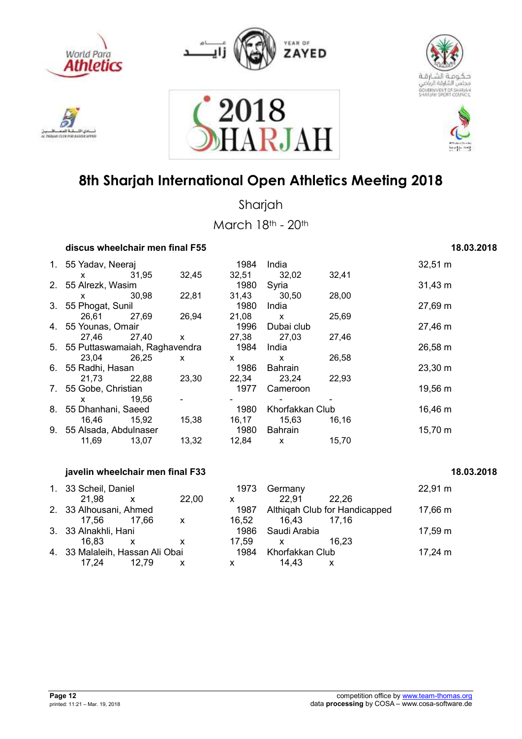











Sharjah

March 18th - 20th

| discus wheelchair men final F55  |       | 18.03.2018 |       |                 |       |              |
|----------------------------------|-------|------------|-------|-----------------|-------|--------------|
| 1. 55 Yadav, Neeraj              |       |            | 1984  | India           |       | 32,51 m      |
| X                                | 31,95 | 32,45      | 32,51 | 32,02           | 32,41 |              |
| 2. 55 Alrezk, Wasim              |       |            | 1980  | Syria           |       | $31,43 \; m$ |
| X.                               | 30,98 | 22,81      | 31,43 | 30,50           | 28,00 |              |
| 3. 55 Phogat, Sunil              |       |            | 1980  | India           |       | 27,69 m      |
| 26,61                            | 27,69 | 26,94      | 21,08 | $\mathsf{x}$    | 25,69 |              |
| 4. 55 Younas, Omair              |       |            | 1996  | Dubai club      |       | 27,46 m      |
| 27,46                            | 27,40 | X          | 27,38 | 27,03           | 27,46 |              |
| 5. 55 Puttaswamaiah, Raghavendra |       |            | 1984  | India           |       | 26,58 m      |
| 23,04                            | 26,25 | X          | X     | $\mathsf{x}$    | 26,58 |              |
| 6. 55 Radhi, Hasan               |       |            | 1986  | Bahrain         |       | 23,30 m      |
| 21,73                            | 22,88 | 23,30      | 22,34 | 23,24           | 22,93 |              |
| 7. 55 Gobe, Christian            |       |            | 1977  | Cameroon        |       | 19,56 m      |
| X                                | 19.56 |            |       |                 |       |              |
| 8. 55 Dhanhani, Saeed            |       |            | 1980  | Khorfakkan Club |       | 16,46 m      |
| 16,46                            | 15,92 | 15,38      | 16,17 | 15,63           | 16,16 |              |
| 9. 55 Alsada, Abdulnaser         |       |            | 1980  | Bahrain         |       | 15,70 m      |
| 11,69                            | 13,07 | 13,32      | 12,84 | $\mathsf{x}$    | 15,70 |              |
|                                  |       |            |       |                 |       |              |

### **javelin wheelchair men final F33** 18.03.2018

| 1. 33 Scheil, Daniel            |              |              | 1973  | Germany         |                               | $22,91 \text{ m}$ |
|---------------------------------|--------------|--------------|-------|-----------------|-------------------------------|-------------------|
| 21.98                           | $\mathsf{X}$ | 22,00        | X     | 22,91           | 22.26                         |                   |
| 2. 33 Alhousani, Ahmed          |              |              | 1987  |                 | Althigah Club for Handicapped | 17,66 m           |
| 17.56                           | 17.66        | $\mathbf{X}$ | 16,52 | 16.43           | 17.16                         |                   |
| 3. 33 Alnakhli, Hani            |              |              | 1986  | Saudi Arabia    |                               | 17,59 m           |
| 16.83                           | X            |              | 17,59 | x               | 16.23                         |                   |
| 4. 33 Malaleih, Hassan Ali Obai |              |              | 1984  | Khorfakkan Club |                               | 17,24 $m$         |
| 17.24                           | 12.79        | x            | x     | 14.43           | X                             |                   |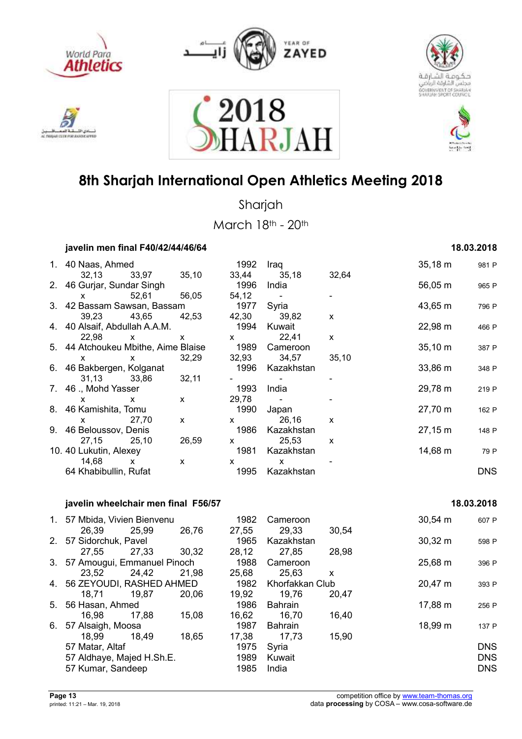











Sharjah

March 18th - 20th

| javelin men final F40/42/44/46/64                                                                                                                                                                                                                                                                |              |              |                                                                                                                                                                                                                                                                                                  |              |              |              | 18.03.2018 |
|--------------------------------------------------------------------------------------------------------------------------------------------------------------------------------------------------------------------------------------------------------------------------------------------------|--------------|--------------|--------------------------------------------------------------------------------------------------------------------------------------------------------------------------------------------------------------------------------------------------------------------------------------------------|--------------|--------------|--------------|------------|
| 1. 40 Naas, Ahmed                                                                                                                                                                                                                                                                                |              |              | 1992                                                                                                                                                                                                                                                                                             | Iraq         |              | $35,18 \; m$ | 981 P      |
|                                                                                                                                                                                                                                                                                                  | 32,13 33,97  | 35,10        | 33,44                                                                                                                                                                                                                                                                                            | 35,18        | 32,64        |              |            |
| 2. 46 Gurjar, Sundar Singh                                                                                                                                                                                                                                                                       |              |              | 1996                                                                                                                                                                                                                                                                                             | India        |              | $56,05 \; m$ | 965 P      |
| $\mathsf{X}$ and $\mathsf{X}$ and $\mathsf{X}$ are $\mathsf{X}$ and $\mathsf{X}$ are $\mathsf{X}$ and $\mathsf{X}$ are $\mathsf{X}$ and $\mathsf{X}$ are $\mathsf{X}$ and $\mathsf{X}$ are $\mathsf{X}$ and $\mathsf{X}$ are $\mathsf{X}$ and $\mathsf{X}$ are $\mathsf{X}$ and $\mathsf{X}$ are | 52,61        | 56,05        | 54,12                                                                                                                                                                                                                                                                                            |              |              |              |            |
| 3. 42 Bassam Sawsan, Bassam                                                                                                                                                                                                                                                                      |              |              | 1977 Syria                                                                                                                                                                                                                                                                                       |              |              | 43,65 m      | 796 P      |
|                                                                                                                                                                                                                                                                                                  | 39,23 43,65  | 42,53        |                                                                                                                                                                                                                                                                                                  | 42,30 39,82  | X            |              |            |
| 4. 40 Alsaif, Abdullah A.A.M.                                                                                                                                                                                                                                                                    |              |              | 1994                                                                                                                                                                                                                                                                                             | Kuwait       |              | 22,98 m      | 466 P      |
| $22,98$ x                                                                                                                                                                                                                                                                                        |              | $\mathsf{x}$ | $\mathbf x$ and $\mathbf x$                                                                                                                                                                                                                                                                      | 22,41        | $\mathsf{x}$ |              |            |
| 5. 44 Atchoukeu Mbithe, Aime Blaise                                                                                                                                                                                                                                                              |              |              | 1989                                                                                                                                                                                                                                                                                             | Cameroon     |              | $35,10 \; m$ | 387 P      |
| $\mathsf{x}$<br>$\mathsf{X}$                                                                                                                                                                                                                                                                     |              | 32,29        |                                                                                                                                                                                                                                                                                                  | 32,93 34,57  | 35,10        |              |            |
| 6. 46 Bakbergen, Kolganat                                                                                                                                                                                                                                                                        |              |              | 1996                                                                                                                                                                                                                                                                                             | Kazakhstan   |              | $33,86 \; m$ | 348 P      |
| 31,13 33,86                                                                                                                                                                                                                                                                                      |              | 32,11        |                                                                                                                                                                                                                                                                                                  |              |              |              |            |
| 7. 46 ., Mohd Yasser                                                                                                                                                                                                                                                                             |              |              | 1993                                                                                                                                                                                                                                                                                             | India        |              | 29,78 m      | 219 P      |
| $\mathsf{X}$ and $\mathsf{X}$ and $\mathsf{X}$ are $\mathsf{X}$ and $\mathsf{X}$ are $\mathsf{X}$ and $\mathsf{X}$ are $\mathsf{X}$ and $\mathsf{X}$ are $\mathsf{X}$ and $\mathsf{X}$ are $\mathsf{X}$ and $\mathsf{X}$ are $\mathsf{X}$ and $\mathsf{X}$ are $\mathsf{X}$ and $\mathsf{X}$ are | $\mathsf{x}$ | X            | 29,78                                                                                                                                                                                                                                                                                            |              |              |              |            |
| 8. 46 Kamishita, Tomu                                                                                                                                                                                                                                                                            |              |              | 1990                                                                                                                                                                                                                                                                                             | Japan        |              | 27,70 m      | 162 P      |
| x 27,70                                                                                                                                                                                                                                                                                          |              | X            | $\mathsf{X}$ and $\mathsf{X}$ and $\mathsf{X}$ are $\mathsf{X}$ and $\mathsf{X}$ are $\mathsf{X}$ and $\mathsf{X}$ are $\mathsf{X}$ and $\mathsf{X}$ are $\mathsf{X}$ and $\mathsf{X}$ are $\mathsf{X}$ and $\mathsf{X}$ are $\mathsf{X}$ and $\mathsf{X}$ are $\mathsf{X}$ and $\mathsf{X}$ are | 26,16        | X            |              |            |
| 9. 46 Beloussov, Denis                                                                                                                                                                                                                                                                           |              |              | 1986                                                                                                                                                                                                                                                                                             | Kazakhstan   |              | $27,15 \; m$ | 148 P      |
| 27,15 25,10                                                                                                                                                                                                                                                                                      |              | 26,59        |                                                                                                                                                                                                                                                                                                  | x 25,53      | X            |              |            |
| 10. 40 Lukutin, Alexey                                                                                                                                                                                                                                                                           |              |              | 1981                                                                                                                                                                                                                                                                                             | Kazakhstan   |              | 14,68 m      | 79 P       |
| 14,68 x                                                                                                                                                                                                                                                                                          |              | X            | X.                                                                                                                                                                                                                                                                                               | $\mathsf{x}$ |              |              |            |
| 64 Khabibullin, Rufat                                                                                                                                                                                                                                                                            |              |              | 1995                                                                                                                                                                                                                                                                                             | Kazakhstan   |              |              | <b>DNS</b> |
|                                                                                                                                                                                                                                                                                                  |              |              |                                                                                                                                                                                                                                                                                                  |              |              |              |            |

#### **javelin wheelchair men final F56/57** 18.03.2018

|                             |       |                                                                                                           | 1982                                                                                        | Cameroon       |       | $30,54 \, \text{m}$ | 607 P      |
|-----------------------------|-------|-----------------------------------------------------------------------------------------------------------|---------------------------------------------------------------------------------------------|----------------|-------|---------------------|------------|
| 26,39                       | 25,99 | 26,76                                                                                                     | 27,55                                                                                       | 29,33          | 30,54 |                     |            |
|                             |       |                                                                                                           | 1965                                                                                        | Kazakhstan     |       | $30,32 \; m$        | 598 P      |
| 27,55                       | 27,33 | 30,32                                                                                                     | 28,12                                                                                       | 27,85          | 28,98 |                     |            |
|                             |       |                                                                                                           | 1988                                                                                        | Cameroon       |       | 25,68 m             | 396 P      |
| 23.52                       | 24,42 | 21,98                                                                                                     | 25,68                                                                                       | 25,63          | x     |                     |            |
| 4. 56 ZEYOUDI, RASHED AHMED |       |                                                                                                           | 1982                                                                                        |                |       | 20,47 m             | 393 P      |
| 18,71                       | 19,87 | 20,06                                                                                                     | 19,92                                                                                       | 19,76          | 20,47 |                     |            |
|                             |       |                                                                                                           | 1986                                                                                        | <b>Bahrain</b> |       | 17,88 m             | 256 P      |
| 16,98                       | 17,88 | 15,08                                                                                                     | 16,62                                                                                       | 16,70          | 16,40 |                     |            |
|                             |       |                                                                                                           | 1987                                                                                        | <b>Bahrain</b> |       | 18,99 m             | 137 P      |
| 18.99                       | 18.49 | 18,65                                                                                                     | 17,38                                                                                       | 17,73          | 15,90 |                     |            |
|                             |       |                                                                                                           | 1975                                                                                        | Syria          |       |                     | <b>DNS</b> |
|                             |       |                                                                                                           | 1989                                                                                        | Kuwait         |       |                     | <b>DNS</b> |
|                             |       |                                                                                                           | 1985                                                                                        | India          |       |                     | <b>DNS</b> |
|                             |       | 2. 57 Sidorchuk, Pavel<br>5. 56 Hasan, Ahmed<br>57 Alsaigh, Moosa<br>57 Matar, Altaf<br>57 Kumar, Sandeep | 1. 57 Mbida, Vivien Bienvenu<br>3. 57 Amougui, Emmanuel Pinoch<br>57 Aldhaye, Majed H.Sh.E. |                |       | Khorfakkan Club     |            |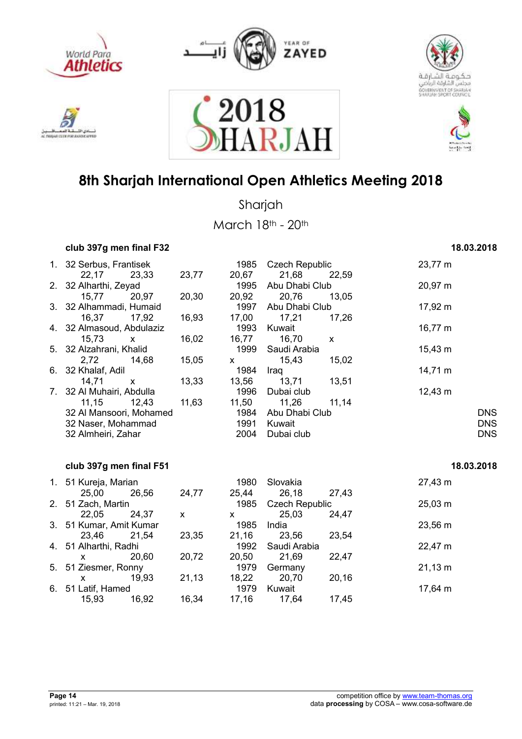











Sharjah

March 18th - 20th

| club 397g men final F32 | 18.03.2018 |
|-------------------------|------------|
|-------------------------|------------|

### 1. 32 Serbus, Frantisek 1985 Czech Republic 23,77 m 22,17 23,33 23,77 20,67 21,68 22,59 2. 32 Alharthi, Zeyad 1995 Abu Dhabi Club 20,97 m 15,77 20,97 20,30 20,92 20,76 13,05 3. 32 Alhammadi, Humaid 1997 Abu Dhabi Club 17,92 m 16,37 17,92 16,93 17,00 17,21 17,26 4. 32 Almasoud, Abdulaziz 1993 Kuwait 16,77 m 15,73 x 16,02 16,77 16,70 x 5. 32 Alzahrani, Khalid 1999 Saudi Arabia 15,43 m 2,72 14,68 15,05 x 15,43 15,02 6. 32 Khalaf, Adil 1984 Iraq 14,71 m 14,71 x 13,33 13,56 13,71 13,51 7. 32 Al Muhairi, Abdulla 1996 Dubai club 12,43 m 11,15 12,43 11,63 11,50 11,26 11,14 32 Al Mansoori, Mohamed 1984 Abu Dhabi Club DNS 32 Naser, Mohammad 1991 Kuwait DNS 32 Almheiri, Zahar 2004 Dubai club DNS **club 397g men final F51 18.03.2018**

#### 1. 51 Kureja, Marian 1980 Slovakia 27,43 m 25,00 26,56 24,77 25,44 26,18 27,43 2. 51 Zach, Martin 1985 Czech Republic 25,03 m 22,05 24,37 x x 25,03 24,47 3. 51 Kumar, Amit Kumar 1985 India 23,56 m 23,46 21,54 23,35 21,16 23,56 23,54 4. 51 Alharthi, Radhi 1992 Saudi Arabia 22,47 m x 20,60 20,72 20,50 21,69 22,47 5. 51 Ziesmer, Ronny 1979 Germany 21,13 m x 19,93 21,13 18,22 20,70 20,16 6. 51 Latif, Hamed 1979 Kuwait 17,64 m 15,93 16,92 16,34 17,16 17,64 17,45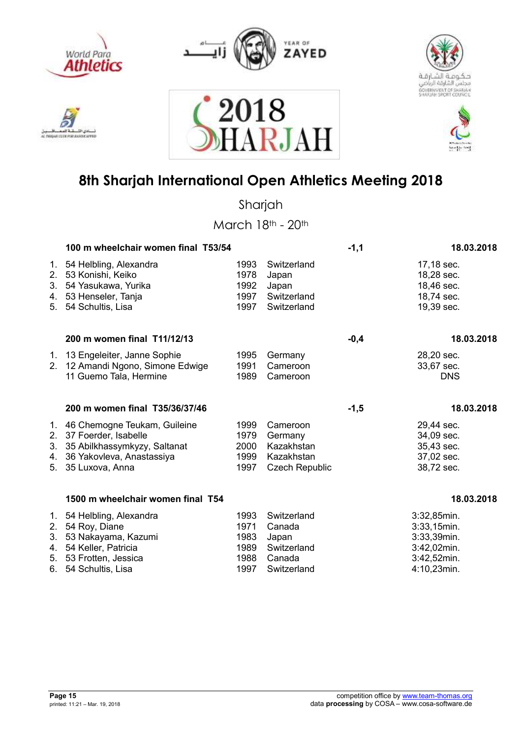



2018





## **8th Sharjah International Open Athletics Meeting 2018**

RJAI

Sharjah

|                            | 100 m wheelchair women final T53/54                                                                                                     |                                              | $-1,1$                                                                   | 18.03.2018 |                                                                                        |
|----------------------------|-----------------------------------------------------------------------------------------------------------------------------------------|----------------------------------------------|--------------------------------------------------------------------------|------------|----------------------------------------------------------------------------------------|
| 1.<br>2.<br>3.<br>4.<br>5. | 54 Helbling, Alexandra<br>53 Konishi, Keiko<br>54 Yasukawa, Yurika<br>53 Henseler, Tanja<br>54 Schultis, Lisa                           | 1993<br>1978<br>1992<br>1997<br>1997         | Switzerland<br>Japan<br>Japan<br>Switzerland<br>Switzerland              |            | 17,18 sec.<br>18,28 sec.<br>18,46 sec.<br>18,74 sec.<br>19,39 sec.                     |
|                            | 200 m women final T11/12/13                                                                                                             |                                              |                                                                          | $-0,4$     | 18.03.2018                                                                             |
| 2.                         | 1. 13 Engeleiter, Janne Sophie<br>12 Amandi Ngono, Simone Edwige<br>11 Guemo Tala, Hermine                                              | 1995<br>1991<br>1989                         | Germany<br>Cameroon<br>Cameroon                                          |            | 28,20 sec.<br>33,67 sec.<br><b>DNS</b>                                                 |
|                            | 200 m women final T35/36/37/46                                                                                                          |                                              |                                                                          | $-1,5$     | 18.03.2018                                                                             |
| 2.<br>3.<br>4.<br>5.       | 1. 46 Chemogne Teukam, Guileine<br>37 Foerder, Isabelle<br>35 Abilkhassymkyzy, Saltanat<br>36 Yakovleva, Anastassiya<br>35 Luxova, Anna | 1999<br>1979<br>2000<br>1999<br>1997         | Cameroon<br>Germany<br>Kazakhstan<br>Kazakhstan<br><b>Czech Republic</b> |            | 29,44 sec.<br>34,09 sec.<br>35,43 sec.<br>37,02 sec.<br>38,72 sec.                     |
|                            | 1500 m wheelchair women final T54                                                                                                       |                                              |                                                                          |            | 18.03.2018                                                                             |
| 1.<br>2.<br>3.<br>4.<br>6. | 54 Helbling, Alexandra<br>54 Roy, Diane<br>53 Nakayama, Kazumi<br>54 Keller, Patricia<br>5. 53 Frotten, Jessica<br>54 Schultis, Lisa    | 1993<br>1971<br>1983<br>1989<br>1988<br>1997 | Switzerland<br>Canada<br>Japan<br>Switzerland<br>Canada<br>Switzerland   |            | 3:32,85min.<br>3:33,15min.<br>3:33,39min.<br>3:42,02min.<br>3:42,52min.<br>4:10,23min. |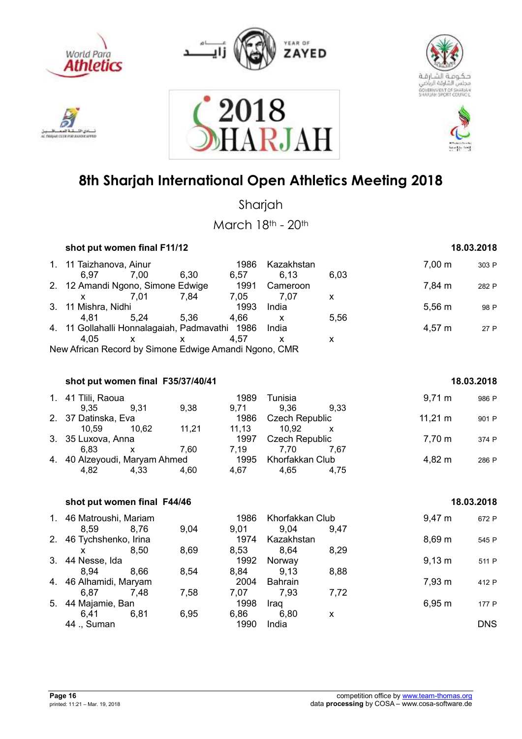

دی اڈ

**STREET** 

AC TWO AT CLER FOR A LIGHT



2018





## **8th Sharjah International Open Athletics Meeting 2018**

**RJA** 

Sharjah

March 18th - 20th

| shot put women final F11/12                           |      |      | 18.03.2018 |              |             |        |       |
|-------------------------------------------------------|------|------|------------|--------------|-------------|--------|-------|
| 1. 11 Taizhanova, Ainur                               |      |      | 1986       | Kazakhstan   |             | 7.00 m | 303 P |
| 6.97                                                  | 7.00 | 6,30 | 6,57       | 6,13         | 6.03        |        |       |
| 2. 12 Amandi Ngono, Simone Edwige                     |      |      | 1991       | Cameroon     |             | 7,84 m | 282 P |
|                                                       | 7.01 | 7,84 | 7,05       | 7.07         | X           |        |       |
| 3. 11 Mishra, Nidhi<br>1993                           |      |      | India      |              | $5,56 \; m$ | 98 P   |       |
| 4.81                                                  | 5.24 | 5.36 | 4,66       | $\mathsf{X}$ | 5,56        |        |       |
| 4. 11 Gollahalli Honnalagaiah, Padmavathi 1986        |      |      |            | India        |             | 4,57 m | 27 P  |
| 4.05                                                  |      |      | 4.57       | x            | X           |        |       |
| New African Record by Simone Edwige Amandi Ngono, CMR |      |      |            |              |             |        |       |

#### **shot put women final F35/37/40/41 18.03.2018**

| 1. 41 Tlili, Raoua            |       |       | 1989  | Tunisia               |      | $9,71 \; m$  | 986 P |
|-------------------------------|-------|-------|-------|-----------------------|------|--------------|-------|
| 9.35                          | 9.31  | 9.38  | 9.71  | 9.36                  | 9.33 |              |       |
| 2. 37 Datinska, Eva           |       |       | 1986  | Czech Republic        |      | $11,21 \; m$ | 901 P |
| 10.59                         | 10.62 | 11,21 | 11.13 | 10.92                 |      |              |       |
| 3. 35 Luxova, Anna            |       |       | 1997  | <b>Czech Republic</b> |      | 7,70 m       | 374 P |
| 6.83                          |       | 7.60  | 7.19  | 7.70                  | 7.67 |              |       |
| 4. 40 Alzeyoudi, Maryam Ahmed |       |       | 1995  | Khorfakkan Club       |      | 4,82 m       | 286 P |
| 4,82                          | 4,33  | 4.60  | 4.67  | 4.65                  | 4.75 |              |       |

|    | shot put women final F44/46 | 18.03.2018 |      |      |                 |      |             |            |
|----|-----------------------------|------------|------|------|-----------------|------|-------------|------------|
|    | 1. 46 Matroushi, Mariam     |            |      | 1986 | Khorfakkan Club |      | $9,47 \; m$ | 672 P      |
|    | 8,59                        | 8.76       | 9,04 | 9,01 | 9,04            | 9.47 |             |            |
|    | 2. 46 Tychshenko, Irina     |            |      | 1974 | Kazakhstan      |      | $8,69 \; m$ | 545 P      |
|    |                             | 8.50       | 8,69 | 8,53 | 8,64            | 8,29 |             |            |
|    | 3. 44 Nesse, Ida            |            |      | 1992 | Norway          |      | $9,13 \; m$ | 511 P      |
|    | 8.94                        | 8,66       | 8,54 | 8,84 | 9.13            | 8,88 |             |            |
|    | 4. 46 Alhamidi, Maryam      |            |      | 2004 | <b>Bahrain</b>  |      | 7,93 m      | 412 P      |
|    | 6,87                        | 7,48       | 7,58 | 7,07 | 7.93            | 7,72 |             |            |
| 5. | 44 Majamie, Ban             |            |      | 1998 | Iraq            |      | 6,95 m      | 177 P      |
|    | 6,41                        | 6,81       | 6,95 | 6,86 | 6,80            | x    |             |            |
|    | 44 ., Suman                 |            |      | 1990 | India           |      |             | <b>DNS</b> |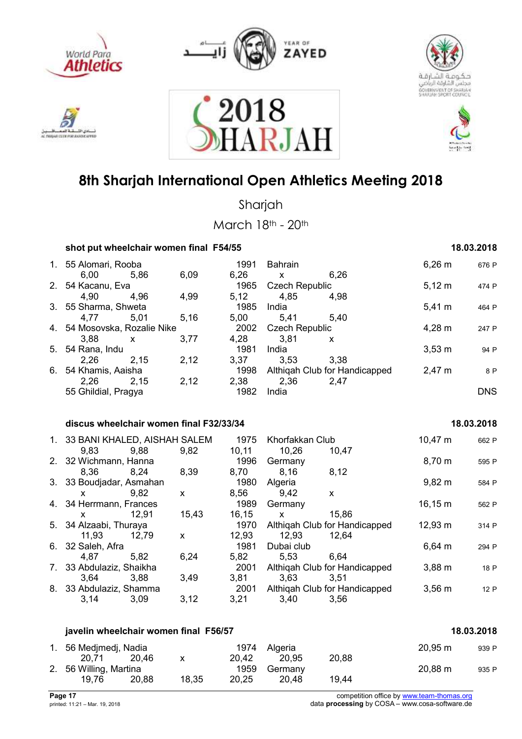











Sharjah

March 18th - 20th

|    | shot put wheelchair women final F54/55   |                    |               |                       |                                       |                  | 18.03.2018 |
|----|------------------------------------------|--------------------|---------------|-----------------------|---------------------------------------|------------------|------------|
|    | 1. 55 Alomari, Rooba                     |                    | 1991<br>6,26  | <b>Bahrain</b>        |                                       | $6,26 \; m$      | 676 P      |
|    | 6,00<br>5,86<br>2. 54 Kacanu, Eva        | 6,09               | 1965          | X<br>Czech Republic   | 6,26                                  | $5,12 \; m$      | 474 P      |
|    | 4,90<br>4,96                             | 4,99               | 5,12          | 4,85                  | 4,98                                  |                  |            |
|    | 3. 55 Sharma, Shweta                     |                    | 1985          | India                 |                                       | $5,41 \text{ m}$ | 464 P      |
|    | 4,77<br>5,01                             | 5,16               | 5,00          | 5,41                  | 5,40                                  |                  |            |
|    | 4. 54 Mosovska, Rozalie Nike             |                    | 2002          | <b>Czech Republic</b> |                                       | 4,28 m           | 247 P      |
|    | 3,88<br>X                                | 3,77               | 4,28          | 3,81                  | X                                     |                  |            |
|    |                                          |                    | 1981          | India                 |                                       | $3,53 \, m$      | 94 P       |
|    | 5. 54 Rana, Indu                         | 2,12               | 3,37          | 3,53                  | 3,38                                  |                  |            |
| 6. | 2,26<br>2,15                             |                    | 1998          |                       |                                       | 2,47 m           |            |
|    | 54 Khamis, Aaisha<br>2,26<br>2,15        | 2,12               | 2,38          | 2,36                  | Althiqah Club for Handicapped<br>2,47 |                  | 8 P        |
|    | 55 Ghildial, Pragya                      |                    | 1982          | India                 |                                       |                  | <b>DNS</b> |
|    |                                          |                    |               |                       |                                       |                  |            |
|    | discus wheelchair women final F32/33/34  |                    |               |                       |                                       |                  | 18.03.2018 |
|    | 1. 33 BANI KHALED, AISHAH SALEM          |                    | 1975          | Khorfakkan Club       |                                       | 10,47 m          | 662 P      |
|    | 9,83<br>9,88                             | 9,82               | 10,11         | 10,26                 | 10,47                                 |                  |            |
|    | 2. 32 Wichmann, Hanna                    |                    | 1996          | Germany               |                                       | 8,70 m           | 595 P      |
|    | 8,36<br>8,24                             | 8,39               | 8,70          | 8,16                  | 8,12                                  |                  |            |
|    | 3. 33 Boudjadar, Asmahan                 |                    | 1980          | Algeria               |                                       | $9,82 \, m$      | 584 P      |
|    | 9,82<br>X                                | $\mathsf{X}$       | 8,56          | 9,42                  |                                       |                  |            |
|    |                                          |                    | 1989          |                       | X                                     | 16, 15 m         |            |
|    | 4. 34 Herrmann, Frances<br>12,91         | 15,43              | 16, 15        | Germany               | 15,86                                 |                  | 562 P      |
| 5. | X<br>34 Alzaabi, Thuraya                 |                    | 1970          | X                     | Althiqah Club for Handicapped         | $12,93 \; m$     |            |
|    | 12,79                                    |                    |               | 12,93                 | 12,64                                 |                  | 314 P      |
|    | 11,93                                    | X                  | 12,93<br>1981 |                       |                                       |                  |            |
|    | 6. 32 Saleh, Afra                        | 6,24               | 5,82          | Dubai club            |                                       | $6,64 \, m$      | 294 P      |
|    | 4,87<br>5,82<br>7. 33 Abdulaziz, Shaikha |                    | 2001          | 5,53                  | 6.64                                  | 3,88 m           |            |
|    |                                          | 3,49               | 3,81          | 3,63                  | Althiqah Club for Handicapped<br>3,51 |                  | 18 P       |
|    | 3,64<br>3,88                             |                    |               |                       |                                       |                  |            |
|    | 8. 33 Abdulaziz, Shamma                  |                    | 2001          |                       | Althiqah Club for Handicapped         | $3,56 \, m$      | 12 P       |
|    | 3,14<br>3,09                             | 3,12               | 3,21          | 3,40                  | 3,56                                  |                  |            |
|    | javelin wheelchair women final F56/57    |                    |               |                       |                                       |                  | 18.03.2018 |
|    |                                          |                    |               |                       |                                       |                  |            |
|    | 1. 56 Medjmedj, Nadia<br>20,71<br>20,46  | $\pmb{\mathsf{X}}$ | 1974<br>20,42 | Algeria<br>20,95      | 20,88                                 | $20,95 \; m$     | 939 P      |
|    | 2. 56 Willing, Martina                   |                    | 1959          | Germany               |                                       | 20,88 m          | 935 P      |

19,76 20,88 18,35 20,25 20,48 19,44

**Page 17** competition office by www.team-thomas.org<br>
printed: 11:21 – Mar. 19, 2018<br>
data **processing** by COSA – www.cosa-software.de data **processing** by COSA – www.cosa-software.de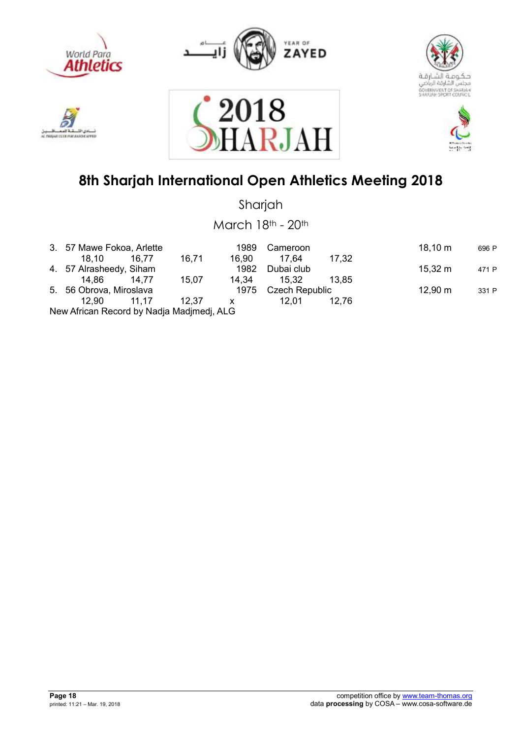











Sharjah

March 18th - 20th

| 3. 57 Mawe Fokoa, Arlette                 |       |       | 1989  | Cameroon            |       | $18,10 \; m$ | 696 P |
|-------------------------------------------|-------|-------|-------|---------------------|-------|--------------|-------|
| 18.10                                     | 16,77 | 16,71 | 16.90 | 17.64               | 17,32 |              |       |
| 4. 57 Alrasheedy, Siham                   |       |       | 1982  | Dubai club          |       | 15,32 m      | 471 P |
| 14.86                                     | 14.77 | 15,07 | 14.34 | 15.32               | 13.85 |              |       |
| 5. 56 Obrova, Miroslava                   |       |       |       | 1975 Czech Republic |       | 12,90 m      | 331 P |
| 12.90 11.17                               |       | 12.37 | X.    | 12.01               | 12.76 |              |       |
| New African Record by Nadia Madimedi, ALG |       |       |       |                     |       |              |       |

New African Record by Nadja Madjmedj, ALG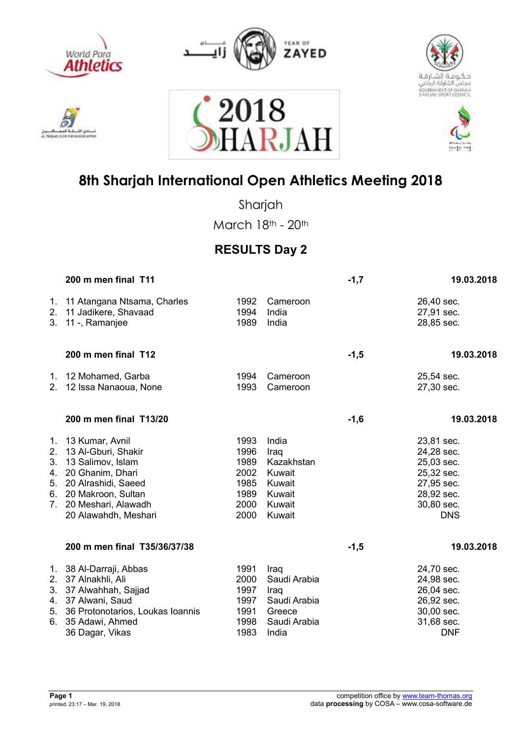











Sharjah

March 18th - 20th

### **RESULTS Day 2**

|                                  | 200 m men final T11                                                      |                      |                            | $-1,7$ | 19.03.2018                             |
|----------------------------------|--------------------------------------------------------------------------|----------------------|----------------------------|--------|----------------------------------------|
| 2.<br>3.                         | 1. 11 Atangana Ntsama, Charles<br>11 Jadikere, Shavaad<br>11 -, Ramanjee | 1992<br>1994<br>1989 | Cameroon<br>India<br>India |        | 26,40 sec.<br>27,91 sec.<br>28,85 sec. |
|                                  | 200 m men final T12                                                      |                      |                            | $-1,5$ | 19.03.2018                             |
|                                  | 1. 12 Mohamed, Garba                                                     | 1994                 | Cameroon                   |        | 25,54 sec.                             |
|                                  | 2. 12 Issa Nanaoua, None                                                 | 1993                 | Cameroon                   |        | 27,30 sec.                             |
|                                  | 200 m men final T13/20                                                   |                      |                            | $-1,6$ | 19.03.2018                             |
|                                  | 1. 13 Kumar, Avnil                                                       | 1993                 | India                      |        | 23,81 sec.                             |
| 2.                               | 13 Al-Gburi, Shakir                                                      | 1996                 | Iraq                       |        | 24,28 sec.                             |
| 3.                               | 13 Salimov, Islam                                                        | 1989                 | Kazakhstan                 |        | 25,03 sec.                             |
| 4.                               | 20 Ghanim, Dhari                                                         | 2002                 | Kuwait                     |        | 25,32 sec.                             |
| 5.                               | 20 Alrashidi, Saeed                                                      | 1985                 | Kuwait                     |        | 27,95 sec.                             |
| 6.                               | 20 Makroon, Sultan                                                       | 1989                 | Kuwait                     |        | 28,92 sec.                             |
| $7_{\scriptscriptstyle{\ddots}}$ | 20 Meshari, Alawadh                                                      | 2000                 | Kuwait                     |        | 30,80 sec.                             |
|                                  | 20 Alawahdh, Meshari                                                     | 2000                 | Kuwait                     |        | <b>DNS</b>                             |
|                                  | 200 m men final T35/36/37/38                                             |                      |                            | $-1,5$ | 19.03.2018                             |
|                                  | 1. 38 Al-Darraji, Abbas                                                  | 1991                 | Iraq                       |        | 24,70 sec.                             |
|                                  | 2. 37 Alnakhli, Ali                                                      | 2000                 | Saudi Arabia               |        | 24,98 sec.                             |
| 3.                               | 37 Alwahhah, Sajjad                                                      | 1997                 | Iraq                       |        | 26,04 sec.                             |
| 4.                               | 37 Alwani, Saud                                                          | 1997                 | Saudi Arabia               |        | 26,92 sec.                             |
| 5.                               | 36 Protonotarios, Loukas Ioannis                                         | 1991                 | Greece                     |        | 30,00 sec.                             |
| 6.                               | 35 Adawi, Ahmed                                                          | 1998                 | Saudi Arabia               |        | 31,68 sec.                             |
|                                  | 36 Dagar, Vikas                                                          | 1983                 | India                      |        | <b>DNF</b>                             |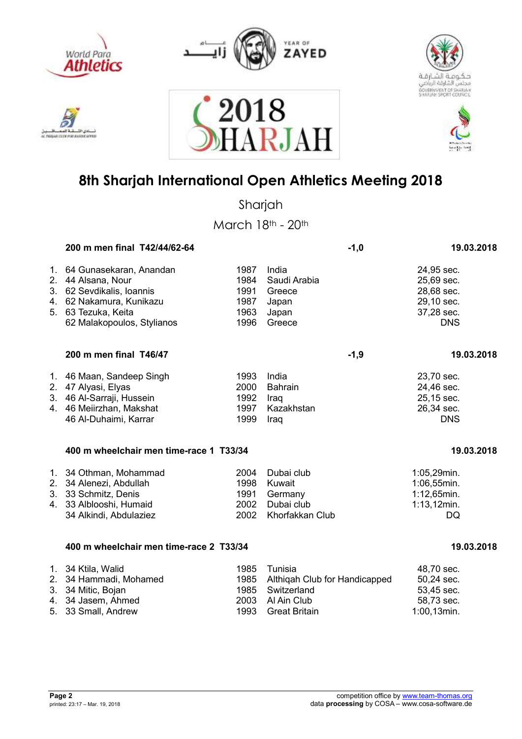











Sharjah

March 18th - 20th

|                      | 200 m men final T42/44/62-64                                                                                                                             |                                              | $-1,0$                                                           | 19.03.2018                                                                       |
|----------------------|----------------------------------------------------------------------------------------------------------------------------------------------------------|----------------------------------------------|------------------------------------------------------------------|----------------------------------------------------------------------------------|
| 1.<br>2.             | 64 Gunasekaran, Anandan<br>44 Alsana, Nour<br>3. 62 Sevdikalis, Ioannis<br>4. 62 Nakamura, Kunikazu<br>5. 63 Tezuka, Keita<br>62 Malakopoulos, Stylianos | 1987<br>1984<br>1991<br>1987<br>1963<br>1996 | India<br>Saudi Arabia<br>Greece<br>Japan<br>Japan<br>Greece      | 24,95 sec.<br>25,69 sec.<br>28,68 sec.<br>29,10 sec.<br>37,28 sec.<br><b>DNS</b> |
|                      | 200 m men final T46/47                                                                                                                                   |                                              | $-1,9$                                                           | 19.03.2018                                                                       |
|                      | 1. 46 Maan, Sandeep Singh<br>2. 47 Alyasi, Elyas<br>3. 46 Al-Sarraji, Hussein<br>4. 46 Meiirzhan, Makshat<br>46 Al-Duhaimi, Karrar                       | 1993<br>2000<br>1992<br>1997<br>1999         | India<br><b>Bahrain</b><br>Iraq<br>Kazakhstan<br>Iraq            | 23,70 sec.<br>24,46 sec.<br>25,15 sec.<br>26,34 sec.<br><b>DNS</b>               |
|                      | 400 m wheelchair men time-race 1 T33/34                                                                                                                  |                                              |                                                                  | 19.03.2018                                                                       |
| 1.<br>2.<br>3.<br>4. | 34 Othman, Mohammad<br>34 Alenezi, Abdullah<br>33 Schmitz, Denis<br>33 Alblooshi, Humaid<br>34 Alkindi, Abdulaziez                                       | 2004<br>1998<br>1991<br>2002<br>2002         | Dubai club<br>Kuwait<br>Germany<br>Dubai club<br>Khorfakkan Club | 1:05,29min.<br>1:06,55min.<br>1:12,65min.<br>$1:13,12$ min.<br>DQ                |
|                      | 400 m wheelchair men time-race 2 T33/34                                                                                                                  |                                              |                                                                  | 19.03.2018                                                                       |
| 2.<br>3.             | 1. 34 Ktila, Walid<br>34 Hammadi, Mohamed<br>34 Mitic, Bojan                                                                                             | 1985<br>1985<br>1985                         | Tunisia<br>Althiqah Club for Handicapped<br>Switzerland          | 48,70 sec.<br>50,24 sec.<br>53,45 sec.                                           |

4. 34 Jasem, Ahmed 2003 Al Ain Club 58,73 sec. 5. 33 Small, Andrew 1993 Great Britain 1:00,13min.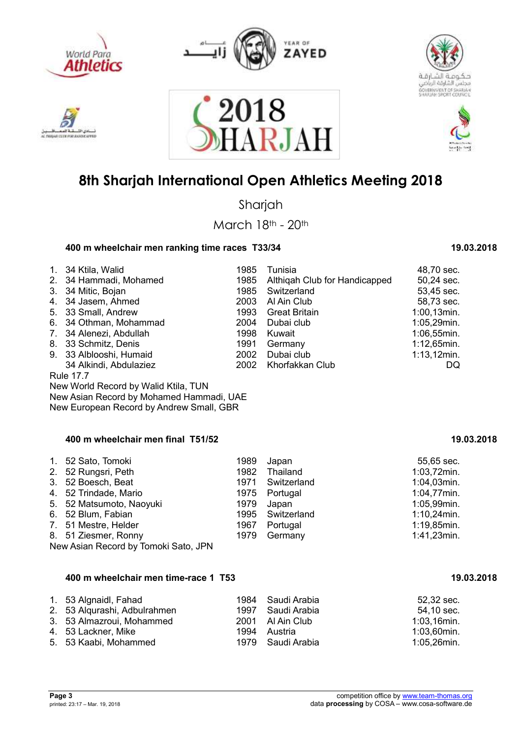











Sharjah

March 18th - 20th

### **400 m wheelchair men ranking time races T33/34 19.03.2018**

| 1.<br>2.<br>3.<br>4.<br>5.<br>6.<br>$7_{\scriptscriptstyle{\ddots}}$<br>8.<br>9. | 34 Ktila, Walid<br>34 Hammadi, Mohamed<br>34 Mitic, Bojan<br>34 Jasem, Ahmed<br>33 Small, Andrew<br>34 Othman, Mohammad<br>34 Alenezi, Abdullah<br>33 Schmitz, Denis<br>33 Alblooshi, Humaid<br>34 Alkindi, Abdulaziez<br><b>Rule 17.7</b> | 1985<br>1985<br>1985<br>2003<br>1993<br>2004<br>1998<br>1991<br>2002<br>2002 | Tunisia<br>Althigah Club for Handicapped<br>Switzerland<br>Al Ain Club<br><b>Great Britain</b><br>Dubai club<br>Kuwait<br>Germany<br>Dubai club<br>Khorfakkan Club | 48,70 sec.<br>50,24 sec.<br>53,45 sec.<br>58,73 sec.<br>1:00,13min.<br>1:05,29min.<br>1:06,55min.<br>1:12,65min.<br>$1:13,12$ min.<br>DQ |  |
|----------------------------------------------------------------------------------|--------------------------------------------------------------------------------------------------------------------------------------------------------------------------------------------------------------------------------------------|------------------------------------------------------------------------------|--------------------------------------------------------------------------------------------------------------------------------------------------------------------|------------------------------------------------------------------------------------------------------------------------------------------|--|
|                                                                                  | New World Record by Walid Ktila, TUN                                                                                                                                                                                                       |                                                                              |                                                                                                                                                                    |                                                                                                                                          |  |
|                                                                                  | New Asian Record by Mohamed Hammadi, UAE                                                                                                                                                                                                   |                                                                              |                                                                                                                                                                    |                                                                                                                                          |  |
|                                                                                  | New European Record by Andrew Small, GBR                                                                                                                                                                                                   |                                                                              |                                                                                                                                                                    |                                                                                                                                          |  |
| 400 m wheelchair men final T51/52<br>19.03.2018                                  |                                                                                                                                                                                                                                            |                                                                              |                                                                                                                                                                    |                                                                                                                                          |  |
| 1.                                                                               | 52 Sato, Tomoki                                                                                                                                                                                                                            | 1989                                                                         | Japan                                                                                                                                                              | 55,65 sec.                                                                                                                               |  |
| 2.                                                                               | 52 Rungsri, Peth                                                                                                                                                                                                                           | 1982                                                                         | Thailand                                                                                                                                                           | 1:03,72min.                                                                                                                              |  |
| 3.                                                                               | 52 Boesch, Beat                                                                                                                                                                                                                            | 1971                                                                         | Switzerland                                                                                                                                                        | 1:04,03min.                                                                                                                              |  |
| 4.                                                                               | 52 Trindade, Mario                                                                                                                                                                                                                         | 1975                                                                         | Portugal                                                                                                                                                           | 1:04,77min.                                                                                                                              |  |
| 5.                                                                               | 52 Matsumoto, Naoyuki                                                                                                                                                                                                                      | 1979                                                                         | Japan                                                                                                                                                              | 1:05,99min.                                                                                                                              |  |
| 6.                                                                               | 52 Blum, Fabian                                                                                                                                                                                                                            | 1995                                                                         | Switzerland                                                                                                                                                        | $1:10,24$ min.                                                                                                                           |  |
| 7.                                                                               | 51 Mestre, Helder                                                                                                                                                                                                                          | 1967                                                                         | Portugal                                                                                                                                                           | 1:19,85min.                                                                                                                              |  |
| 8.                                                                               | 51 Ziesmer, Ronny<br>New Asian Record by Tomoki Sato, JPN                                                                                                                                                                                  | 1979                                                                         | Germany                                                                                                                                                            | 1:41,23min.                                                                                                                              |  |

#### **400 m wheelchair men time-race 1 T53 19.03.2018** 19.03.2018

| 1. 53 Algnaidl, Fahad        | 1984 Saudi Arabia | 52,32 sec.     |
|------------------------------|-------------------|----------------|
| 2. 53 Algurashi, Adbulrahmen | 1997 Saudi Arabia | 54,10 sec.     |
| 3. 53 Almazroui, Mohammed    | 2001 Al Ain Club  | $1:03,16$ min. |
| 4. 53 Lackner, Mike          | 1994 Austria      | 1:03,60min.    |
| 5. 53 Kaabi, Mohammed        | 1979 Saudi Arabia | 1:05,26min.    |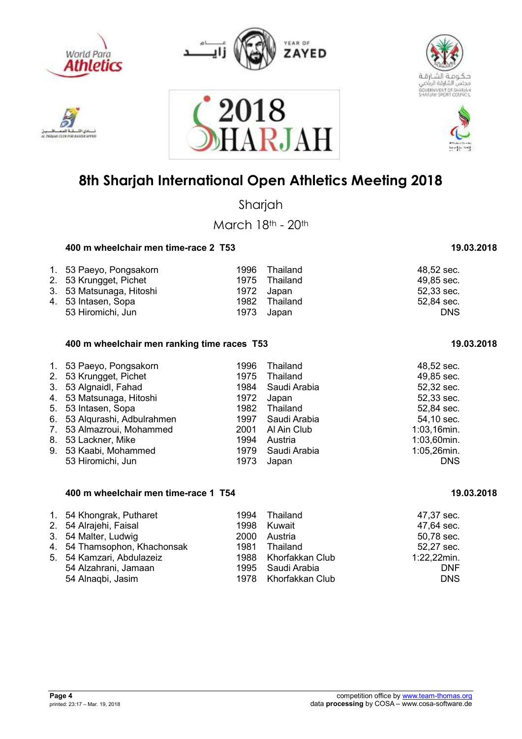

**MAY EX ENE PORT ANA** 







## **8th Sharjah International Open Athletics Meeting 2018**

2018<br>HARJAH

Sharjah

March 18th - 20th

### **400 m wheelchair men time-race 2 T53 19.03.2018** 19.03.2018

| 1. 53 Paeyo, Pongsakorn  |      | 1996 Thailand | 48.52 sec. |
|--------------------------|------|---------------|------------|
| 2. 53 Krungget, Pichet   |      | 1975 Thailand | 49,85 sec. |
| 3. 53 Matsunaga, Hitoshi | 1972 | Japan         | 52,33 sec. |
| 4. 53 Intasen, Sopa      | 1982 | Thailand      | 52,84 sec. |
| 53 Hiromichi, Jun        | 1973 | Japan         | <b>DNS</b> |

#### **400 m wheelchair men ranking time races T53 19.03.2018**

| 1. 53 Paeyo, Pongsakorn      | 1996 | Thailand     | 48,52 sec.  |
|------------------------------|------|--------------|-------------|
| 2. 53 Krungget, Pichet       | 1975 | Thailand     | 49,85 sec.  |
| 3. 53 Algnaidl, Fahad        | 1984 | Saudi Arabia | 52,32 sec.  |
| 4. 53 Matsunaga, Hitoshi     | 1972 | Japan        | 52,33 sec.  |
| 5. 53 Intasen, Sopa          | 1982 | Thailand     | 52,84 sec.  |
| 6. 53 Alqurashi, Adbulrahmen | 1997 | Saudi Arabia | 54,10 sec.  |
| 7. 53 Almazroui, Mohammed    | 2001 | Al Ain Club  | 1:03,16min. |
| 8. 53 Lackner, Mike          | 1994 | Austria      | 1:03,60min. |
| 9. 53 Kaabi, Mohammed        | 1979 | Saudi Arabia | 1:05,26min. |
| 53 Hiromichi, Jun            | 1973 | Japan        | <b>DNS</b>  |

#### **400 m wheelchair men time-race 1 T54 19.03.2018** 19.03.2018

| 1. 54 Khongrak, Putharet     | 1994 Thailand        | 47,37 sec.  |
|------------------------------|----------------------|-------------|
| 2. 54 Alrajehi, Faisal       | 1998 Kuwait          | 47,64 sec.  |
| 3. 54 Malter, Ludwig         | 2000 Austria         | 50,78 sec.  |
| 4. 54 Thamsophon, Khachonsak | 1981 Thailand        | 52,27 sec.  |
| 5. 54 Kamzari, Abdulazeiz    | 1988 Khorfakkan Club | 1:22,22min. |
| 54 Alzahrani, Jamaan         | 1995 Saudi Arabia    | <b>DNF</b>  |
| 54 Alnaqbi, Jasim            | 1978 Khorfakkan Club | <b>DNS</b>  |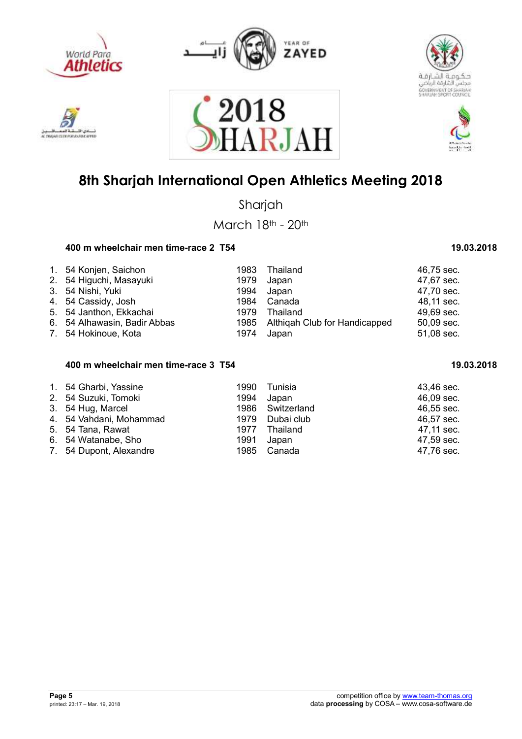

**GAIN CELSE POR JEANSE** 



2018





## **8th Sharjah International Open Athletics Meeting 2018**

ARJAI

Sharjah

March 18th - 20th

### **400 m wheelchair men time-race 2 T54 19.03.2018** 19.03.2018

| 1. 54 Konjen, Saichon        | 1983 | Thailand                           | 46,75 sec. |
|------------------------------|------|------------------------------------|------------|
|                              |      |                                    |            |
| 2. 54 Higuchi, Masayuki      | 1979 | Japan                              | 47,67 sec. |
| 3. 54 Nishi, Yuki            | 1994 | Japan                              | 47,70 sec. |
| 4. 54 Cassidy, Josh          | 1984 | Canada                             | 48,11 sec. |
| 5. 54 Janthon, Ekkachai      | 1979 | Thailand                           | 49,69 sec. |
| 6. 54 Alhawasin, Badir Abbas |      | 1985 Althigah Club for Handicapped | 50,09 sec. |
| 7. 54 Hokinoue, Kota         | 1974 | Japan                              | 51,08 sec. |

#### **400 m wheelchair men time-race 3 T54 19.03.2018**  19.03.2018

| 1. 54 Gharbi, Yassine<br>2. 54 Suzuki, Tomoki | 1994 | 1990 Tunisia<br>Japan | 43,46 sec.<br>46,09 sec. |
|-----------------------------------------------|------|-----------------------|--------------------------|
| 3. 54 Hug, Marcel                             |      | 1986 Switzerland      | 46,55 sec.               |
| 4. 54 Vahdani, Mohammad                       |      | 1979 Dubai club       | 46,57 sec.               |
| 5. 54 Tana, Rawat                             | 1977 | Thailand              | 47,11 sec.               |
| 6. 54 Watanabe, Sho                           | 1991 | Japan                 | 47,59 sec.               |
| 7. 54 Dupont, Alexandre                       |      | 1985 Canada           | 47,76 sec.               |

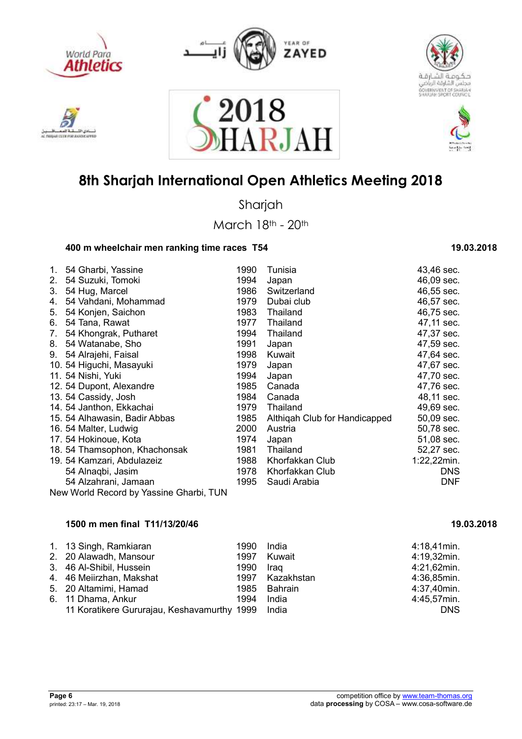











Sharjah

March 18th - 20th

### **400 m wheelchair men ranking time races T54 19.03.2018** 19.03.2018

| 1. | 54 Gharbi, Yassine                      | 1990 | Tunisia                       | 43,46 sec.  |
|----|-----------------------------------------|------|-------------------------------|-------------|
| 2. | 54 Suzuki, Tomoki                       | 1994 | Japan                         | 46,09 sec.  |
| 3. | 54 Hug, Marcel                          | 1986 | Switzerland                   | 46,55 sec.  |
| 4. | 54 Vahdani, Mohammad                    | 1979 | Dubai club                    | 46,57 sec.  |
|    | 54 Konjen, Saichon                      | 1983 | Thailand                      | 46,75 sec.  |
| 5. |                                         |      |                               |             |
| 6. | 54 Tana, Rawat                          | 1977 | Thailand                      | 47,11 sec.  |
| 7. | 54 Khongrak, Putharet                   | 1994 | Thailand                      | 47,37 sec.  |
| 8. | 54 Watanabe, Sho                        | 1991 | Japan                         | 47,59 sec.  |
| 9. | 54 Alrajehi, Faisal                     | 1998 | Kuwait                        | 47,64 sec.  |
|    | 10. 54 Higuchi, Masayuki                | 1979 | Japan                         | 47,67 sec.  |
|    | 11. 54 Nishi, Yuki                      | 1994 | Japan                         | 47,70 sec.  |
|    | 12. 54 Dupont, Alexandre                | 1985 | Canada                        | 47,76 sec.  |
|    | 13. 54 Cassidy, Josh                    | 1984 | Canada                        | 48,11 sec.  |
|    | 14. 54 Janthon, Ekkachai                | 1979 | Thailand                      | 49,69 sec.  |
|    | 15. 54 Alhawasin, Badir Abbas           | 1985 | Althigah Club for Handicapped | 50,09 sec.  |
|    | 16. 54 Malter, Ludwig                   | 2000 | Austria                       | 50,78 sec.  |
|    | 17. 54 Hokinoue, Kota                   | 1974 | Japan                         | 51,08 sec.  |
|    | 18. 54 Thamsophon, Khachonsak           | 1981 | Thailand                      | 52,27 sec.  |
|    | 19. 54 Kamzari, Abdulazeiz              | 1988 | Khorfakkan Club               | 1:22,22min. |
|    | 54 Alnaqbi, Jasim                       | 1978 | Khorfakkan Club               | DNS.        |
|    | 54 Alzahrani, Jamaan                    | 1995 | Saudi Arabia                  | <b>DNF</b>  |
|    | New World Record by Yassine Gharbi, TUN |      |                               |             |

### **1500 m men final T11/13/20/46 19.03.2018**

| 1. 13 Singh, Ramkiaran<br>2. 20 Alawadh, Mansour  | 1990<br>1997 | India<br>Kuwait | $4:18,41$ min.<br>4:19,32min. |
|---------------------------------------------------|--------------|-----------------|-------------------------------|
| 3. 46 Al-Shibil, Hussein                          | 1990         | Iraq            | 4:21,62min.                   |
| 4. 46 Meiirzhan, Makshat                          |              | 1997 Kazakhstan | 4:36,85min.                   |
| 5. 20 Altamimi, Hamad                             |              | 1985 Bahrain    | 4:37,40min.                   |
| 6. 11 Dhama, Ankur                                | 1994         | India           | 4:45,57min.                   |
| 11 Koratikere Gururajau, Keshavamurthy 1999 India |              |                 | <b>DNS</b>                    |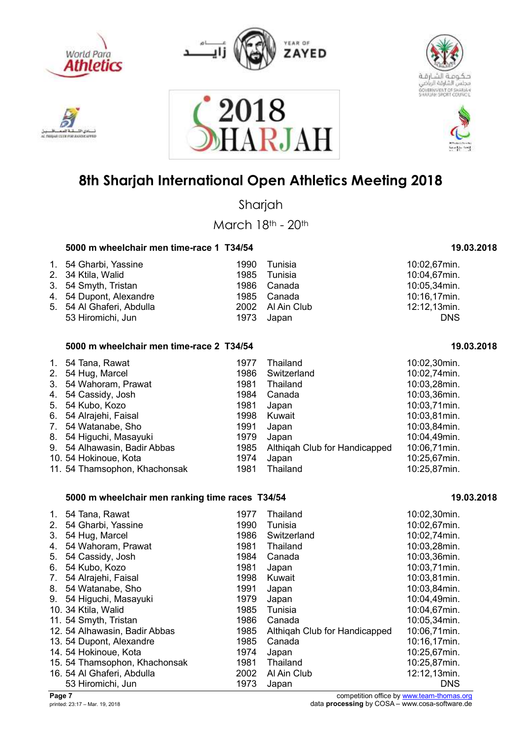

**MAY EX ENE PORT ANA** 







### **8th Sharjah International Open Athletics Meeting 2018**

2018<br>HARJAI

Sharjah

March 18th - 20th

#### **5000 m wheelchair men time-race 1 T34/54** 19.03.2018 19.03.2018

| 1. 54 Gharbi, Yassine<br>2. 34 Ktila, Walid | 1990<br>1985 | Tunisia<br>Tunisia | 10:02,67min.<br>10:04,67min. |
|---------------------------------------------|--------------|--------------------|------------------------------|
| 3. 54 Smyth, Tristan                        |              | 1986 Canada        | 10:05,34min.                 |
| 4. 54 Dupont, Alexandre                     |              | 1985 Canada        | 10:16,17min.                 |
| 5. 54 Al Ghaferi, Abdulla                   |              | 2002 Al Ain Club   | 12:12,13min.                 |
| 53 Hiromichi, Jun                           | 1973         | Japan              | <b>DNS</b>                   |

#### **5000 m wheelchair men time-race 2 T34/54 19.03.2018**

| $\mathbf{1}$ . | 54 Tana, Rawat                | 1977 | Thailand                      | 10:02,30min. |
|----------------|-------------------------------|------|-------------------------------|--------------|
|                | 2. 54 Hug, Marcel             | 1986 | Switzerland                   | 10:02,74min. |
| 3.             | 54 Wahoram, Prawat            | 1981 | Thailand                      | 10:03,28min. |
|                | 4. 54 Cassidy, Josh           | 1984 | Canada                        | 10:03,36min. |
|                | 5. 54 Kubo, Kozo              | 1981 | Japan                         | 10:03,71min. |
|                | 6. 54 Alrajehi, Faisal        | 1998 | Kuwait                        | 10:03,81min. |
|                | 7. 54 Watanabe, Sho           | 1991 | Japan                         | 10:03,84min. |
|                | 8. 54 Higuchi, Masayuki       | 1979 | Japan                         | 10:04,49min. |
|                | 9. 54 Alhawasin, Badir Abbas  | 1985 | Althigah Club for Handicapped | 10:06,71min. |
|                | 10. 54 Hokinoue, Kota         | 1974 | Japan                         | 10:25,67min. |
|                | 11. 54 Thamsophon, Khachonsak | 1981 | Thailand                      | 10:25,87min. |

#### **5000 m wheelchair men ranking time races T34/54** 19.03.2018 **19.03.2018**

| $1_{-}$ | 54 Tana, Rawat                | 1977 | Thailand                      | 10:02,30min. |
|---------|-------------------------------|------|-------------------------------|--------------|
| 2.      | 54 Gharbi, Yassine            | 1990 | Tunisia                       | 10:02,67min. |
| 3.      | 54 Hug, Marcel                | 1986 | Switzerland                   | 10:02,74min. |
| 4.      | 54 Wahoram, Prawat            | 1981 | Thailand                      | 10:03,28min. |
| 5.      | 54 Cassidy, Josh              | 1984 | Canada                        | 10:03,36min. |
| 6.      | 54 Kubo, Kozo                 | 1981 | Japan                         | 10:03,71min. |
| 7.      | 54 Alrajehi, Faisal           | 1998 | Kuwait                        | 10:03,81min. |
| 8.      | 54 Watanabe, Sho              | 1991 | Japan                         | 10:03,84min. |
| 9.      | 54 Higuchi, Masayuki          | 1979 | Japan                         | 10:04,49min. |
|         | 10. 34 Ktila, Walid           | 1985 | Tunisia                       | 10:04,67min. |
|         | 11. 54 Smyth, Tristan         | 1986 | Canada                        | 10:05,34min. |
|         | 12. 54 Alhawasin, Badir Abbas | 1985 | Althigah Club for Handicapped | 10:06,71min. |
|         | 13. 54 Dupont, Alexandre      | 1985 | Canada                        | 10:16,17min. |
|         | 14. 54 Hokinoue, Kota         | 1974 | Japan                         | 10:25,67min. |
|         | 15. 54 Thamsophon, Khachonsak | 1981 | Thailand                      | 10:25,87min. |
|         | 16. 54 Al Ghaferi, Abdulla    | 2002 | Al Ain Club                   | 12:12,13min. |
|         | 53 Hiromichi, Jun             | 1973 | Japan                         | <b>DNS</b>   |

**Page 7** competition office by www.team-thomas.org<br>
printed: 23:17 – Mar. 19, 2018<br>
data **processing** by COSA – www.cosa-software.de data **processing** by COSA – www.cosa-software.de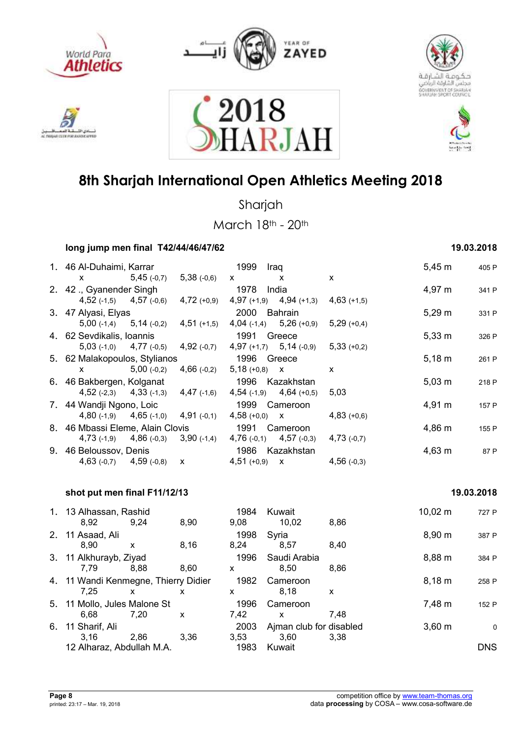











Sharjah

March 18th - 20th

| long jump men final T42/44/46/47/62       |               | 19.03.2018                                |                                                                                                                                                                                                                                                                                                  |                             |               |             |       |
|-------------------------------------------|---------------|-------------------------------------------|--------------------------------------------------------------------------------------------------------------------------------------------------------------------------------------------------------------------------------------------------------------------------------------------------|-----------------------------|---------------|-------------|-------|
| 1. 46 Al-Duhaimi, Karrar                  |               |                                           | 1999                                                                                                                                                                                                                                                                                             | Iraq                        |               | $5,45 \; m$ | 405 P |
| X.                                        | $5,45$ (-0,7) | $5,38$ (-0,6)                             | $\mathsf{X}$ and $\mathsf{X}$ and $\mathsf{X}$ are $\mathsf{X}$ and $\mathsf{X}$ are $\mathsf{X}$ and $\mathsf{X}$ are $\mathsf{X}$ and $\mathsf{X}$ are $\mathsf{X}$ and $\mathsf{X}$ are $\mathsf{X}$ and $\mathsf{X}$ are $\mathsf{X}$ and $\mathsf{X}$ are $\mathsf{X}$ and $\mathsf{X}$ are | X                           | X             |             |       |
| 2. 42 ., Gyanender Singh                  |               |                                           | 1978                                                                                                                                                                                                                                                                                             | India                       |               | 4,97 m      | 341 P |
|                                           |               | 4,52 (-1,5) $4,57$ (-0,6) $4,72$ (+0,9)   |                                                                                                                                                                                                                                                                                                  | 4,97 $(+1,9)$ 4,94 $(+1,3)$ | $4,63$ (+1,5) |             |       |
| 3. 47 Alyasi, Elyas                       |               |                                           | 2000 Bahrain                                                                                                                                                                                                                                                                                     |                             |               | $5,29 \; m$ | 331 P |
| $5,00$ (-1,4) $5,14$ (-0,2)               |               | $4,51$ (+1,5)                             |                                                                                                                                                                                                                                                                                                  | 4,04 $(-1,4)$ 5,26 $(+0,9)$ | $5,29(+0,4)$  |             |       |
| 4.62 Sevdikalis, Ioannis                  |               |                                           | 1991 Greece                                                                                                                                                                                                                                                                                      |                             |               | $5,33 \; m$ | 326 P |
|                                           |               | $5,03$ (-1,0) $4,77$ (-0,5) $4,92$ (-0,7) |                                                                                                                                                                                                                                                                                                  | $4,97 (+1,7)$ $5,14 (-0,9)$ | $5,33(+0,2)$  |             |       |
| 5. 62 Malakopoulos, Stylianos             |               |                                           | 1996 Greece                                                                                                                                                                                                                                                                                      |                             |               | $5,18 \; m$ | 261 P |
| $\mathsf{x}$                              | $5,00$ (-0,2) | $4,66$ (-0,2)                             | $5,18 (+0,8)$ X                                                                                                                                                                                                                                                                                  |                             | $\mathsf{x}$  |             |       |
| 6. 46 Bakbergen, Kolganat                 |               | 1996 Kazakhstan                           |                                                                                                                                                                                                                                                                                                  |                             | $5,03 \; m$   | 218 P       |       |
| $4,52$ (-2,3) $4,33$ (-1,3) $4,47$ (-1,6) |               |                                           |                                                                                                                                                                                                                                                                                                  | $4,54$ (-1,9) $4,64$ (+0,5) | 5,03          |             |       |
| 7. 44 Wandji Ngono, Loic                  |               |                                           |                                                                                                                                                                                                                                                                                                  | 1999 Cameroon               |               | 4,91 m      | 157 P |
|                                           |               | 4,80 $(-1,9)$ 4,65 $(-1,0)$ 4,91 $(-0,1)$ | $4,58$ (+0,0) $\times$                                                                                                                                                                                                                                                                           |                             | $4,83(+0,6)$  |             |       |
| 8. 46 Mbassi Eleme, Alain Clovis          |               |                                           | 1991 Cameroon                                                                                                                                                                                                                                                                                    |                             |               | 4,86 m      | 155 P |
| $4,73$ (-1,9) $4,86$ (-0,3)               |               | $3,90$ (-1,4)                             |                                                                                                                                                                                                                                                                                                  | $4,76(-0,1)$ $4,57(-0,3)$   | $4,73$ (-0,7) |             |       |
| 9. 46 Beloussov, Denis                    |               |                                           |                                                                                                                                                                                                                                                                                                  | 1986 Kazakhstan             |               | $4,63 \; m$ | 87 P  |
| $4,63$ (-0,7) $4,59$ (-0,8)               |               | $\mathsf{X}$                              | $4,51$ (+0,9) $\times$                                                                                                                                                                                                                                                                           |                             | $4,56$ (-0,3) |             |       |
|                                           |               |                                           |                                                                                                                                                                                                                                                                                                  |                             |               |             |       |

#### **shot put men final F11/12/13 19.03.2018**

|    | 3110 PUL 1110 IIIII 1111 III III IV          |      |              |              |                                 |      |              | 1 J.VV.LV I V |
|----|----------------------------------------------|------|--------------|--------------|---------------------------------|------|--------------|---------------|
|    | 1. 13 Alhassan, Rashid<br>8.92               | 9.24 | 8,90         | 1984<br>9,08 | Kuwait<br>10,02                 | 8,86 | $10,02 \; m$ | 727 P         |
|    | 2. 11 Asaad, Ali<br>8.90                     | x    | 8,16         | 1998<br>8,24 | Syria<br>8.57                   | 8,40 | 8,90 m       | 387 P         |
|    | 3. 11 Alkhurayb, Ziyad<br>7.79               | 8.88 | 8,60         | 1996<br>x    | Saudi Arabia<br>8.50            | 8,86 | 8,88 m       | 384 P         |
|    | 4. 11 Wandi Kenmegne, Thierry Didier<br>7.25 | x    | x            | 1982<br>x.   | Cameroon<br>8.18                | X    | $8,18 \; m$  | 258 P         |
|    | 5. 11 Mollo, Jules Malone St<br>6.68         | 7.20 | $\mathsf{x}$ | 1996<br>7.42 | Cameroon<br>X                   | 7.48 | 7,48 m       | 152 P         |
| 6. | 11 Sharif, Ali<br>3.16                       | 2.86 | 3,36         | 2003<br>3,53 | Ajman club for disabled<br>3.60 | 3.38 | $3,60 \; m$  | 0             |
|    | 12 Alharaz, Abdullah M.A.                    |      |              | 1983         | Kuwait                          |      |              | <b>DNS</b>    |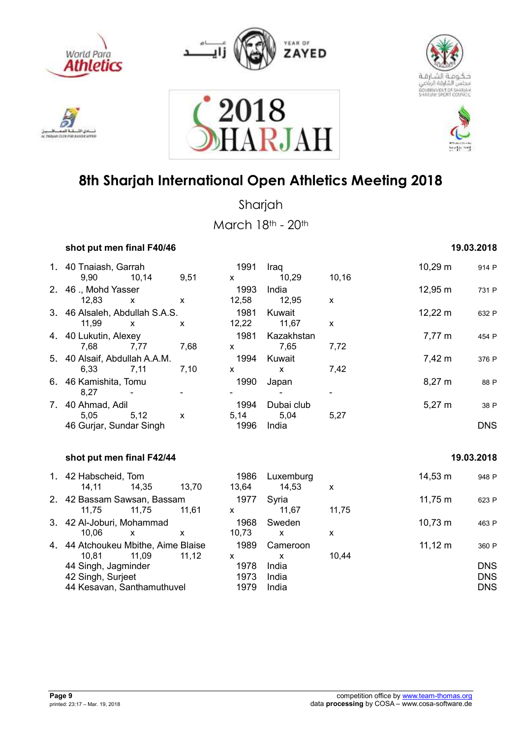











Sharjah March 18th - 20th

*shot put men final F40/46* **19.03.2018 <b>19.03.2018** 

| 1. 40 Tnaiash, Garrah<br>9,90<br>10,14             | 9,51         | $\mathsf{x}$     | 1991                 | Iraq<br>10,29            | 10,16        | $10,29 \; m$        | 914 P                    |
|----------------------------------------------------|--------------|------------------|----------------------|--------------------------|--------------|---------------------|--------------------------|
| 2. 46 ., Mohd Yasser<br>12,83<br>$\mathsf{x}$      | $\mathsf{x}$ |                  | 1993<br>12,58        | India<br>12,95           | $\mathsf{x}$ | $12,95 \; m$        | 731 P                    |
| 3. 46 Alsaleh, Abdullah S.A.S.<br>11,99<br>X       | X            |                  | 1981<br>12,22        | Kuwait<br>11,67          | X            | $12,22 \, \text{m}$ | 632 P                    |
| 4. 40 Lukutin, Alexey<br>7,68                      | 7,77         | 7,68<br><b>X</b> | 1981                 | Kazakhstan<br>7,65       | 7,72         | $7,77 \; m$         | 454 P                    |
| 5. 40 Alsaif, Abdullah A.A.M.<br>6,33              | 7,11         | 7,10<br><b>X</b> | 1994                 | Kuwait<br>$\mathsf{X}$   | 7,42         | 7,42 m              | 376 P                    |
| 6. 46 Kamishita, Tomu<br>8,27                      |              |                  | 1990                 | Japan                    |              | $8,27 \; m$         | 88 P                     |
| 7. 40 Ahmad, Adil<br>5.05                          | 5,12<br>X    |                  | 1994<br>5,14         | Dubai club<br>5,04       | 5,27         | $5,27 \; m$         | 38 P                     |
| 46 Gurjar, Sundar Singh                            |              |                  | 1996                 | India                    |              |                     | <b>DNS</b>               |
| shot put men final F42/44                          |              |                  |                      |                          |              | 19.03.2018          |                          |
| 1. 42 Habscheid, Tom<br>14,35<br>14,11             | 13,70        |                  | 1986<br>13,64        | Luxemburg<br>14,53       | X            | $14,53 \; m$        | 948 P                    |
| 2. 42 Bassam Sawsan, Bassam<br>11,75               | 11,75        | 11,61            | 1977<br>$\mathsf{X}$ | Syria<br>11,67           | 11,75        | $11,75 \; m$        | 623 P                    |
| 3. 42 Al-Joburi, Mohammad<br>10,06<br>$\mathsf{x}$ | $\mathsf{x}$ |                  | 1968<br>10,73        | Sweden<br>$\mathsf{x}$   | X            | $10,73 \; m$        | 463 P                    |
| 4. 44 Atchoukeu Mbithe, Aime Blaise<br>10,81       | 11,09        | 11,12<br>X       | 1989                 | Cameroon<br>$\mathsf{x}$ | 10,44        | $11,12 \; m$        | 360 P                    |
| 44 Singh, Jagminder<br>42 Singh, Surjeet           |              |                  | 1978<br>1973         | India<br>India           |              |                     | <b>DNS</b><br><b>DNS</b> |
| 44 Kesavan, Santhamuthuvel                         |              |                  | 1979                 | India                    |              |                     | <b>DNS</b>               |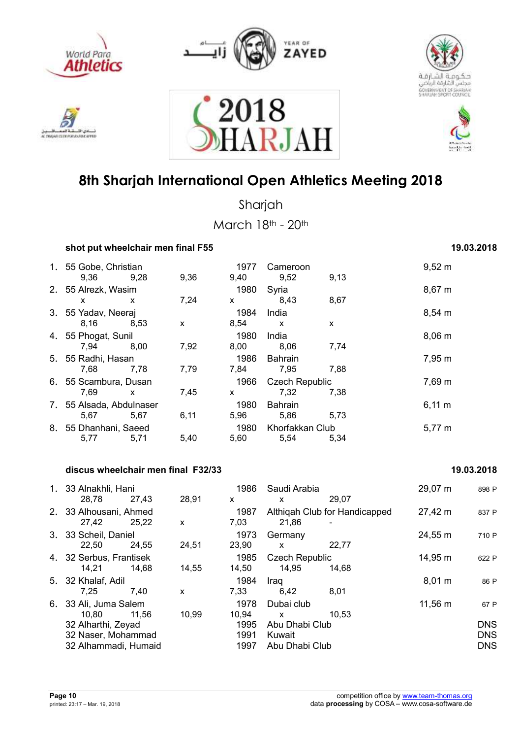











Sharjah

March 18th - 20th

| shot put wheelchair men final F55 | 19.03.2018 |      |              |                               |      |             |
|-----------------------------------|------------|------|--------------|-------------------------------|------|-------------|
| 1. 55 Gobe, Christian<br>9,36     | 9,28       | 9,36 | 1977<br>9,40 | Cameroon<br>9,52              | 9,13 | $9,52 \; m$ |
| 2. 55 Alrezk, Wasim<br>x          | x          | 7,24 | 1980<br>X    | Syria<br>8,43                 | 8,67 | 8,67 m      |
| 3. 55 Yadav, Neeraj<br>8,16       | 8,53       | X    | 1984<br>8,54 | India<br>X                    | X    | 8,54 m      |
| 4. 55 Phogat, Sunil<br>7,94       | 8.00       | 7,92 | 1980<br>8,00 | India<br>8,06                 | 7,74 | $8,06 \, m$ |
| 5. 55 Radhi, Hasan<br>7,68        | 7,78       | 7,79 | 1986<br>7,84 | <b>Bahrain</b><br>7,95        | 7,88 | 7,95 m      |
| 6. 55 Scambura, Dusan<br>7,69     | X          | 7,45 | 1966<br>X    | <b>Czech Republic</b><br>7,32 | 7,38 | 7,69 m      |
| 7. 55 Alsada, Abdulnaser<br>5,67  | 5,67       | 6,11 | 1980<br>5,96 | <b>Bahrain</b><br>5,86        | 5,73 | $6,11 \; m$ |
| 8. 55 Dhanhani, Saeed<br>5,77     | 5,71       | 5,40 | 1980<br>5,60 | Khorfakkan Club<br>5,54       | 5,34 | 5,77 m      |

#### **discus wheelchair men final F32/33 19.03.2018**

### 1. 33 Alnakhli, Hani 1986 Saudi Arabia 29,07 m <sup>898</sup> <sup>P</sup> 28,78 27,43 28,91 x x 29,07 2. 33 Alhousani, Ahmed 1987 Althiqah Club for Handicapped 27,42 m 837 P<br>27.42 25.22 x 7.03 21.86 -27,42 25,22 x 7,03 21,86 - 3. 33 Scheil, Daniel 1973 Germany 24,55 m <sup>710</sup> <sup>P</sup> 22,50 24,55 24,51 23,90 x 22,77 4. 32 Serbus, Frantisek 1985 Czech Republic 14,95 m <sup>622</sup> <sup>P</sup> 14,21 14,68 14,55 14,50 14,95 14,68 5. 32 Khalaf, Adil 1984 Iraq 8,01 m <sup>86</sup> <sup>P</sup> 7,25 7,40 x 7,33 6,42 8,01 6. 33 Ali, Juma Salem 1978 Dubai club 11,56 m <sup>67</sup> <sup>P</sup> 10,80 11,56 10,99 10,94 x 10,53 32 Alharthi, Zeyad 1995 Abu Dhabi Club DNS 32 Naser, Mohammad 1991 Kuwait DNS 32 Alhammadi, Humaid 1997 Abu Dhabi Club DNS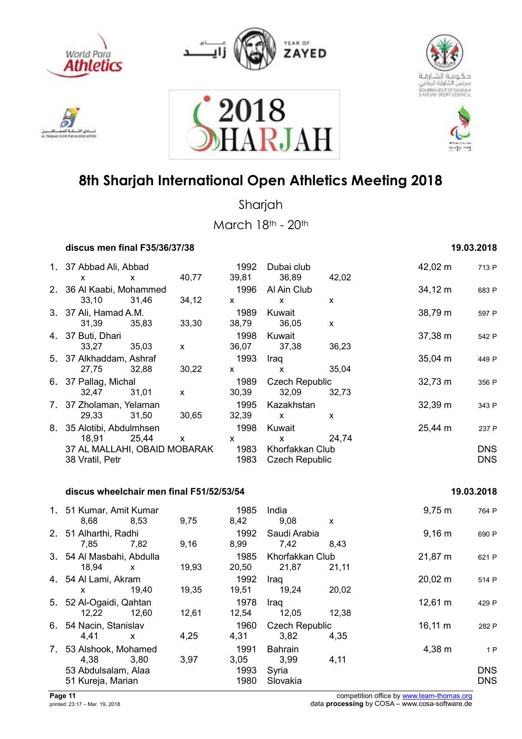











Sharjah

March 18th - 20th

| discus men final F35/36/37/38 | 19.03.2018 |
|-------------------------------|------------|
|-------------------------------|------------|

| 1. 37 Abbad Ali, Abbad<br>X. | X     | 40,77                     | 1992<br>39,81 | Dubai club<br>36,89   | 42,02 | 42,02 m      | 713 P      |
|------------------------------|-------|---------------------------|---------------|-----------------------|-------|--------------|------------|
| 2. 36 Al Kaabi, Mohammed     |       |                           | 1996          | Al Ain Club           |       | 34,12 m      | 683 P      |
| 33.10                        | 31.46 | 34,12                     | $\mathsf{x}$  | $\mathsf{x}$          | X     |              |            |
| 3. 37 Ali, Hamad A.M.        |       |                           | 1989          | Kuwait                |       | 38,79 m      | 597 P      |
| 31,39                        | 35,83 | 33,30                     | 38,79         | 36,05                 | X     |              |            |
| 4. 37 Buti, Dhari            |       |                           | 1998          | Kuwait                |       | 37,38 m      | 542 P      |
| 33.27                        | 35.03 | $\boldsymbol{\mathsf{x}}$ | 36,07         | 37.38                 | 36,23 |              |            |
| 5. 37 Alkhaddam, Ashraf      |       |                           | 1993          | Iraq                  |       | $35,04 \; m$ | 449 P      |
| 27,75                        | 32.88 | 30,22                     | $\mathsf{x}$  | X                     | 35,04 |              |            |
| 6. 37 Pallag, Michal         |       |                           | 1989          | <b>Czech Republic</b> |       | $32,73 \; m$ | 356 P      |
| 32,47                        | 31.01 | $\boldsymbol{\mathsf{x}}$ | 30,39         | 32,09                 | 32,73 |              |            |
| 7. 37 Zholaman, Yelaman      |       |                           | 1995          | Kazakhstan            |       | 32,39 m      | 343 P      |
| 29,33                        | 31,50 | 30,65                     | 32,39         | $\mathsf{x}$          | X     |              |            |
| 8. 35 Alotibi, Abdulmhsen    |       |                           | 1998          | Kuwait                |       | 25,44 m      | 237 P      |
| 18,91                        | 25,44 | X                         | X             | X                     | 24.74 |              |            |
| 37 AL MALLAHI, OBAID MOBARAK |       |                           | 1983          | Khorfakkan Club       |       |              | <b>DNS</b> |
| 38 Vratil, Petr              |       |                           | 1983          | <b>Czech Republic</b> |       |              | <b>DNS</b> |
|                              |       |                           |               |                       |       |              |            |

### discus wheelchair men final F51/52/53/54 19.03.2018

| 1. 51 Kumar, Amit Kumar<br>8,68 | 8,53  | 9,75  | 1985<br>8,42 | India<br>9,08         | X     | $9,75 \; m$       | 764 P      |
|---------------------------------|-------|-------|--------------|-----------------------|-------|-------------------|------------|
| 2. 51 Alharthi, Radhi           |       |       | 1992         | Saudi Arabia          |       | $9,16 \; m$       | 690 P      |
| 7,85                            | 7,82  | 9,16  | 8,99         | 7,42                  | 8.43  |                   |            |
| 3. 54 Al Masbahi, Abdulla       |       |       | 1985         | Khorfakkan Club       |       | 21,87 m           | 621 P      |
| 18,94                           | X     | 19,93 | 20,50        | 21,87                 | 21,11 |                   |            |
| 4. 54 Al Lami, Akram            |       |       | 1992         | Iraq                  |       | $20,02 \; m$      | 514 P      |
| x                               | 19.40 | 19,35 | 19,51        | 19,24                 | 20,02 |                   |            |
| 5. 52 Al-Ogaidi, Qahtan         |       |       | 1978         | Iraq                  |       | $12,61 \text{ m}$ | 429 P      |
| 12,22                           | 12,60 | 12,61 | 12,54        | 12,05                 | 12,38 |                   |            |
| 6. 54 Nacin, Stanislav          |       |       | 1960         | <b>Czech Republic</b> |       | $16,11 \; m$      | 282 F      |
| 4,41                            | X     | 4,25  | 4,31         | 3,82                  | 4,35  |                   |            |
| 7. 53 Alshook, Mohamed          |       |       | 1991         | <b>Bahrain</b>        |       | 4,38 m            | 1 F        |
| 4,38                            | 3,80  | 3,97  | 3,05         | 3,99                  | 4,11  |                   |            |
| 53 Abdulsalam, Alaa             |       |       | 1993         | Syria                 |       |                   | <b>DNS</b> |
| 51 Kureja, Marian               |       |       | 1980         | Slovakia              |       |                   | <b>DNS</b> |
|                                 |       |       |              |                       |       |                   |            |

**Page 11** competition office by www.team-thomas.org<br>
printed: 23:17 – Mar. 19, 2018<br>
data **processing** by COSA – www.cosa-software.de data **processing** by COSA – www.cosa-software.de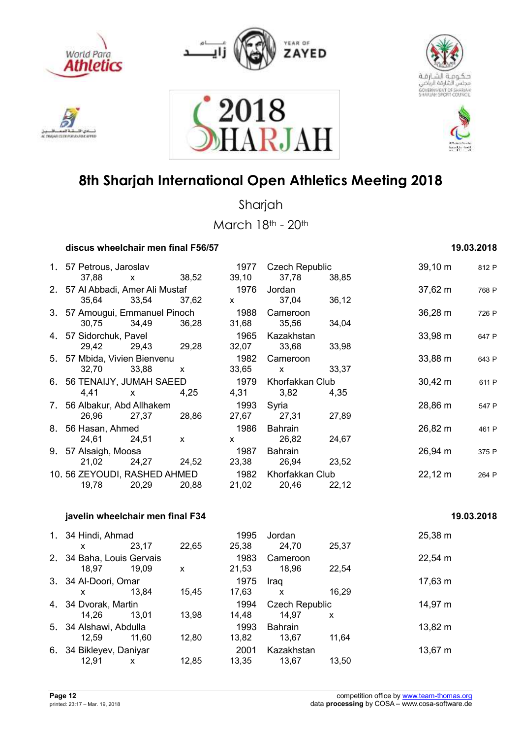











Sharjah

March 18th - 20th

| 19.03.2018 |
|------------|
|            |

| 1. 57 Petrous, Jaroslav          |              |              | 1977         | <b>Czech Republic</b> |       | $39,10 \; m$ | 812 P |
|----------------------------------|--------------|--------------|--------------|-----------------------|-------|--------------|-------|
| 37,88                            | $\mathsf{X}$ | 38,52        | 39,10        | 37,78                 | 38,85 |              |       |
| 2. 57 Al Abbadi, Amer Ali Mustaf |              |              | 1976         | Jordan                |       | $37,62 \; m$ | 768 P |
| 35,64                            | 33,54        | 37,62        | $\mathsf{x}$ | 37,04                 | 36,12 |              |       |
| 3. 57 Amougui, Emmanuel Pinoch   |              |              | 1988         | Cameroon              |       | $36,28 \; m$ | 726 P |
| 30,75                            | 34,49        | 36,28        | 31,68        | 35,56                 | 34,04 |              |       |
| 4. 57 Sidorchuk, Pavel           |              |              | 1965         | Kazakhstan            |       | 33,98 m      | 647 P |
| 29,42                            | 29,43        | 29,28        | 32,07        | 33,68                 | 33,98 |              |       |
| 5. 57 Mbida, Vivien Bienvenu     |              |              | 1982         | Cameroon              |       | $33,88 \; m$ | 643 P |
| 32,70                            | 33,88        | $\mathsf{x}$ | 33,65        | $\mathsf{x}$          | 33,37 |              |       |
| 6. 56 TENAIJY, JUMAH SAEED       |              |              | 1979         | Khorfakkan Club       |       | $30,42 \; m$ | 611 P |
| 4,41                             | $\mathsf{X}$ | 4,25         | 4,31         | 3,82                  | 4.35  |              |       |
| 7. 56 Albakur, Abd Allhakem      |              |              | 1993         | Syria                 |       | 28,86 m      | 547 P |
| 26,96                            | 27,37        | 28,86        | 27,67        | 27,31                 | 27,89 |              |       |
| 8. 56 Hasan, Ahmed               |              |              | 1986         | Bahrain               |       | 26,82 m      | 461 P |
| 24,61                            | 24,51        | $\mathsf{x}$ | $\mathsf{x}$ | 26,82                 | 24,67 |              |       |
| 9. 57 Alsaigh, Moosa             |              |              | 1987         | Bahrain               |       | $26,94 \; m$ | 375 P |
| 21,02                            | 24,27        | 24,52        | 23,38        | 26,94                 | 23,52 |              |       |
| 10.56 ZEYOUDI, RASHED AHMED      |              |              | 1982         | Khorfakkan Club       |       | $22,12 \; m$ | 264 P |
| 19,78                            | 20,29        | 20,88        | 21,02        | 20,46                 | 22,12 |              |       |

### *i***avelin wheelchair men final F34 19.03.2018 <b>19.03.2018**

|    | 1. 34 Hindi, Ahmad<br>x         | 23,17 | 22,65 | 1995<br>25.38 | Jordan<br>24,70                | 25,37 | 25,38 m |
|----|---------------------------------|-------|-------|---------------|--------------------------------|-------|---------|
| 2. | 34 Baha, Louis Gervais<br>18.97 | 19.09 | X     | 1983<br>21,53 | Cameroon<br>18.96              | 22.54 | 22,54 m |
|    | 3. 34 Al-Doori, Omar<br>x       | 13.84 | 15,45 | 1975<br>17.63 | Iraq<br>X                      | 16,29 | 17,63 m |
|    | 4. 34 Dvorak, Martin<br>14.26   | 13.01 | 13,98 | 1994<br>14.48 | <b>Czech Republic</b><br>14.97 | X     | 14,97 m |
|    | 5. 34 Alshawi, Abdulla<br>12.59 | 11.60 | 12,80 | 1993<br>13,82 | <b>Bahrain</b><br>13.67        | 11,64 | 13,82 m |
| 6. | 34 Bikleyev, Daniyar<br>12,91   | x     | 12,85 | 2001<br>13.35 | Kazakhstan<br>13,67            | 13.50 | 13,67 m |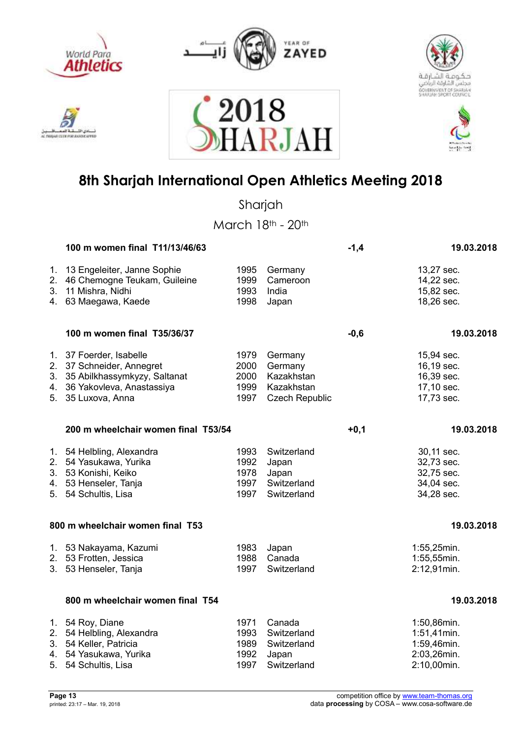



2018





## **8th Sharjah International Open Athletics Meeting 2018**

RJAI

Sharjah

|          | 100 m women final T11/13/46/63                                                                                                                |                                      |                                                                         | $-1,4$ | 19.03.2018                                                              |
|----------|-----------------------------------------------------------------------------------------------------------------------------------------------|--------------------------------------|-------------------------------------------------------------------------|--------|-------------------------------------------------------------------------|
| 1.<br>2. | 13 Engeleiter, Janne Sophie<br>46 Chemogne Teukam, Guileine<br>3. 11 Mishra, Nidhi<br>4. 63 Maegawa, Kaede                                    | 1995<br>1999<br>1993<br>1998         | Germany<br>Cameroon<br>India<br>Japan                                   |        | 13,27 sec.<br>14,22 sec.<br>15,82 sec.<br>18,26 sec.                    |
|          | 100 m women final T35/36/37                                                                                                                   |                                      |                                                                         | $-0,6$ | 19.03.2018                                                              |
|          | 1. 37 Foerder, Isabelle<br>2. 37 Schneider, Annegret<br>3. 35 Abilkhassymkyzy, Saltanat<br>4. 36 Yakovleva, Anastassiya<br>5. 35 Luxova, Anna | 1979<br>2000<br>2000<br>1999<br>1997 | Germany<br>Germany<br>Kazakhstan<br>Kazakhstan<br><b>Czech Republic</b> |        | 15,94 sec.<br>16,19 sec.<br>16,39 sec.<br>17,10 sec.<br>17,73 sec.      |
|          | 200 m wheelchair women final T53/54                                                                                                           |                                      |                                                                         | $+0,1$ | 19.03.2018                                                              |
|          | 1. 54 Helbling, Alexandra<br>2. 54 Yasukawa, Yurika<br>3. 53 Konishi, Keiko<br>4. 53 Henseler, Tanja<br>5. 54 Schultis, Lisa                  | 1993<br>1992<br>1978<br>1997<br>1997 | Switzerland<br>Japan<br>Japan<br>Switzerland<br>Switzerland             |        | 30,11 sec.<br>32,73 sec.<br>32,75 sec.<br>34,04 sec.<br>34,28 sec.      |
|          | 800 m wheelchair women final T53                                                                                                              |                                      |                                                                         |        | 19.03.2018                                                              |
|          | 1. 53 Nakayama, Kazumi<br>2. 53 Frotten, Jessica<br>3. 53 Henseler, Tanja                                                                     | 1983<br>1988<br>1997                 | Japan<br>Canada<br>Switzerland                                          |        | 1:55,25min.<br>1:55,55min.<br>2:12,91min.                               |
|          | 800 m wheelchair women final T54                                                                                                              |                                      |                                                                         |        | 19.03.2018                                                              |
| 5.       | 1. 54 Roy, Diane<br>2. 54 Helbling, Alexandra<br>3. 54 Keller, Patricia<br>4. 54 Yasukawa, Yurika<br>54 Schultis, Lisa                        | 1971<br>1993<br>1989<br>1992<br>1997 | Canada<br>Switzerland<br>Switzerland<br>Japan<br>Switzerland            |        | 1:50,86min.<br>1:51,41min.<br>1:59,46min.<br>2:03,26min.<br>2:10,00min. |

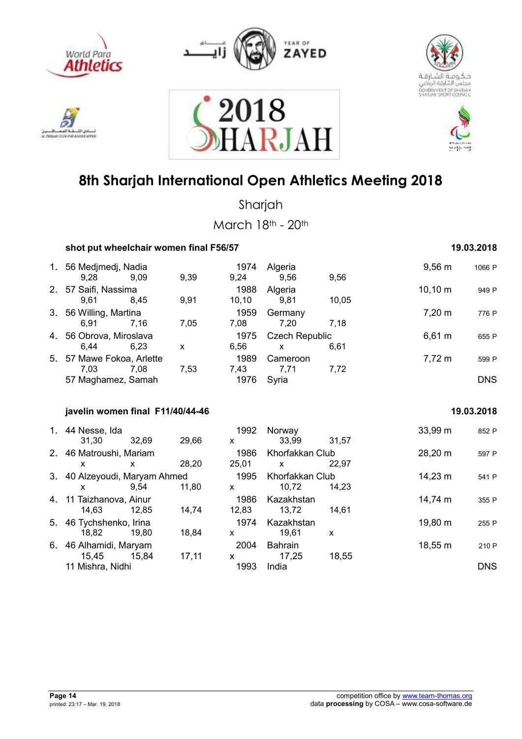











Sharjah

| shot put wheelchair women final F56/57        |       |              |                      |                                       |       | 19.03.2018   |            |  |
|-----------------------------------------------|-------|--------------|----------------------|---------------------------------------|-------|--------------|------------|--|
| 1. 56 Medjmedj, Nadia<br>9,28                 | 9,09  | 9,39         | 1974<br>9,24         | Algeria<br>9,56                       | 9,56  | $9,56 \, m$  | 1066 P     |  |
| 2. 57 Saifi, Nassima<br>9,61                  | 8,45  | 9,91         | 1988<br>10, 10       | Algeria<br>9,81                       | 10,05 | $10,10 \; m$ | 949 P      |  |
| 3. 56 Willing, Martina<br>6,91                | 7,16  | 7,05         | 1959<br>7,08         | Germany<br>7,20                       | 7,18  | $7,20 \; m$  | 776 P      |  |
| 4. 56 Obrova, Miroslava<br>6,44               | 6,23  | $\mathsf{x}$ | 1975<br>6,56         | <b>Czech Republic</b><br>$\mathsf{x}$ | 6,61  | $6,61 \; m$  | 655 P      |  |
| 5. 57 Mawe Fokoa, Arlette<br>7,03             | 7,08  | 7,53         | 1989<br>7,43         | Cameroon<br>7,71                      | 7,72  | $7,72 \; m$  | 599 P      |  |
| 57 Maghamez, Samah                            |       |              | 1976                 | Syria                                 |       |              | <b>DNS</b> |  |
| javelin women final F11/40/44-46              |       |              |                      |                                       |       |              | 19.03.2018 |  |
| 1. 44 Nesse, Ida<br>31,30                     | 32,69 | 29,66        | 1992<br>$\mathsf{x}$ | Norway<br>33,99                       | 31,57 | 33,99 m      | 852 P      |  |
| 2. 46 Matroushi, Mariam<br>x.                 | X     | 28,20        | 1986<br>25,01        | Khorfakkan Club<br><b>X</b>           | 22,97 | 28,20 m      | 597 P      |  |
| 3. 40 Alzeyoudi, Maryam Ahmed<br>$\mathsf{x}$ | 9,54  | 11,80        | 1995<br>$\mathsf{x}$ | Khorfakkan Club<br>10,72              | 14,23 | 14,23 m      | 541 P      |  |
| 4. 11 Taizhanova, Ainur<br>14,63              | 12,85 | 14,74        | 1986<br>12,83        | Kazakhstan<br>13,72                   | 14,61 | 14,74 m      | 355 P      |  |
| 5. 46 Tychshenko, Irina<br>18,82              | 19,80 | 18,84        | 1974<br>$\mathsf{x}$ | Kazakhstan<br>19,61                   | X     | 19,80 m      | 255 P      |  |
| 6. 46 Alhamidi, Maryam<br>15,45               | 15,84 | 17,11        | 2004<br>X            | Bahrain<br>17,25                      | 18,55 | 18,55 m      | 210 P      |  |
| 11 Mishra, Nidhi                              |       |              | 1993                 | India                                 |       |              | <b>DNS</b> |  |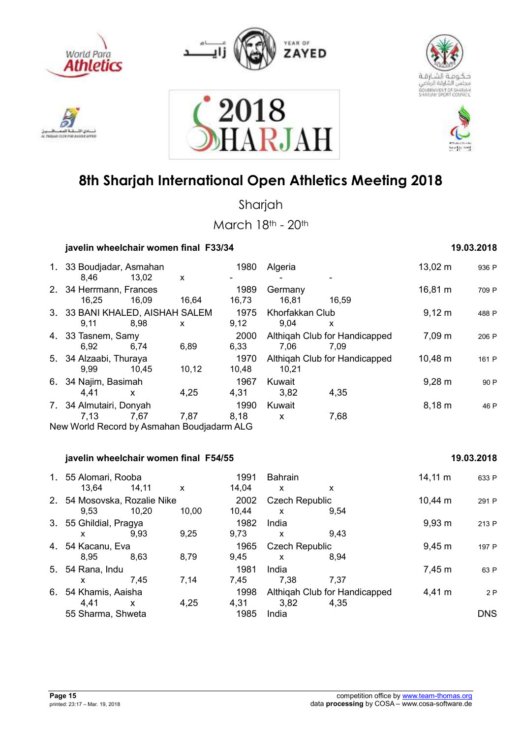

دی اللہ AC TWO AT CLER FOR A ANSAY APPEA



2018





## **8th Sharjah International Open Athletics Meeting 2018**

**RJA** 

Sharjah

| javelin wheelchair women final F33/34                     |                           |               |                                       |                                       |                    | 19.03.2018 |
|-----------------------------------------------------------|---------------------------|---------------|---------------------------------------|---------------------------------------|--------------------|------------|
| 1. 33 Boudjadar, Asmahan<br>8,46<br>13,02                 | X                         | 1980          | Algeria                               |                                       | $13,02 \; m$       | 936 P      |
| 2. 34 Herrmann, Frances<br>16,25<br>16,09                 | 16,64                     | 1989<br>16,73 | Germany<br>16,81                      | 16,59                                 | 16,81 m            | 709 P      |
| 3. 33 BANI KHALED, AISHAH SALEM<br>8,98<br>9,11           | X                         | 1975<br>9,12  | Khorfakkan Club<br>9,04               | X                                     | $9,12 \, m$        | 488 P      |
| 4. 33 Tasnem, Samy<br>6,92<br>6,74                        | 6,89                      | 2000<br>6,33  | 7,06                                  | Althiqah Club for Handicapped<br>7,09 | 7,09 m             | 206 P      |
| 5. 34 Alzaabi, Thuraya<br>9,99<br>10,45                   | 10, 12                    | 1970<br>10,48 | 10,21                                 | Althiqah Club for Handicapped         | 10,48 m            | 161 P      |
| 6. 34 Najim, Basimah<br>4,41<br>$\mathsf{x}$              | 4,25                      | 1967<br>4,31  | Kuwait<br>3,82                        | 4,35                                  | $9,28 \, \text{m}$ | 90 P       |
| 7. 34 Almutairi, Donyah<br>7,13<br>7,67                   | 7,87                      | 1990<br>8,18  | Kuwait<br>$\mathsf{x}$                | 7,68                                  | $8,18 \; m$        | 46 P       |
| New World Record by Asmahan Boudjadarm ALG                |                           |               |                                       |                                       |                    |            |
| javelin wheelchair women final F54/55                     |                           |               |                                       |                                       |                    | 19.03.2018 |
| 1. 55 Alomari, Rooba<br>13,64<br>14,11                    | $\boldsymbol{\mathsf{X}}$ | 1991<br>14,04 | <b>Bahrain</b><br>$\mathsf{x}$        | X                                     | $14,11 \; m$       | 633 P      |
| 2. 54 Mosovska, Rozalie Nike<br>9,53<br>10,20             | 10,00                     | 2002<br>10,44 | <b>Czech Republic</b><br>X            | 9,54                                  | $10,44 \; m$       | 291 P      |
| 3. 55 Ghildial, Pragya<br>9,93<br>X                       | 9,25                      | 1982<br>9,73  | India<br>X                            | 9,43                                  | $9,93 \, m$        | 213 P      |
| 4. 54 Kacanu, Eva<br>8,63<br>8,95                         | 8,79                      | 1965<br>9,45  | <b>Czech Republic</b><br>$\mathsf{x}$ | 8,94                                  | $9,45 \; m$        | 197 P      |
| 5. 54 Rana, Indu<br>7,45<br>X                             | 7,14                      | 1981<br>7,45  | India<br>7,38                         | 7,37                                  | 7,45 m             | 63 P       |
| 6. 54 Khamis, Aaisha<br>4,41<br>$\boldsymbol{\mathsf{X}}$ | 4,25                      | 1998<br>4,31  | 3,82                                  | Althiqah Club for Handicapped<br>4,35 | 4,41 m             | 2P         |
| 55 Sharma, Shweta                                         |                           | 1985          | India                                 |                                       |                    | <b>DNS</b> |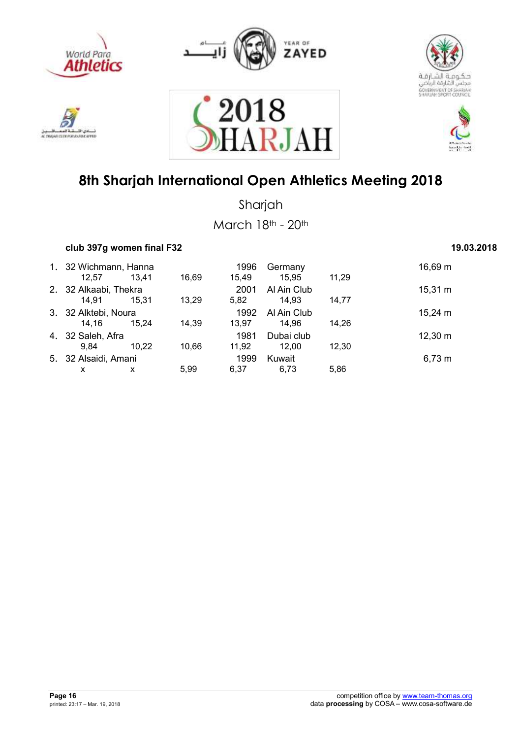











Sharjah

March 18th - 20th

| club 397g women final F32 | 19.03.2018 |
|---------------------------|------------|
|---------------------------|------------|

### 1. 32 Wichmann, Hanna 1996 Germany 16,69 m 12,57 13,41 16,69 15,49 15,95 11,29 2. 32 Alkaabi, Thekra 2001 Al Ain Club 15,31 m 14,91 15,31 13,29 5,82 14,93 14,77 3. 32 Alktebi, Noura<br>14,16 15,24 14,39 13,97 14,96 14,26 14,16 15,24 m 14,16 15,24 14,39 13,97 14,96 14,26 4. 32 Saleh, Afra 1981 Dubai club 12,30 m 9,84 10,22 10,66 11,92 12,00 12,30 5. 32 Alsaidi, Amani 1999 Kuwait 6,73 m x x 5,99 6,37 6,73 5,86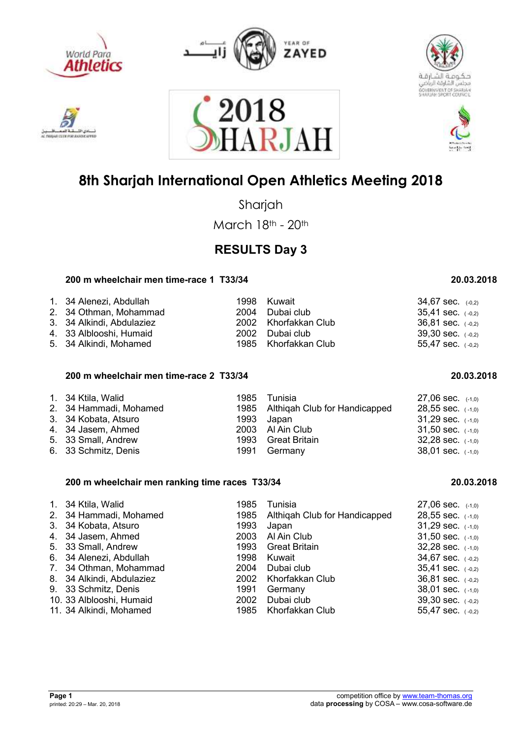











Sharjah

March 18th - 20th

### **RESULTS Day 3**

### **200 m wheelchair men time-race 1 T33/34 20.03.2018**

| 1. 34 Alenezi, Abdullah   | 1998 Kuwait          | $34,67$ sec. $(-0,2)$ |
|---------------------------|----------------------|-----------------------|
| 2. 34 Othman, Mohammad    | 2004 Dubai club      | $35,41$ sec. $(-0,2)$ |
| 3. 34 Alkindi, Abdulaziez | 2002 Khorfakkan Club | $36,81$ sec. $(-0,2)$ |
| 4. 33 Alblooshi, Humaid   | 2002 Dubai club      | $39,30$ sec. $(-0,2)$ |
| 5. 34 Alkindi, Mohamed    | 1985 Khorfakkan Club | 55,47 sec. $(-0,2)$   |

### **200 m wheelchair men time-race 2 T33/34 20.03.2018**

|  | 1. 34 Ktila, Walid<br>2. 34 Hammadi, Mohamed<br>3. 34 Kobata, Atsuro<br>4. 34 Jasem, Ahmed<br>5. 33 Small, Andrew<br>6. 33 Schmitz, Denis | 1985 | Tunisia<br>1985 Althigah Club for Handicapped<br>1993 Japan<br>2003 Al Ain Club<br>1993 Great Britain<br>1991 Germany | $27.06$ sec. $(-1,0)$<br>$28,55$ sec. $(-1,0)$<br>$31,29$ sec. $(-1,0)$<br>$31,50$ sec. $(-1,0)$<br>$32,28$ sec. $(-1,0)$<br>$38,01$ sec. $(-1,0)$ |
|--|-------------------------------------------------------------------------------------------------------------------------------------------|------|-----------------------------------------------------------------------------------------------------------------------|----------------------------------------------------------------------------------------------------------------------------------------------------|
|--|-------------------------------------------------------------------------------------------------------------------------------------------|------|-----------------------------------------------------------------------------------------------------------------------|----------------------------------------------------------------------------------------------------------------------------------------------------|

### **200 m wheelchair men ranking time races T33/34 20.03.2018**

| 1985                                                                                                                                                                                                                                                                               | Tunisia    | $27,06$ sec. $(-1,0)$                                                                                                                 |
|------------------------------------------------------------------------------------------------------------------------------------------------------------------------------------------------------------------------------------------------------------------------------------|------------|---------------------------------------------------------------------------------------------------------------------------------------|
| 1985                                                                                                                                                                                                                                                                               |            | $28,55$ sec. $(-1,0)$                                                                                                                 |
| 1993                                                                                                                                                                                                                                                                               | Japan      | $31,29$ sec. $(-1,0)$                                                                                                                 |
|                                                                                                                                                                                                                                                                                    |            | 31,50 sec. $(-1,0)$                                                                                                                   |
|                                                                                                                                                                                                                                                                                    |            | $32,28$ sec. $(-1,0)$                                                                                                                 |
| 1998                                                                                                                                                                                                                                                                               | Kuwait     | 34,67 sec. $(-0,2)$                                                                                                                   |
| 2004                                                                                                                                                                                                                                                                               |            | 35.41 sec. $(-0,2)$                                                                                                                   |
|                                                                                                                                                                                                                                                                                    |            | $36.81$ sec. $(-0.2)$                                                                                                                 |
| 1991                                                                                                                                                                                                                                                                               | Germany    | $38,01$ sec. $(-1,0)$                                                                                                                 |
| 2002                                                                                                                                                                                                                                                                               | Dubai club | $39,30$ sec. $(-0,2)$                                                                                                                 |
|                                                                                                                                                                                                                                                                                    |            | 55,47 sec. $(-0,2)$                                                                                                                   |
| 1. 34 Ktila, Walid<br>2. 34 Hammadi, Mohamed<br>3. 34 Kobata, Atsuro<br>4. 34 Jasem, Ahmed<br>5. 33 Small, Andrew<br>6. 34 Alenezi, Abdullah<br>7. 34 Othman, Mohammad<br>8. 34 Alkindi, Abdulaziez<br>9. 33 Schmitz, Denis<br>10. 33 Alblooshi, Humaid<br>11. 34 Alkindi, Mohamed |            | Althigah Club for Handicapped<br>2003 Al Ain Club<br>1993 Great Britain<br>Dubai club<br>2002 Khorfakkan Club<br>1985 Khorfakkan Club |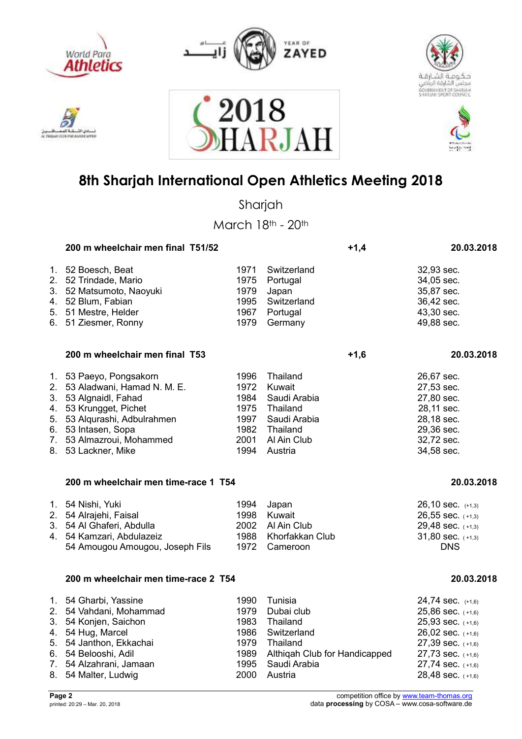

استقالهم دی اللہ AC TWO AT CLEW FOR A ANSAY APPEA







### **8th Sharjah International Open Athletics Meeting 2018**

018

RJA1

Sharjah

| 200 m wheelchair men final T51/52    |      | $+1,4$                        | 20.03.2018            |
|--------------------------------------|------|-------------------------------|-----------------------|
| 1. 52 Boesch, Beat                   | 1971 | Switzerland                   | 32,93 sec.            |
| 2. 52 Trindade, Mario                | 1975 | Portugal                      | 34,05 sec.            |
| 3. 52 Matsumoto, Naoyuki             | 1979 | Japan                         | 35,87 sec.            |
| 4. 52 Blum, Fabian                   | 1995 | Switzerland                   | 36,42 sec.            |
| 5. 51 Mestre, Helder                 | 1967 | Portugal                      | 43,30 sec.            |
| 6. 51 Ziesmer, Ronny                 | 1979 | Germany                       | 49,88 sec.            |
| 200 m wheelchair men final T53       |      | $+1,6$                        | 20.03.2018            |
| 1. 53 Paeyo, Pongsakorn              | 1996 | Thailand                      | 26,67 sec.            |
| 2. 53 Aladwani, Hamad N. M. E.       | 1972 | Kuwait                        | 27,53 sec.            |
| 3. 53 Algnaidl, Fahad                | 1984 | Saudi Arabia                  | 27,80 sec.            |
| 4. 53 Krungget, Pichet               | 1975 | Thailand                      | 28,11 sec.            |
| 5. 53 Alqurashi, Adbulrahmen         | 1997 | Saudi Arabia                  | 28,18 sec.            |
| 6. 53 Intasen, Sopa                  | 1982 | Thailand                      | 29,36 sec.            |
| 7. 53 Almazroui, Mohammed            | 2001 | Al Ain Club                   | 32,72 sec.            |
| 8. 53 Lackner, Mike                  | 1994 | Austria                       | 34,58 sec.            |
| 200 m wheelchair men time-race 1 T54 |      |                               | 20.03.2018            |
| 1. 54 Nishi, Yuki                    | 1994 | Japan                         | 26,10 sec. (+1,3)     |
| 2. 54 Alrajehi, Faisal               | 1998 | Kuwait                        | $26,55$ sec. $(+1,3)$ |
| 3. 54 Al Ghaferi, Abdulla            | 2002 | Al Ain Club                   | 29,48 sec. (+1,3)     |
| 4. 54 Kamzari, Abdulazeiz            | 1988 | Khorfakkan Club               | $31,80$ sec. $(+1,3)$ |
| 54 Amougou Amougou, Joseph Fils      | 1972 | Cameroon                      | <b>DNS</b>            |
| 200 m wheelchair men time-race 2 T54 |      |                               | 20.03.2018            |
| 1. 54 Gharbi, Yassine                | 1990 | Tunisia                       | 24,74 sec. $(+1,6)$   |
| 2. 54 Vahdani, Mohammad              | 1979 | Dubai club                    | 25,86 sec. (+1,6)     |
| 3. 54 Konjen, Saichon                | 1983 | Thailand                      | 25,93 sec. (+1,6)     |
| 4. 54 Hug, Marcel                    | 1986 | Switzerland                   | 26,02 sec. (+1,6)     |
| 5. 54 Janthon, Ekkachai              | 1979 | Thailand                      | 27,39 sec. (+1,6)     |
| 6. 54 Belooshi, Adil                 | 1989 | Althiqah Club for Handicapped | 27,73 sec. (+1,6)     |
| 7. 54 Alzahrani, Jamaan              | 1995 | Saudi Arabia                  | 27,74 sec. (+1,6)     |
| 8. 54 Malter, Ludwig                 | 2000 | Austria                       | 28,48 sec. (+1,6)     |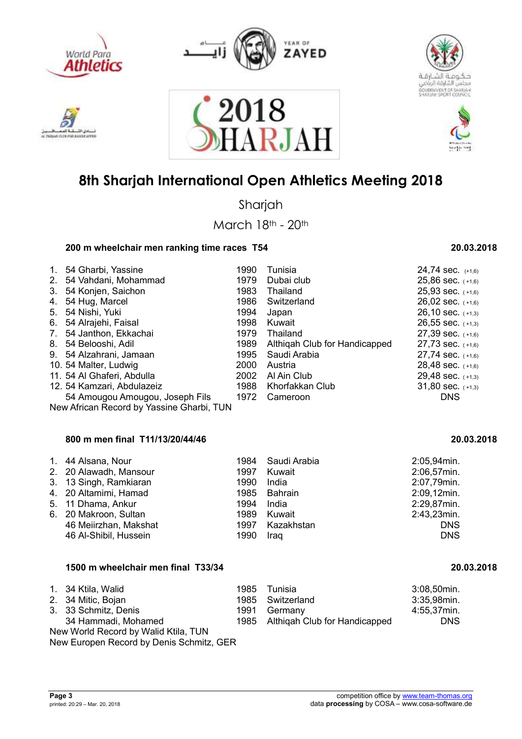

**MAY EX ENE PORT ANA** 



2018





### **8th Sharjah International Open Athletics Meeting 2018**

**ARJA** 

Sharjah

March 18th - 20th

#### **200 m wheelchair men ranking time races T54 20.03.2018**

| $1_{-}$                          | 54 Gharbi, Yassine                        | 1990 | Tunisia                       | $24,74$ sec. $(+1,6)$ |
|----------------------------------|-------------------------------------------|------|-------------------------------|-----------------------|
| 2 <sub>1</sub>                   | 54 Vahdani, Mohammad                      | 1979 | Dubai club                    | $25,86$ sec. $(+1,6)$ |
| 3.                               | 54 Konjen, Saichon                        | 1983 | Thailand                      | $25,93$ sec. $(+1,6)$ |
| 4.                               | 54 Hug, Marcel                            | 1986 | Switzerland                   | $26,02$ sec. $(+1,6)$ |
|                                  | 5. 54 Nishi, Yuki                         | 1994 | Japan                         | $26,10$ sec. $(+1,3)$ |
| 6.                               | 54 Alrajehi, Faisal                       | 1998 | Kuwait                        | $26,55$ sec. $(+1,3)$ |
| $7_{\scriptscriptstyle{\ddots}}$ | 54 Janthon, Ekkachai                      | 1979 | Thailand                      | $27,39$ sec. $(+1,6)$ |
|                                  | 8. 54 Belooshi, Adil                      | 1989 | Althigah Club for Handicapped | $27,73$ sec. $(+1,6)$ |
|                                  | 9. 54 Alzahrani, Jamaan                   | 1995 | Saudi Arabia                  | $27,74$ sec. $(+1,6)$ |
|                                  | 10. 54 Malter, Ludwig                     | 2000 | Austria                       | 28,48 sec. $(+1,6)$   |
|                                  | 11. 54 Al Ghaferi, Abdulla                | 2002 | Al Ain Club                   | 29,48 sec. $(+1,3)$   |
|                                  | 12. 54 Kamzari, Abdulazeiz                | 1988 | Khorfakkan Club               | $31,80$ sec. $(+1,3)$ |
|                                  | 54 Amougou Amougou, Joseph Fils           | 1972 | Cameroon                      | <b>DNS</b>            |
|                                  | New African Record by Yassine Gharbi, TUN |      |                               |                       |
|                                  |                                           |      |                               |                       |

#### **800 m men final T11/13/20/44/46 20.03.2018**

| 1. 44 Alsana, Nour     |      | 1984 Saudi Arabia | 2:05,94min.    |
|------------------------|------|-------------------|----------------|
| 2. 20 Alawadh, Mansour | 1997 | Kuwait            | 2:06,57min.    |
| 3. 13 Singh, Ramkiaran | 1990 | India             | 2:07,79min.    |
| 4. 20 Altamimi, Hamad  |      | 1985 Bahrain      | 2:09,12min.    |
| 5. 11 Dhama, Ankur     | 1994 | India             | 2:29,87min.    |
| 6. 20 Makroon, Sultan  |      | 1989 Kuwait       | $2:43,23$ min. |
| 46 Meiirzhan, Makshat  |      | 1997 Kazakhstan   | <b>DNS</b>     |
| 46 Al-Shibil, Hussein  | 1990 | Iraq              | <b>DNS</b>     |

| 1500 m wheelchair men final T33/34   |      |                                    | 20.03.2018  |  |
|--------------------------------------|------|------------------------------------|-------------|--|
| 1. 34 Ktila, Walid                   | 1985 | Tunisia                            | 3:08,50min. |  |
| 2. 34 Mitic, Bojan                   | 1985 | Switzerland                        | 3:35,98min. |  |
| 3. 33 Schmitz, Denis                 | 1991 | Germany                            | 4:55,37min. |  |
| 34 Hammadi, Mohamed                  |      | 1985 Althigah Club for Handicapped | <b>DNS</b>  |  |
| New World Record by Walid Ktila, TUN |      |                                    |             |  |
|                                      |      |                                    |             |  |

New Europen Record by Denis Schmitz, GER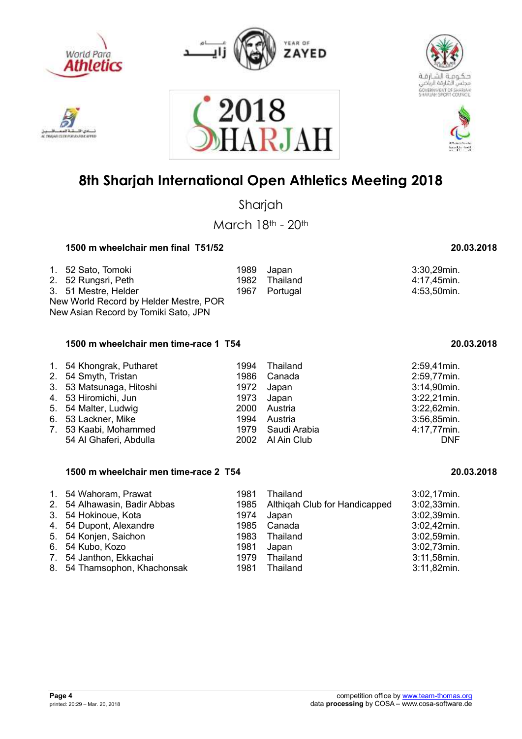

**MAY EX ENE PORT ANA** 



2018





## **8th Sharjah International Open Athletics Meeting 2018**

ARJAI

Sharjah

March 18th - 20th

### **1500 m wheelchair men final T51/52 20.03.2018**

| 1. 52 Sato, Tomoki<br>2. 52 Rungsri, Peth<br>3. 51 Mestre, Helder |  | 1989 Japan<br>1982 Thailand<br>1967 Portugal | 3:30,29min.<br>4:17,45min.<br>4:53,50min. |  |
|-------------------------------------------------------------------|--|----------------------------------------------|-------------------------------------------|--|
| New World Record by Helder Mestre, POR                            |  |                                              |                                           |  |
| New Asian Record by Tomiki Sato, JPN                              |  |                                              |                                           |  |

#### **1500 m wheelchair men time-race 1 T54 20.03.2018**

| 1. 54 Khongrak, Putharet |      | 1994 Thailand     | 2:59,41min.    |
|--------------------------|------|-------------------|----------------|
| 2. 54 Smyth, Tristan     |      | 1986 Canada       | 2:59,77min.    |
| 3. 53 Matsunaga, Hitoshi | 1972 | Japan             | 3:14,90min.    |
| 4. 53 Hiromichi, Jun     |      | 1973 Japan        | $3:22,21$ min. |
| 5. 54 Malter, Ludwig     |      | 2000 Austria      | $3:22,62$ min. |
| 6. 53 Lackner, Mike      |      | 1994 Austria      | 3:56,85min.    |
| 7. 53 Kaabi, Mohammed    |      | 1979 Saudi Arabia | 4:17,77min.    |
| 54 Al Ghaferi, Abdulla   |      | 2002 Al Ain Club  | <b>DNF</b>     |

#### **1500 m wheelchair men time-race 2 T54 20.03.2018**

| 1. 54 Wahoram, Prawat<br>2. 54 Alhawasin, Badir Abbas<br>3. 54 Hokinoue, Kota<br>4. 54 Dupont, Alexandre<br>5. 54 Konjen, Saichon<br>6. 54 Kubo, Kozo | 1981<br>1985<br>1974<br>1985<br>1983<br>1981 | Thailand<br>Althigah Club for Handicapped<br>Japan<br>Canada<br>Thailand<br>Japan | $3:02,17$ min.<br>$3:02,33$ min.<br>3:02,39min.<br>3:02,42min.<br>3:02,59min.<br>3:02,73min. |
|-------------------------------------------------------------------------------------------------------------------------------------------------------|----------------------------------------------|-----------------------------------------------------------------------------------|----------------------------------------------------------------------------------------------|
| 7. 54 Janthon, Ekkachai                                                                                                                               | 1979                                         | Thailand                                                                          | 3:11,58min.                                                                                  |
| 8. 54 Thamsophon, Khachonsak                                                                                                                          | 1981                                         | Thailand                                                                          | $3:11,82$ min.                                                                               |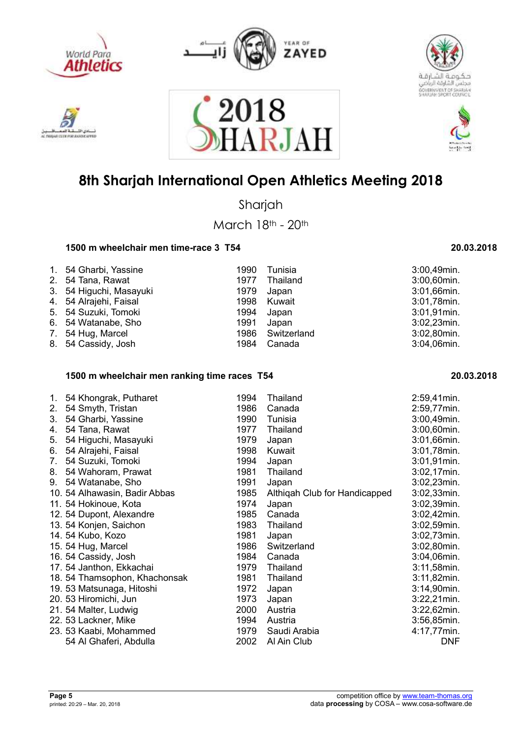

**VOIAT EXTREPOR ALAVEN** 



2018





## **8th Sharjah International Open Athletics Meeting 2018**

ARJAI

Sharjah

March 18th - 20th

### **1500 m wheelchair men time-race 3 T54 20.03.2018**

| 1. 54 Gharbi, Yassine   | 1990 | Tunisia          | 3:00,49min.    |
|-------------------------|------|------------------|----------------|
| 2. 54 Tana, Rawat       | 1977 | Thailand         | 3:00,60min.    |
| 3. 54 Higuchi, Masayuki | 1979 | Japan            | 3:01,66min.    |
| 4. 54 Alrajehi, Faisal  | 1998 | Kuwait           | 3:01,78min.    |
| 5. 54 Suzuki, Tomoki    | 1994 | Japan            | $3:01,91$ min. |
| 6. 54 Watanabe, Sho     | 1991 | Japan            | $3:02,23$ min. |
| 7. 54 Hug, Marcel       |      | 1986 Switzerland | 3:02,80min.    |
| 8. 54 Cassidy, Josh     | 1984 | Canada           | 3:04,06min.    |

### **1500 m wheelchair men ranking time races T54 20.03.2018**

| 1. | 54 Khongrak, Putharet         | 1994 | Thailand                      | 2:59,41min.    |
|----|-------------------------------|------|-------------------------------|----------------|
| 2. | 54 Smyth, Tristan             | 1986 | Canada                        | 2:59,77min.    |
| 3. | 54 Gharbi, Yassine            | 1990 | Tunisia                       | 3:00,49min.    |
| 4. | 54 Tana, Rawat                | 1977 | Thailand                      | 3:00,60min.    |
| 5. | 54 Higuchi, Masayuki          | 1979 | Japan                         | 3:01,66min.    |
| 6. | 54 Alrajehi, Faisal           | 1998 | Kuwait                        | 3:01,78min.    |
| 7. | 54 Suzuki, Tomoki             | 1994 | Japan                         | 3:01,91min.    |
| 8. | 54 Wahoram, Prawat            | 1981 | Thailand                      | 3:02,17min.    |
| 9. | 54 Watanabe, Sho              | 1991 | Japan                         | $3:02,23$ min. |
|    | 10. 54 Alhawasin, Badir Abbas | 1985 | Althigah Club for Handicapped | 3:02,33min.    |
|    | 11. 54 Hokinoue, Kota         | 1974 | Japan                         | 3:02,39min.    |
|    | 12. 54 Dupont, Alexandre      | 1985 | Canada                        | 3:02,42min.    |
|    | 13. 54 Konjen, Saichon        | 1983 | Thailand                      | 3:02,59min.    |
|    | 14. 54 Kubo, Kozo             | 1981 | Japan                         | 3:02,73min.    |
|    | 15. 54 Hug, Marcel            | 1986 | Switzerland                   | 3:02,80min.    |
|    | 16. 54 Cassidy, Josh          | 1984 | Canada                        | 3:04,06min.    |
|    | 17. 54 Janthon, Ekkachai      | 1979 | Thailand                      | $3:11,58$ min. |
|    | 18. 54 Thamsophon, Khachonsak | 1981 | Thailand                      | $3:11,82$ min. |
|    | 19. 53 Matsunaga, Hitoshi     | 1972 | Japan                         | 3:14,90min.    |
|    | 20. 53 Hiromichi, Jun         | 1973 | Japan                         | $3:22,21$ min. |
|    | 21. 54 Malter, Ludwig         | 2000 | Austria                       | 3:22,62min.    |
|    | 22. 53 Lackner, Mike          | 1994 | Austria                       | 3:56,85min.    |
|    | 23. 53 Kaabi, Mohammed        | 1979 | Saudi Arabia                  | 4:17,77min.    |
|    | 54 Al Ghaferi, Abdulla        | 2002 | Al Ain Club                   | <b>DNF</b>     |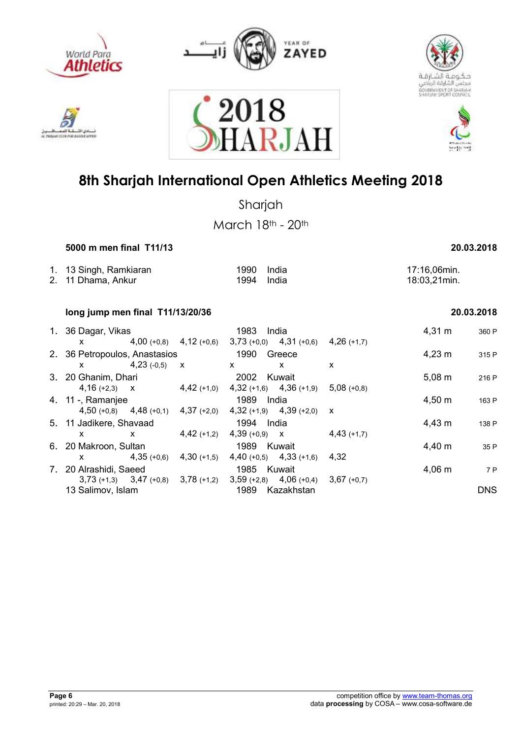

h sa

inu

**WOUN CEEN FOR ALANSA** 









## **8th Sharjah International Open Athletics Meeting 2018**

Sharjah

March 18th - 20th

 **5000 m men final T11/13 20.03.2018** 

| 1. 13 Singh, Ramkiaran<br>2. 11 Dhama, Ankur | 1990 India<br>1994 India | 17:16,06min.<br>18:03,21min. |
|----------------------------------------------|--------------------------|------------------------------|
|                                              |                          |                              |

### **long jump men final T11/13/20/36 20.03.2018**

|    | 1. 36 Dagar, Vikas            |                             | 1983<br>India               |               | $4,31 \; m$        | 360 P      |
|----|-------------------------------|-----------------------------|-----------------------------|---------------|--------------------|------------|
|    | X.                            | $4,00 (+0,8)$ $4,12 (+0,6)$ | $3,73 (+0,0)$ $4,31 (+0,6)$ | $4,26$ (+1,7) |                    |            |
|    | 2. 36 Petropoulos, Anastasios |                             | 1990<br>Greece              |               | $4,23 \; \text{m}$ | 315 P      |
|    | $4,23$ (-0,5)<br><b>X</b>     | $\mathsf{X}$                | x<br>x                      | x             |                    |            |
|    | 3. 20 Ghanim, Dhari           |                             | 2002<br>Kuwait              |               | $5,08 \; m$        | 216 P      |
|    | $4,16 (+2,3)$ X               | $4,42$ (+1,0)               | $4,32 (+1,6)$ $4,36 (+1,9)$ | $5.08(+0.8)$  |                    |            |
|    | 4. 11 -, Ramanjee             |                             | 1989<br>India               |               | $4,50 \; m$        | 163 P      |
|    | $4,50 (+0,8)$ $4,48 (+0,1)$   | $4,37$ (+2,0)               | $4,32 (+1,9)$ $4,39 (+2,0)$ | X             |                    |            |
|    | 5. 11 Jadikere, Shavaad       |                             | 1994<br>India               |               | $4,43 \; m$        | 138 P      |
|    | X<br>X                        | $4,42 (+1,2)$               | $4,39 (+0,9)$ X             | $4,43(+1,7)$  |                    |            |
|    | 6. 20 Makroon, Sultan         |                             | 1989<br>Kuwait              |               | 4,40 m             | 35 P       |
|    | $4,35(+0,6)$<br>x             | $4,30(+1,5)$                | $4,40 (+0,5)$ $4,33 (+1,6)$ | 4.32          |                    |            |
| 7. | 20 Alrashidi, Saeed           |                             | 1985<br>Kuwait              |               | $4,06 \; m$        | 7 P        |
|    | $3,73$ (+1,3) $3,47$ (+0,8)   | $3,78$ (+1,2)               | $3,59 (+2,8)$ 4,06 (+0,4)   | $3,67(+0,7)$  |                    |            |
|    | 13 Salimov, Islam             |                             | 1989<br>Kazakhstan          |               |                    | <b>DNS</b> |
|    |                               |                             |                             |               |                    |            |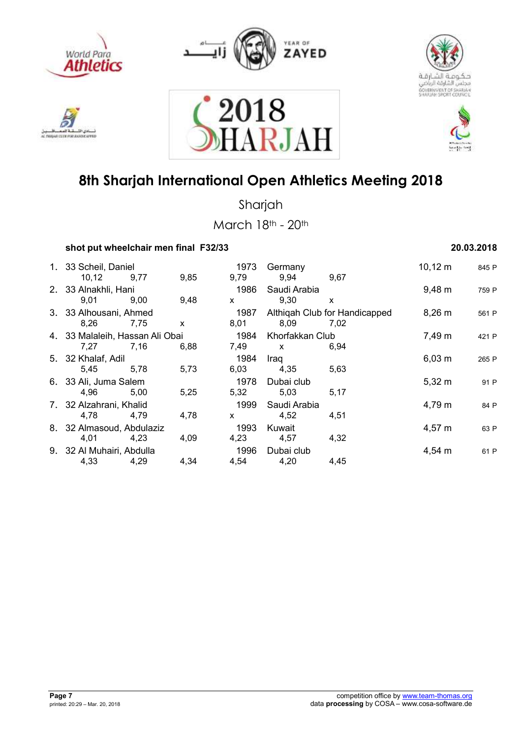











Sharjah

| shot put wheelchair men final F32/33 |              |         | 20.03.2018 |
|--------------------------------------|--------------|---------|------------|
| 1. 33 Scheil, Daniel                 | 1973 Germany | 10,12 m | 845 P      |

| 1. 33 Scheil, Daniel            |      |      | 1973            | Germany      |                               | $10,12 \; m$ | 845 P |
|---------------------------------|------|------|-----------------|--------------|-------------------------------|--------------|-------|
| 10, 12                          | 9,77 | 9,85 | 9,79            | 9,94         | 9,67                          |              |       |
| 2. 33 Alnakhli, Hani            |      |      | 1986            | Saudi Arabia |                               | $9,48 \; m$  | 759 P |
| 9,01                            | 9,00 | 9,48 | X               | 9,30         | X                             |              |       |
| 3. 33 Alhousani, Ahmed          |      |      | 1987            |              | Althigah Club for Handicapped | $8,26 \; m$  | 561 P |
| 8,26                            | 7,75 | X    | 8,01            | 8,09         | 7,02                          |              |       |
| 4. 33 Malaleih, Hassan Ali Obai |      | 1984 | Khorfakkan Club |              | 7,49 m                        | 421 P        |       |
| 7,27                            | 7,16 | 6,88 | 7,49            | $\mathsf{x}$ | 6.94                          |              |       |
| 5. 32 Khalaf, Adil              |      |      | 1984            | Iraq         |                               | $6,03 \; m$  | 265 P |
| 5.45                            | 5.78 | 5,73 | 6,03            | 4,35         | 5,63                          |              |       |
| 6. 33 Ali, Juma Salem           |      |      | 1978            | Dubai club   |                               | $5,32 \; m$  | 91 P  |
| 4,96                            | 5,00 | 5,25 | 5,32            | 5,03         | 5,17                          |              |       |
| 7. 32 Alzahrani, Khalid         |      |      | 1999            | Saudi Arabia |                               | 4,79 m       | 84 P  |
| 4,78                            | 4,79 | 4,78 | $\mathsf{x}$    | 4,52         | 4,51                          |              |       |
| 8. 32 Almasoud, Abdulaziz       |      |      | 1993            | Kuwait       |                               | 4,57 m       | 63 P  |
| 4,01                            | 4,23 | 4,09 | 4,23            | 4,57         | 4,32                          |              |       |
| 9. 32 Al Muhairi, Abdulla       |      |      | 1996            | Dubai club   |                               | $4,54 \; m$  | 61 P  |
| 4,33                            | 4,29 | 4,34 | 4,54            | 4,20         | 4,45                          |              |       |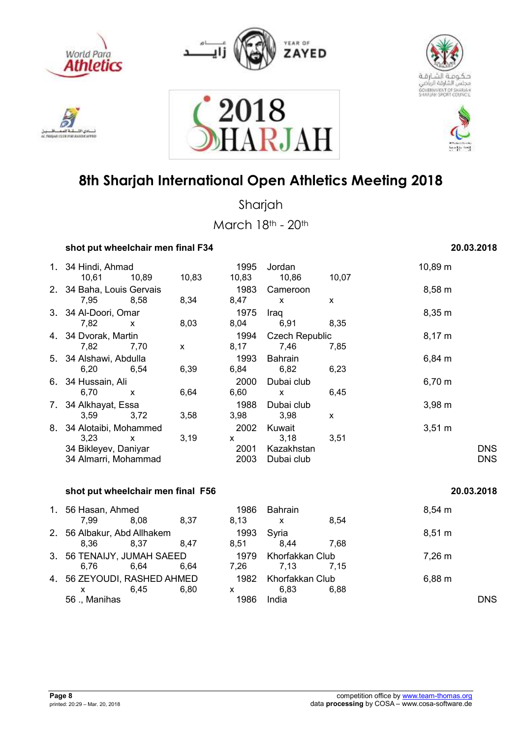











Sharjah

| 20.03.2018 |
|------------|
|            |

|    | 1. 34 Hindi, Ahmad<br>10,61                                                   | 10,89        | 10,83 | 1995<br>10,83             | Jordan<br>10,86                            | 10,07 | 10,89 m          |                          |
|----|-------------------------------------------------------------------------------|--------------|-------|---------------------------|--------------------------------------------|-------|------------------|--------------------------|
|    | 2. 34 Baha, Louis Gervais<br>7,95                                             | 8,58         | 8,34  | 1983<br>8,47              | Cameroon<br>$\mathsf{x}$                   | X     | 8,58 m           |                          |
|    | 3. 34 Al-Doori, Omar<br>7,82                                                  | $\mathsf{x}$ | 8,03  | 1975<br>8,04              | Iraq<br>6,91                               | 8,35  | 8,35 m           |                          |
|    | 4. 34 Dvorak, Martin<br>7,82                                                  | 7,70         | X     | 1994<br>8,17              | <b>Czech Republic</b><br>7,46              | 7,85  | $8,17 \; m$      |                          |
|    | 5. 34 Alshawi, Abdulla<br>6,20                                                | 6.54         | 6,39  | 1993<br>6,84              | <b>Bahrain</b><br>6,82                     | 6,23  | 6,84 m           |                          |
|    | 6. 34 Hussain, Ali<br>6,70                                                    | X            | 6,64  | 2000<br>6,60              | Dubai club<br>X                            | 6,45  | $6,70 \; m$      |                          |
| 7. | 34 Alkhayat, Essa<br>3,59                                                     | 3,72         | 3,58  | 1988<br>3,98              | Dubai club<br>3,98                         | X     | $3,98 \; m$      |                          |
| 8. | 34 Alotaibi, Mohammed<br>3.23<br>34 Bikleyev, Daniyar<br>34 Almarri, Mohammad | $\mathsf{x}$ | 3,19  | 2002<br>X<br>2001<br>2003 | Kuwait<br>3,18<br>Kazakhstan<br>Dubai club | 3,51  | $3,51 \text{ m}$ | <b>DNS</b><br><b>DNS</b> |
|    |                                                                               |              |       |                           |                                            |       |                  |                          |

| shot put wheelchair men final F56 |                             |      |      |                 |      | 20.03.2018  |  |
|-----------------------------------|-----------------------------|------|------|-----------------|------|-------------|--|
| 1. 56 Hasan, Ahmed                |                             |      | 1986 | <b>Bahrain</b>  |      | $8,54 \; m$ |  |
| 7.99                              | 8.08                        | 8.37 | 8,13 | $\mathsf{X}$    | 8.54 |             |  |
|                                   | 2. 56 Albakur, Abd Allhakem |      | 1993 | Syria           |      | $8,51 \; m$ |  |
| 8.36                              | 8.37                        | 8.47 | 8.51 | 8,44            | 7.68 |             |  |
| 3. 56 TENAIJY, JUMAH SAEED        |                             |      | 1979 | Khorfakkan Club |      | 7,26 m      |  |
| 6.76                              | 6.64                        | 6.64 | 7.26 | 7.13            | 7.15 |             |  |
| 4. 56 ZEYOUDI, RASHED AHMED       |                             |      | 1982 | Khorfakkan Club |      | 6,88 m      |  |
|                                   | 6.45                        | 6.80 | x    | 6.83            | 6.88 |             |  |
| 56 ., Manihas                     |                             |      | 1986 | India           |      | DNS.        |  |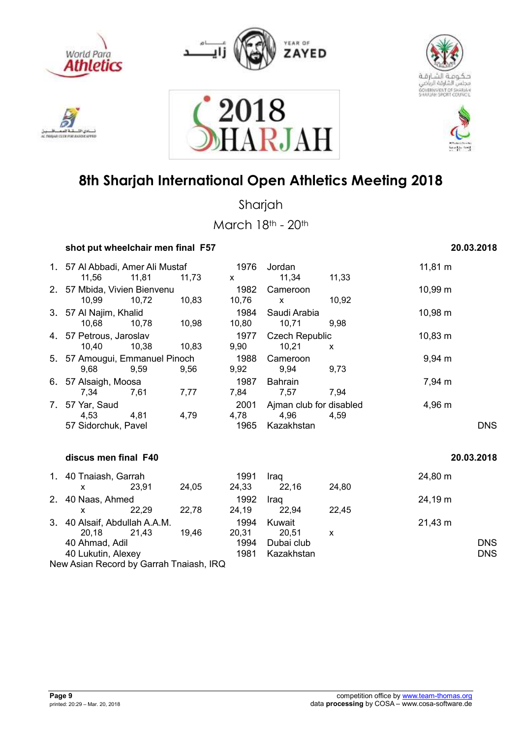











Sharjah

|    | shot put wheelchair men final F57              |       |       |                      |                                               |       | 20.03.2018   |                          |
|----|------------------------------------------------|-------|-------|----------------------|-----------------------------------------------|-------|--------------|--------------------------|
|    | 1. 57 Al Abbadi, Amer Ali Mustaf<br>11,56      | 11,81 | 11,73 | 1976<br>X            | Jordan<br>11,34                               | 11,33 | $11,81 \; m$ |                          |
|    | 2. 57 Mbida, Vivien Bienvenu<br>10,99          | 10,72 | 10,83 | 1982<br>10,76        | Cameroon<br>$\mathsf{x}$                      | 10,92 | $10,99 \; m$ |                          |
|    | 3. 57 Al Najim, Khalid<br>10,68                | 10,78 | 10,98 | 1984<br>10,80        | Saudi Arabia<br>10,71                         | 9,98  | 10,98 m      |                          |
|    | 4. 57 Petrous, Jaroslav<br>10,40               | 10,38 | 10,83 | 1977<br>9,90         | <b>Czech Republic</b><br>10,21                | X     | $10,83 \; m$ |                          |
|    | 5. 57 Amougui, Emmanuel Pinoch<br>9,68         | 9,59  | 9,56  | 1988<br>9,92         | Cameroon<br>9,94                              | 9,73  | $9,94 \, m$  |                          |
|    | 6. 57 Alsaigh, Moosa<br>7,34                   | 7,61  | 7,77  | 1987<br>7,84         | <b>Bahrain</b><br>7,57                        | 7,94  | 7,94 m       |                          |
|    | 7. 57 Yar, Saud<br>4,53<br>57 Sidorchuk, Pavel | 4,81  | 4,79  | 2001<br>4,78<br>1965 | Ajman club for disabled<br>4,96<br>Kazakhstan | 4,59  | 4,96 m       | <b>DNS</b>               |
|    | discus men final F40                           |       |       |                      |                                               |       | 20.03.2018   |                          |
|    | 1. 40 Tnaiash, Garrah<br>X                     | 23,91 | 24,05 | 1991<br>24,33        | Iraq<br>22,16                                 | 24,80 | 24,80 m      |                          |
| 2. | 40 Naas, Ahmed<br>x                            | 22,29 | 22,78 | 1992<br>24,19        | Iraq<br>22,94                                 | 22,45 | 24,19 m      |                          |
| 3. | 40 Alsaif, Abdullah A.A.M.<br>20,18            | 21,43 | 19,46 | 1994<br>20,31        | Kuwait<br>20,51                               | X     | $21,43 \; m$ |                          |
|    | 40 Ahmad, Adil<br>40 Lukutin, Alexey           |       |       | 1994<br>1981         | Dubai club<br>Kazakhstan                      |       |              | <b>DNS</b><br><b>DNS</b> |
|    | New Asian Record by Garrah Tnaiash, IRQ        |       |       |                      |                                               |       |              |                          |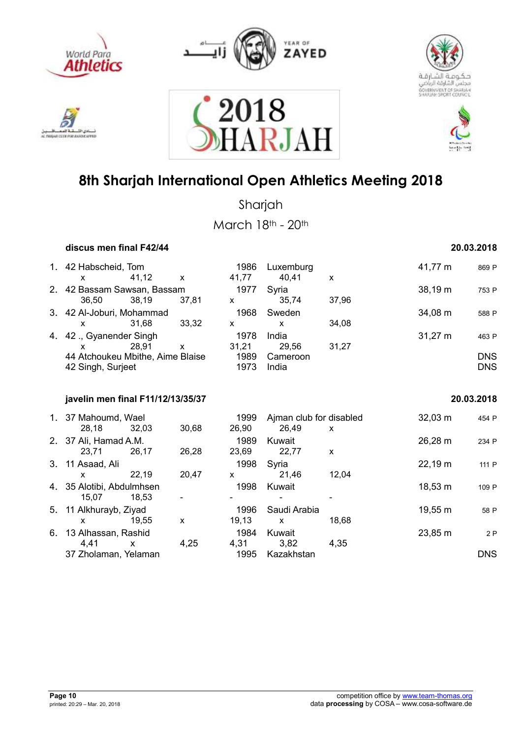











Sharjah

|    | discus men final F42/44                                                                                                                                                                                                                                                                                                                                                           |       |              |                               |                                     |       |              | 20.03.2018                        |
|----|-----------------------------------------------------------------------------------------------------------------------------------------------------------------------------------------------------------------------------------------------------------------------------------------------------------------------------------------------------------------------------------|-------|--------------|-------------------------------|-------------------------------------|-------|--------------|-----------------------------------|
|    | 1. 42 Habscheid, Tom<br>X.                                                                                                                                                                                                                                                                                                                                                        | 41,12 | $\mathsf{x}$ | 1986<br>41,77                 | Luxemburg<br>40,41                  | X     | 41,77 m      | 869 P                             |
|    | 2. 42 Bassam Sawsan, Bassam<br>36,50                                                                                                                                                                                                                                                                                                                                              | 38,19 | 37,81        | 1977<br>$\mathsf{X}$          | Syria<br>35,74                      | 37,96 | 38,19 m      | 753 P                             |
|    | 3. 42 Al-Joburi, Mohammad<br>$\mathsf{x}$                                                                                                                                                                                                                                                                                                                                         | 31,68 | 33,32        | 1968<br>$\mathsf{x}$          | Sweden<br>$\mathsf{x}$              | 34,08 | $34,08 \; m$ | 588 P                             |
| 4. | 42., Gyanender Singh<br>$\mathsf{X}$ and $\mathsf{X}$ and $\mathsf{X}$ are $\mathsf{X}$ and $\mathsf{X}$ are $\mathsf{X}$ and $\mathsf{X}$ are $\mathsf{X}$ and $\mathsf{X}$ are $\mathsf{X}$ and $\mathsf{X}$ are $\mathsf{X}$ and $\mathsf{X}$ are $\mathsf{X}$ and $\mathsf{X}$ are $\mathsf{X}$ and $\mathsf{X}$ are<br>44 Atchoukeu Mbithe, Aime Blaise<br>42 Singh, Surjeet | 28,91 | $\mathsf{x}$ | 1978<br>31,21<br>1989<br>1973 | India<br>29,56<br>Cameroon<br>India | 31,27 | $31,27 \; m$ | 463 P<br><b>DNS</b><br><b>DNS</b> |
|    | javelin men final F11/12/13/35/37                                                                                                                                                                                                                                                                                                                                                 |       |              |                               |                                     |       |              | 20.03.2018                        |
|    | 1. 37 Mahoumd, Wael<br>28,18                                                                                                                                                                                                                                                                                                                                                      | 32,03 | 30,68        | 1999<br>26,90                 | Ajman club for disabled<br>26,49    | X     | $32,03 \; m$ | 454 P                             |
|    | 2. 37 Ali, Hamad A.M.<br>23,71                                                                                                                                                                                                                                                                                                                                                    | 26,17 | 26,28        | 1989<br>23,69                 | Kuwait<br>22,77                     | X     | 26,28 m      | 234 P                             |
|    | 3. 11 Asaad, Ali<br>X                                                                                                                                                                                                                                                                                                                                                             | 22,19 | 20,47        | 1998<br>$\mathsf{x}$          | Syria<br>21,46                      | 12,04 | 22,19 m      | 111 P                             |
|    | 4. 35 Alotibi, Abdulmhsen<br>15,07                                                                                                                                                                                                                                                                                                                                                | 18,53 |              | 1998                          | Kuwait                              |       | $18,53 \; m$ | 109 P                             |
|    | 5. 11 Alkhurayb, Ziyad<br>$\mathsf{x}$                                                                                                                                                                                                                                                                                                                                            | 19,55 | $\mathsf{x}$ | 1996<br>19,13                 | Saudi Arabia<br>$\mathsf{X}$        | 18,68 | 19,55 m      | 58 P                              |
|    | 6. 13 Alhassan, Rashid<br>4,41                                                                                                                                                                                                                                                                                                                                                    | X     | 4,25         | 1984<br>4,31                  | Kuwait<br>3,82                      | 4,35  | 23,85 m      | 2P                                |
|    | 37 Zholaman, Yelaman                                                                                                                                                                                                                                                                                                                                                              |       |              | 1995                          | Kazakhstan                          |       |              | <b>DNS</b>                        |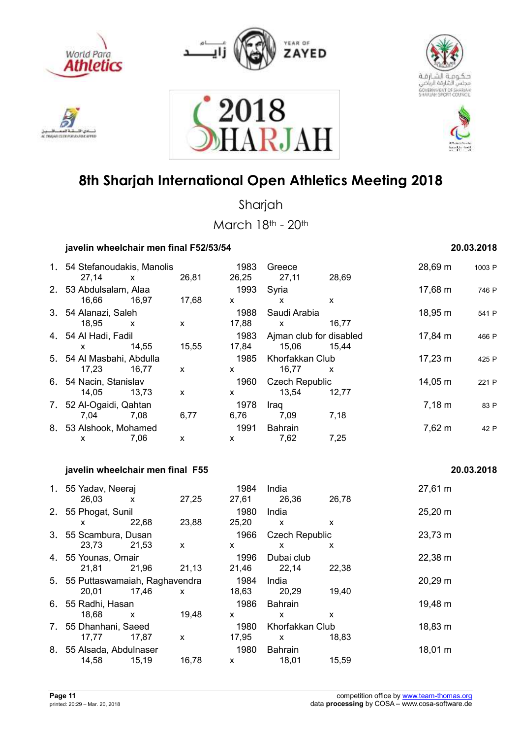











Sharjah

March 18th - 20th

 **javelin wheelchair men final F52/53/54 20.03.2018** 

|                                           | ווו ווטווו וואווטוטטאוו   |       |                      |                                           |       |             |            |
|-------------------------------------------|---------------------------|-------|----------------------|-------------------------------------------|-------|-------------|------------|
| 1. 54 Stefanoudakis, Manolis<br>27,14     | $\mathsf{x}$              | 26,81 | 1983<br>26,25        | Greece<br>27,11                           | 28,69 | 28,69 m     | 1003 P     |
| 2. 53 Abdulsalam, Alaa<br>16,66           | 16,97                     | 17,68 | 1993<br>$\mathsf{x}$ | Syria<br>$\mathsf{x}$                     | X.    | 17,68 m     | 746 P      |
| 3. 54 Alanazi, Saleh<br>18,95             | X                         | X     | 1988<br>17,88        | Saudi Arabia<br>$\boldsymbol{\mathsf{X}}$ | 16,77 | 18,95 m     | 541 P      |
| 4. 54 Al Hadi, Fadil<br>X.                | 14,55                     | 15,55 | 1983<br>17,84        | Ajman club for disabled<br>15,06          | 15,44 | 17,84 m     | 466 P      |
| 5. 54 Al Masbahi, Abdulla<br>17,23        | 16,77                     | X     | 1985<br>$\mathsf{x}$ | Khorfakkan Club<br>16,77                  | X     | 17,23 m     | 425 P      |
| 6. 54 Nacin, Stanislav<br>14,05           | 13,73                     | X     | 1960<br>X            | <b>Czech Republic</b><br>13,54            | 12,77 | 14,05 m     | 221 P      |
| 7. 52 Al-Ogaidi, Qahtan<br>7,04           | 7,08                      | 6,77  | 1978<br>6,76         | Iraq<br>7,09                              | 7,18  | $7,18 \; m$ | 83 P       |
| 8. 53 Alshook, Mohamed<br>X               | 7,06                      | X     | 1991<br>X            | <b>Bahrain</b><br>7,62                    | 7,25  | 7,62 m      | 42 P       |
| javelin wheelchair men final F55          |                           |       |                      |                                           |       |             | 20.03.2018 |
| 1. 55 Yadav, Neeraj<br>26,03              | $\mathsf{x}$              | 27,25 | 1984<br>27,61        | India<br>26,36                            | 26,78 | 27,61 m     |            |
| 2. 55 Phogat, Sunil<br>X                  | 22,68                     | 23,88 | 1980<br>25,20        | India<br>X                                | X     | 25,20 m     |            |
| 3. 55 Scambura, Dusan<br>23,73            | 21,53                     | X     | 1966<br>$\mathsf{x}$ | <b>Czech Republic</b><br>X                | X.    | 23,73 m     |            |
| 4. 55 Younas, Omair<br>21,81              | 21,96                     | 21,13 | 1996<br>21,46        | Dubai club<br>22,14                       | 22,38 | 22,38 m     |            |
| 5. 55 Puttaswamaiah, Raghavendra<br>20,01 | 17,46                     | X.    | 1984<br>18,63        | India<br>20,29                            | 19,40 | 20,29 m     |            |
| 6. 55 Radhi, Hasan<br>18,68               | $\boldsymbol{\mathsf{X}}$ | 19,48 | 1986<br>X            | <b>Bahrain</b><br>X                       | X     | 19,48 m     |            |
| 7. 55 Dhanhani, Saeed<br>17,77            | 17,87                     | X     | 1980<br>17,95        | Khorfakkan Club<br>X                      | 18,83 | 18,83 m     |            |

17,77 17,87 x 17,95 x 18,83

14,58 15,19 16,78 x 18,01 15,59

8. 55 Alsada, Abdulnaser 1980 Bahrain 18,01 m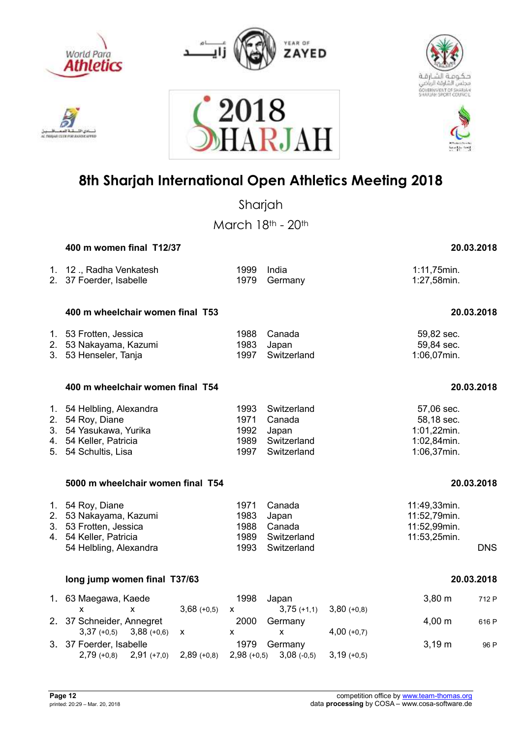



2018





### **8th Sharjah International Open Athletics Meeting 2018**

A R.IAI

Sharjah March 18th - 20th  **400 m women final T12/37 20.03.2018**  1. 12 ., Radha Venkatesh 1999 India 1:11,75min. 2. 37 Foerder, Isabelle 1979 Germany 1:27,58min.  **400 m wheelchair women final T53 20.03.2018**  1. 53 Frotten, Jessica 1988 Canada 59,82 sec. 2. 53 Nakayama, Kazumi 1983 Japan 59,84 sec. 3. 53 Henseler, Tanja 1997  **400 m wheelchair women final T54 20.03.2018**  1. 54 Helbling, Alexandra 1993 Switzerland 57,06 sec. 2. 54 Roy, Diane 1971 Canada 58,18 sec. 3. 54 Yasukawa, Yurika 1992 Japan 1:01,22min. 4. 54 Keller, Patricia 1989 Switzerland 1:02,84min. 5. 54 Schultis, Lisa 1997 Switzerland  **5000 m wheelchair women final T54 20.03.2018**  1. 54 Roy, Diane 1971 Canada 1971 Canada 11:49,33min.<br>1. 53 Nakayama, Kazumi 1983 Japan 1984 11:52,79min. 2. 53 Nakayama, Kazumi 1983 Japan 11:52,79min. 3. 53 Frotten, Jessica 1988 Canada 4. 54 Keller, Patricia 1989 Switzerland 11:53,25min. 54 Helbling, Alexandra 1993 Switzerland DNS  **long jump women final T37/63 20.03.2018**  1. 63 Maegawa, Kaede 1998 Japan 3,80 m 712 P x x 3,68 (+0,5) x 3,75 (+1,1) 3,80 (+0,8) 2. 37 Schneider. Annearet 2000 Germany 1,00 m 616 P 3,37 (+0,5) 3,88 (+0,6) x x x 4,00 (+0,7) 3. 37 Foerder, Isabelle 1979 Germany 1979 Sermany 3,19 m 96 P

2,79 (+0,8) 2,91 (+7,0) 2,89 (+0,8) 2,98 (+0,5) 3,08 (-0,5) 3,19 (+0,5)

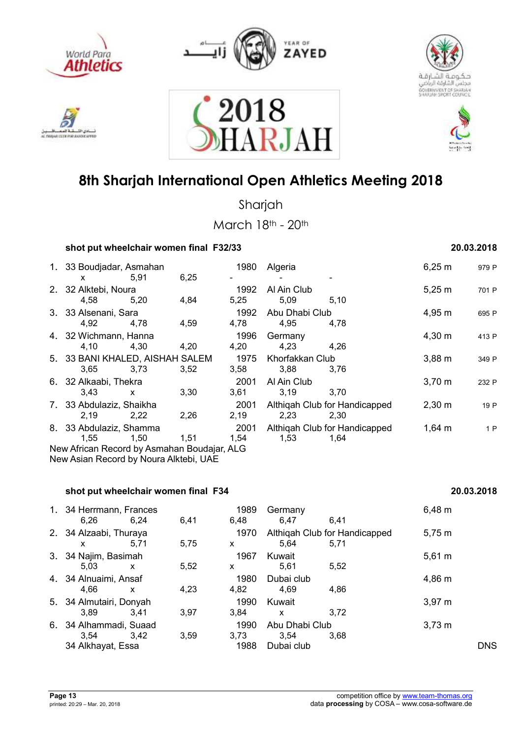











Sharjah

March 18th - 20th

### **shot put wheelchair women final F32/33 20.03.2018**

| 1. 33 Boudjadar, Asmahan<br><b>X</b>        | 5.91         | 6,25 | 1980         | Algeria                |                               | 6,25 m      | 979 P |
|---------------------------------------------|--------------|------|--------------|------------------------|-------------------------------|-------------|-------|
| 2. 32 Alktebi, Noura                        |              |      | 1992         | Al Ain Club            |                               | $5,25 \; m$ | 701 P |
| 4.58                                        | 5.20         | 4,84 | 5,25<br>1992 | 5,09<br>Abu Dhabi Club | 5,10                          |             |       |
| 3. 33 Alsenani, Sara<br>4.92                | 4.78         | 4,59 | 4,78         | 4,95                   | 4,78                          | 4,95 m      | 695 P |
| 4. 32 Wichmann, Hanna<br>4,10               | 4,30         | 4,20 | 1996<br>4,20 | Germany<br>4,23        | 4.26                          | $4,30 \; m$ | 413 P |
| 5. 33 BANI KHALED, AISHAH SALEM             |              |      | 1975         | Khorfakkan Club        |                               | $3,88 \; m$ | 349 P |
| 3,65                                        | 3,73         | 3.52 | 3,58         | 3,88                   | 3,76                          |             |       |
| 6. 32 Alkaabi, Thekra<br>3.43               | $\mathsf{x}$ | 3,30 | 2001<br>3,61 | Al Ain Club<br>3,19    | 3,70                          | $3,70 \; m$ | 232 P |
| 7. 33 Abdulaziz, Shaikha                    |              |      | 2001         |                        | Althigah Club for Handicapped | $2,30 \; m$ | 19 P  |
| 2,19                                        | 2,22         | 2,26 | 2,19         | 2,23                   | 2,30                          |             |       |
| 8. 33 Abdulaziz, Shamma                     |              |      | 2001         |                        | Althigah Club for Handicapped | $1,64 \; m$ | 1P    |
| 1.55                                        | 1.50         | 1,51 | 1,54         | 1,53                   | 1,64                          |             |       |
| New African Record by Asmahan Boudajar, ALG |              |      |              |                        |                               |             |       |

New Asian Record by Noura Alktebi, UAE

### **shot put wheelchair women final F34** 20.03.2018

| 1. 34 Herrmann, Frances<br>6.26 | 6.24 | 6,41 | 1989<br>6,48 | Germany<br>6.47               | 6.41 | $6,48 \; m$ |            |
|---------------------------------|------|------|--------------|-------------------------------|------|-------------|------------|
| 2. 34 Alzaabi, Thuraya          |      |      | 1970         | Althigah Club for Handicapped |      | 5,75 m      |            |
| X                               | 5,71 | 5,75 | X            | 5.64                          | 5,71 |             |            |
| 3. 34 Najim, Basimah            |      |      | 1967         | Kuwait                        |      | $5,61 \; m$ |            |
| 5.03                            | x    | 5,52 | X            | 5.61                          | 5,52 |             |            |
| 4. 34 Alnuaimi, Ansaf           |      |      | 1980         | Dubai club                    |      | 4,86 m      |            |
| 4.66                            | X    | 4.23 | 4,82         | 4.69                          | 4,86 |             |            |
| 5. 34 Almutairi, Donyah         |      |      | 1990         | Kuwait                        |      | $3,97 \; m$ |            |
| 3.89                            | 3.41 | 3,97 | 3.84         | $\mathsf{x}$                  | 3.72 |             |            |
| 6. 34 Alhammadi, Suaad          |      |      | 1990         | Abu Dhabi Club                |      | $3,73 \; m$ |            |
| 3.54                            | 3.42 | 3,59 | 3,73         | 3.54                          | 3,68 |             |            |
| 34 Alkhayat, Essa               |      |      | 1988         | Dubai club                    |      |             | <b>DNS</b> |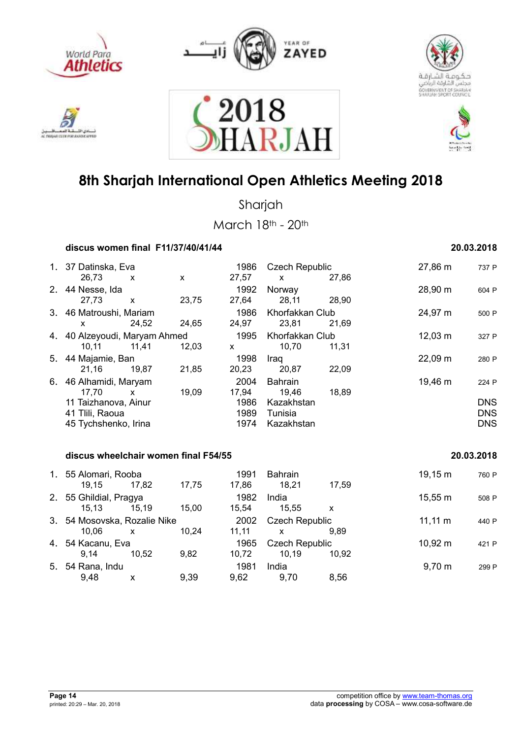











Sharjah

|    |                                                                                                 |              | discus women final F11/37/40/41/44   |                                       |                                                                |       |              | 20.03.2018                                      |
|----|-------------------------------------------------------------------------------------------------|--------------|--------------------------------------|---------------------------------------|----------------------------------------------------------------|-------|--------------|-------------------------------------------------|
|    | 1. 37 Datinska, Eva<br>26,73                                                                    | $\mathsf{x}$ | X                                    | 1986<br>27,57                         | <b>Czech Republic</b><br>$\mathsf{x}$                          | 27,86 | 27,86 m      | 737 P                                           |
|    | 2. 44 Nesse, Ida<br>27,73                                                                       | $\mathsf{x}$ | 23,75                                | 1992<br>27,64                         | Norway<br>28,11                                                | 28,90 | 28,90 m      | 604 P                                           |
|    | 3. 46 Matroushi, Mariam<br>X                                                                    | 24,52        | 24,65                                | 1986<br>24,97                         | Khorfakkan Club<br>23,81                                       | 21,69 | 24,97 m      | 500 P                                           |
|    | 4. 40 Alzeyoudi, Maryam Ahmed<br>10,11                                                          | 11,41        | 12,03                                | 1995<br>$\mathsf{x}$                  | Khorfakkan Club<br>10,70                                       | 11,31 | $12,03 \; m$ | 327 P                                           |
|    | 5. 44 Majamie, Ban<br>21,16                                                                     | 19,87        | 21,85                                | 1998<br>20,23                         | Iraq<br>20,87                                                  | 22,09 | $22,09 \; m$ | 280 P                                           |
| 6. | 46 Alhamidi, Maryam<br>17,70<br>11 Taizhanova, Ainur<br>41 Tlili, Raoua<br>45 Tychshenko, Irina | $\mathsf{x}$ | 19,09                                | 2004<br>17,94<br>1986<br>1989<br>1974 | <b>Bahrain</b><br>19,46<br>Kazakhstan<br>Tunisia<br>Kazakhstan | 18,89 | 19,46 m      | 224 P<br><b>DNS</b><br><b>DNS</b><br><b>DNS</b> |
|    |                                                                                                 |              | discus wheelchair women final F54/55 |                                       |                                                                |       |              | 20.03.2018                                      |
| 1. | 55 Alomari, Rooba<br>19 15                                                                      | 17.82        | 17 75                                | 1991<br>17.86                         | <b>Bahrain</b><br>18.21                                        | 17.59 | $19,15 \; m$ | 760 P                                           |

| 19,15                        | 17,82            | 17,75 | 17,86  | 18,21 | 17,59 |                                                |       |
|------------------------------|------------------|-------|--------|-------|-------|------------------------------------------------|-------|
| 2. 55 Ghildial, Pragya       |                  |       | 1982   | India |       | 15,55 m                                        | 508 P |
| 15,13                        | 15.19            | 15,00 | 15.54  | 15,55 | x     |                                                |       |
| 3. 54 Mosovska, Rozalie Nike |                  |       | 2002   |       |       | $11,11 \; m$                                   | 440 P |
| 10,06                        | x                | 10,24 | 11, 11 | x     | 9.89  |                                                |       |
| 4. 54 Kacanu, Eva            |                  |       | 1965   |       |       | $10,92 \; m$                                   | 421 P |
| 9.14                         | 10.52            | 9,82  | 10,72  | 10.19 | 10,92 |                                                |       |
|                              |                  |       | 1981   | India |       | $9,70 \; m$                                    | 299 F |
| 9,48                         | x                | 9,39  | 9,62   | 9,70  | 8,56  |                                                |       |
|                              |                  |       |        |       |       |                                                |       |
|                              |                  |       |        |       |       |                                                |       |
|                              | 5. 54 Rana, Indu |       |        |       |       | <b>Czech Republic</b><br><b>Czech Republic</b> |       |